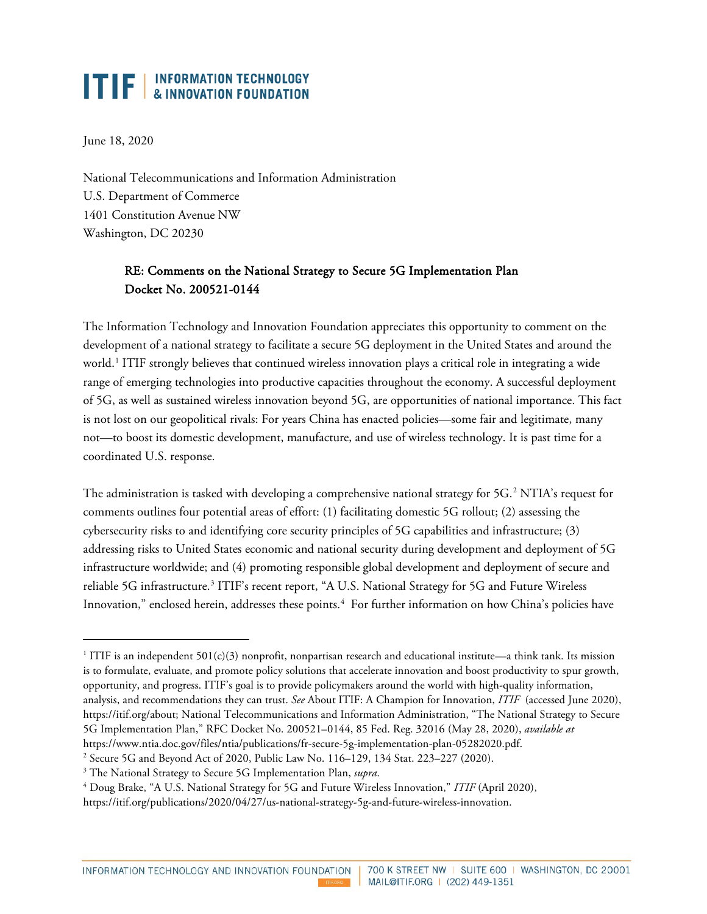# **ITIF** | INFORMATION TECHNOLOGY

June 18, 2020

National Telecommunications and Information Administration U.S. Department of Commerce 1401 Constitution Avenue NW Washington, DC 20230

## RE: Comments on the National Strategy to Secure 5G Implementation Plan Docket No. 200521-0144

The Information Technology and Innovation Foundation appreciates this opportunity to comment on the development of a national strategy to facilitate a secure 5G deployment in the United States and around the world.<sup>[1](#page-0-0)</sup> ITIF strongly believes that continued wireless innovation plays a critical role in integrating a wide range of emerging technologies into productive capacities throughout the economy. A successful deployment of 5G, as well as sustained wireless innovation beyond 5G, are opportunities of national importance. This fact is not lost on our geopolitical rivals: For years China has enacted policies—some fair and legitimate, many not—to boost its domestic development, manufacture, and use of wireless technology. It is past time for a coordinated U.S. response.

The administration is tasked with developing a comprehensive national strategy for 5G.<sup>[2](#page-0-1)</sup> NTIA's request for comments outlines four potential areas of effort: (1) facilitating domestic 5G rollout; (2) assessing the cybersecurity risks to and identifying core security principles of 5G capabilities and infrastructure; (3) addressing risks to United States economic and national security during development and deployment of 5G infrastructure worldwide; and (4) promoting responsible global development and deployment of secure and reliable 5G infrastructure.<sup>[3](#page-0-2)</sup> ITIF's recent report, "A U.S. National Strategy for 5G and Future Wireless Innovation," enclosed herein, addresses these points.<sup>[4](#page-0-3)</sup> For further information on how China's policies have

<span id="page-0-1"></span>[https://www.ntia.doc.gov/files/ntia/publications/fr-secure-5g-implementation-plan-05282020.pdf.](https://www.ntia.doc.gov/files/ntia/publications/fr-secure-5g-implementation-plan-05282020.pdf) 2 Secure 5G and Beyond Act of 2020, Public Law No. 116–129, 134 Stat. 223–227 (2020).

<span id="page-0-0"></span><sup>&</sup>lt;sup>1</sup> ITIF is an independent 501(c)(3) nonprofit, nonpartisan research and educational institute—a think tank. Its mission is to formulate, evaluate, and promote policy solutions that accelerate innovation and boost productivity to spur growth, opportunity, and progress. ITIF's goal is to provide policymakers around the world with high-quality information, analysis, and recommendations they can trust. *See* About ITIF: A Champion for Innovation, *ITIF* (accessed June 2020), [https://itif.org/about;](https://itif.org/about) National Telecommunications and Information Administration, "The National Strategy to Secure 5G Implementation Plan," RFC Docket No. 200521–0144, 85 Fed. Reg. 32016 (May 28, 2020), *available at* 

<span id="page-0-2"></span><sup>3</sup> The National Strategy to Secure 5G Implementation Plan, *supra*.

<span id="page-0-3"></span><sup>4</sup> Doug Brake, "A U.S. National Strategy for 5G and Future Wireless Innovation," *ITIF* (April 2020),

[https://itif.org/publications/2020/04/27/us-national-strategy-5g-and-future-wireless-innovation.](https://itif.org/publications/2020/04/27/us-national-strategy-5g-and-future-wireless-innovation)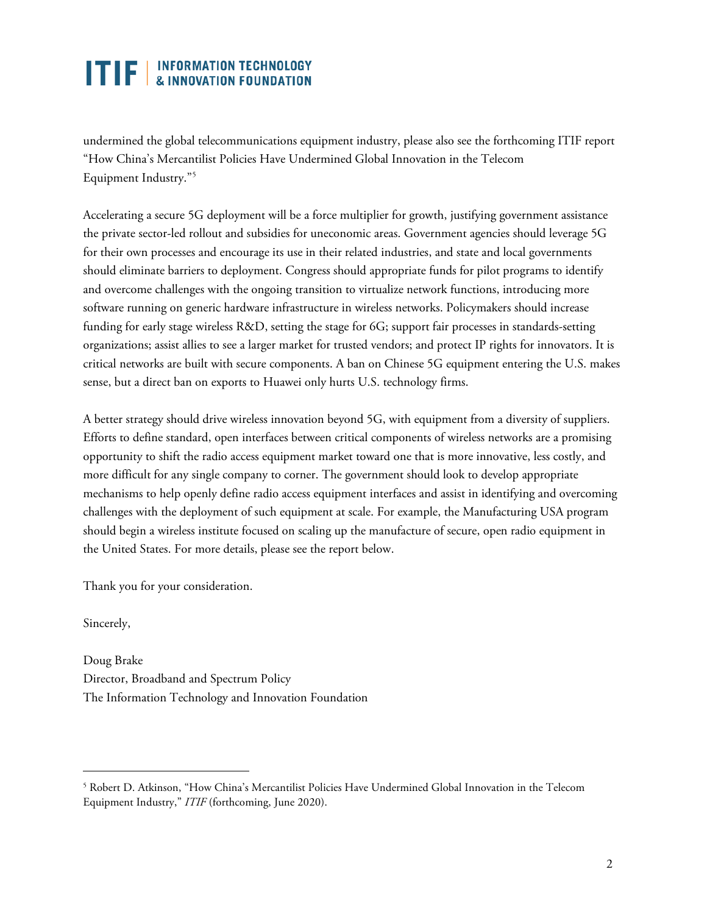# **TTF EXECUTED** INFORMATION TECHNOLOGY

undermined the global telecommunications equipment industry, please also see the forthcoming ITIF report "How China's Mercantilist Policies Have Undermined Global Innovation in the Telecom Equipment Industry."[5](#page-1-0)

Accelerating a secure 5G deployment will be a force multiplier for growth, justifying government assistance the private sector-led rollout and subsidies for uneconomic areas. Government agencies should leverage 5G for their own processes and encourage its use in their related industries, and state and local governments should eliminate barriers to deployment. Congress should appropriate funds for pilot programs to identify and overcome challenges with the ongoing transition to virtualize network functions, introducing more software running on generic hardware infrastructure in wireless networks. Policymakers should increase funding for early stage wireless R&D, setting the stage for 6G; support fair processes in standards-setting organizations; assist allies to see a larger market for trusted vendors; and protect IP rights for innovators. It is critical networks are built with secure components. A ban on Chinese 5G equipment entering the U.S. makes sense, but a direct ban on exports to Huawei only hurts U.S. technology firms.

A better strategy should drive wireless innovation beyond 5G, with equipment from a diversity of suppliers. Efforts to define standard, open interfaces between critical components of wireless networks are a promising opportunity to shift the radio access equipment market toward one that is more innovative, less costly, and more difficult for any single company to corner. The government should look to develop appropriate mechanisms to help openly define radio access equipment interfaces and assist in identifying and overcoming challenges with the deployment of such equipment at scale. For example, the Manufacturing USA program should begin a wireless institute focused on scaling up the manufacture of secure, open radio equipment in the United States. For more details, please see the report below.

Thank you for your consideration.

Sincerely,

Doug Brake Director, Broadband and Spectrum Policy The Information Technology and Innovation Foundation

<span id="page-1-0"></span><sup>5</sup> Robert D. Atkinson, "How China's Mercantilist Policies Have Undermined Global Innovation in the Telecom Equipment Industry," *ITIF* (forthcoming, June 2020).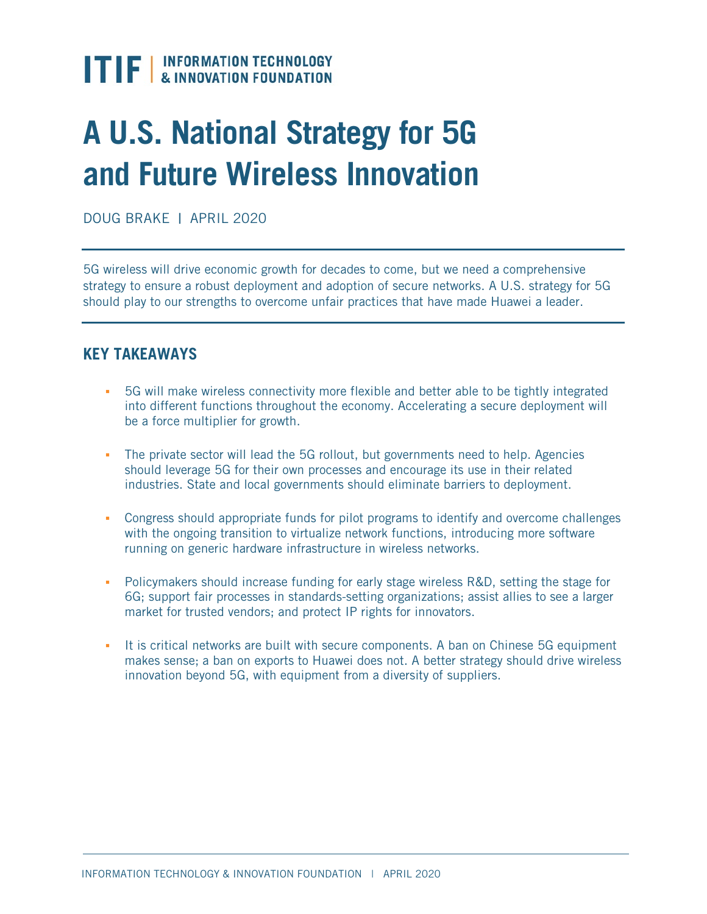

# **A U.S. National Strategy for 5G and Future Wireless Innovation**

DOUG BRAKE | APRIL 2020

5G wireless will drive economic growth for decades to come, but we need a comprehensive strategy to ensure a robust deployment and adoption of secure networks. A U.S. strategy for 5G should play to our strengths to overcome unfair practices that have made Huawei a leader.

## **KEY TAKEAWAYS**

- 5G will make wireless connectivity more flexible and better able to be tightly integrated into different functions throughout the economy. Accelerating a secure deployment will be a force multiplier for growth.
- The private sector will lead the 5G rollout, but governments need to help. Agencies should leverage 5G for their own processes and encourage its use in their related industries. State and local governments should eliminate barriers to deployment.
- Congress should appropriate funds for pilot programs to identify and overcome challenges with the ongoing transition to virtualize network functions, introducing more software running on generic hardware infrastructure in wireless networks.
- **•** Policymakers should increase funding for early stage wireless R&D, setting the stage for 6G; support fair processes in standards-setting organizations; assist allies to see a larger market for trusted vendors; and protect IP rights for innovators.
- It is critical networks are built with secure components. A ban on Chinese 5G equipment makes sense; a ban on exports to Huawei does not. A better strategy should drive wireless innovation beyond 5G, with equipment from a diversity of suppliers.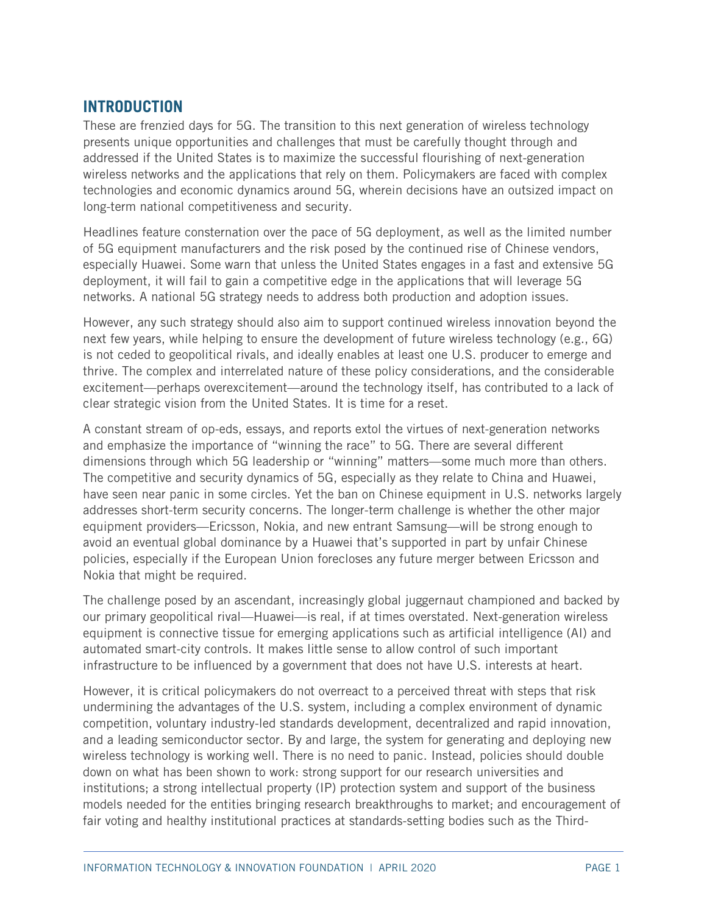# **INTRODUCTION**

These are frenzied days for 5G. The transition to this next generation of wireless technology presents unique opportunities and challenges that must be carefully thought through and addressed if the United States is to maximize the successful flourishing of next-generation wireless networks and the applications that rely on them. Policymakers are faced with complex technologies and economic dynamics around 5G, wherein decisions have an outsized impact on long-term national competitiveness and security.

Headlines feature consternation over the pace of 5G deployment, as well as the limited number of 5G equipment manufacturers and the risk posed by the continued rise of Chinese vendors, especially Huawei. Some warn that unless the United States engages in a fast and extensive 5G deployment, it will fail to gain a competitive edge in the applications that will leverage 5G networks. A national 5G strategy needs to address both production and adoption issues.

However, any such strategy should also aim to support continued wireless innovation beyond the next few years, while helping to ensure the development of future wireless technology (e.g., 6G) is not ceded to geopolitical rivals, and ideally enables at least one U.S. producer to emerge and thrive. The complex and interrelated nature of these policy considerations, and the considerable excitement—perhaps overexcitement—around the technology itself, has contributed to a lack of clear strategic vision from the United States. It is time for a reset.

A constant stream of op-eds, essays, and reports extol the virtues of next-generation networks and emphasize the importance of "winning the race" to 5G. There are several different dimensions through which 5G leadership or "winning" matters—some much more than others. The competitive and security dynamics of 5G, especially as they relate to China and Huawei, have seen near panic in some circles. Yet the ban on Chinese equipment in U.S. networks largely addresses short-term security concerns. The longer-term challenge is whether the other major equipment providers—Ericsson, Nokia, and new entrant Samsung—will be strong enough to avoid an eventual global dominance by a Huawei that's supported in part by unfair Chinese policies, especially if the European Union forecloses any future merger between Ericsson and Nokia that might be required.

The challenge posed by an ascendant, increasingly global juggernaut championed and backed by our primary geopolitical rival—Huawei—is real, if at times overstated. Next-generation wireless equipment is connective tissue for emerging applications such as artificial intelligence (AI) and automated smart-city controls. It makes little sense to allow control of such important infrastructure to be influenced by a government that does not have U.S. interests at heart.

However, it is critical policymakers do not overreact to a perceived threat with steps that risk undermining the advantages of the U.S. system, including a complex environment of dynamic competition, voluntary industry-led standards development, decentralized and rapid innovation, and a leading semiconductor sector. By and large, the system for generating and deploying new wireless technology is working well. There is no need to panic. Instead, policies should double down on what has been shown to work: strong support for our research universities and institutions; a strong intellectual property (IP) protection system and support of the business models needed for the entities bringing research breakthroughs to market; and encouragement of fair voting and healthy institutional practices at standards-setting bodies such as the Third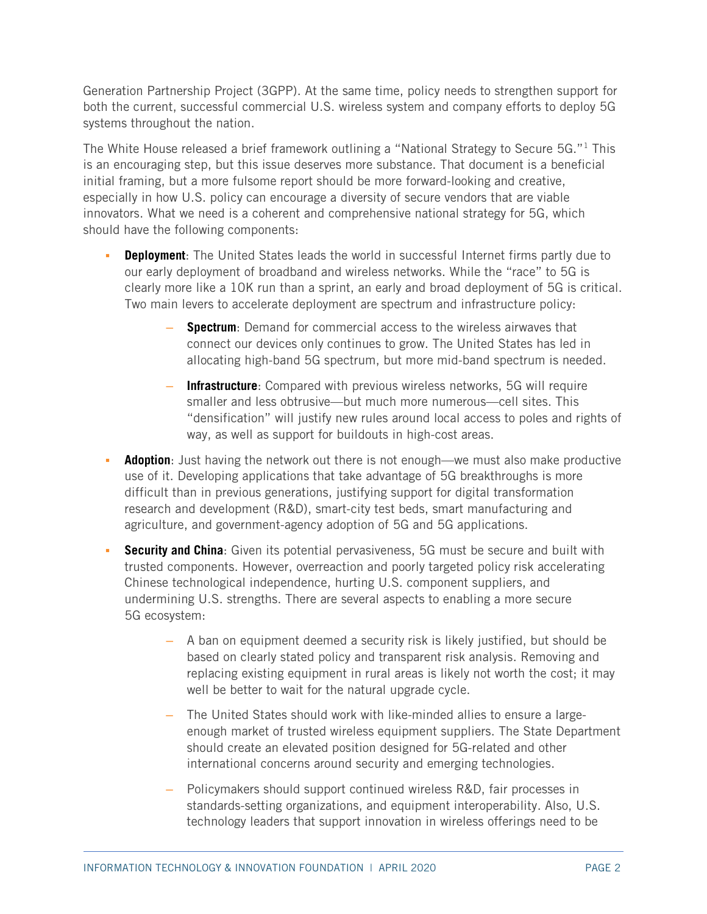Generation Partnership Project (3GPP). At the same time, policy needs to strengthen support for both the current, successful commercial U.S. wireless system and company efforts to deploy 5G systems throughout the nation.

The White House released a brief framework outlining a "National Strategy to Secure 5G."<sup>[1](#page-45-0)</sup> This is an encouraging step, but this issue deserves more substance. That document is a beneficial initial framing, but a more fulsome report should be more forward-looking and creative, especially in how U.S. policy can encourage a diversity of secure vendors that are viable innovators. What we need is a coherent and comprehensive national strategy for 5G, which should have the following components:

- **Deployment:** The United States leads the world in successful Internet firms partly due to our early deployment of broadband and wireless networks. While the "race" to 5G is clearly more like a 10K run than a sprint, an early and broad deployment of 5G is critical. Two main levers to accelerate deployment are spectrum and infrastructure policy:
	- **Spectrum**: Demand for commercial access to the wireless airwaves that connect our devices only continues to grow. The United States has led in allocating high-band 5G spectrum, but more mid-band spectrum is needed.
	- **Infrastructure**: Compared with previous wireless networks, 5G will require smaller and less obtrusive—but much more numerous—cell sites. This "densification" will justify new rules around local access to poles and rights of way, as well as support for buildouts in high-cost areas.
- **Adoption**: Just having the network out there is not enough—we must also make productive use of it. Developing applications that take advantage of 5G breakthroughs is more difficult than in previous generations, justifying support for digital transformation research and development (R&D), smart-city test beds, smart manufacturing and agriculture, and government-agency adoption of 5G and 5G applications.
- **Security and China**: Given its potential pervasiveness, 5G must be secure and built with trusted components. However, overreaction and poorly targeted policy risk accelerating Chinese technological independence, hurting U.S. component suppliers, and undermining U.S. strengths. There are several aspects to enabling a more secure 5G ecosystem:
	- A ban on equipment deemed a security risk is likely justified, but should be based on clearly stated policy and transparent risk analysis. Removing and replacing existing equipment in rural areas is likely not worth the cost; it may well be better to wait for the natural upgrade cycle.
	- The United States should work with like-minded allies to ensure a largeenough market of trusted wireless equipment suppliers. The State Department should create an elevated position designed for 5G-related and other international concerns around security and emerging technologies.
	- Policymakers should support continued wireless R&D, fair processes in standards-setting organizations, and equipment interoperability. Also, U.S. technology leaders that support innovation in wireless offerings need to be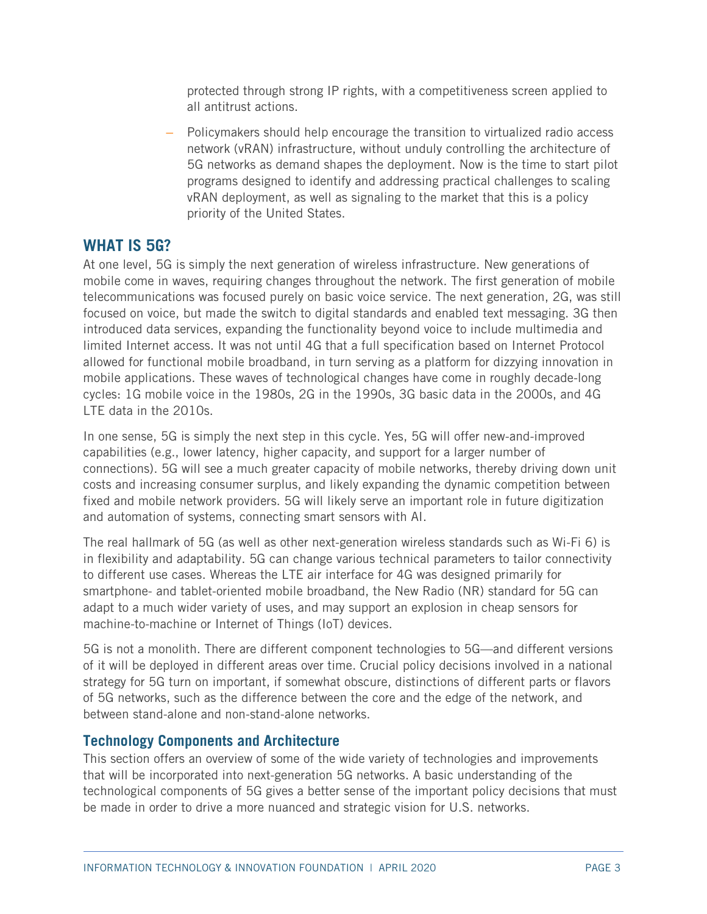protected through strong IP rights, with a competitiveness screen applied to all antitrust actions.

– Policymakers should help encourage the transition to virtualized radio access network (vRAN) infrastructure, without unduly controlling the architecture of 5G networks as demand shapes the deployment. Now is the time to start pilot programs designed to identify and addressing practical challenges to scaling vRAN deployment, as well as signaling to the market that this is a policy priority of the United States.

## **WHAT IS 5G?**

At one level, 5G is simply the next generation of wireless infrastructure. New generations of mobile come in waves, requiring changes throughout the network. The first generation of mobile telecommunications was focused purely on basic voice service. The next generation, 2G, was still focused on voice, but made the switch to digital standards and enabled text messaging. 3G then introduced data services, expanding the functionality beyond voice to include multimedia and limited Internet access. It was not until 4G that a full specification based on Internet Protocol allowed for functional mobile broadband, in turn serving as a platform for dizzying innovation in mobile applications. These waves of technological changes have come in roughly decade-long cycles: 1G mobile voice in the 1980s, 2G in the 1990s, 3G basic data in the 2000s, and 4G LTE data in the 2010s.

In one sense, 5G is simply the next step in this cycle. Yes, 5G will offer new-and-improved capabilities (e.g., lower latency, higher capacity, and support for a larger number of connections). 5G will see a much greater capacity of mobile networks, thereby driving down unit costs and increasing consumer surplus, and likely expanding the dynamic competition between fixed and mobile network providers. 5G will likely serve an important role in future digitization and automation of systems, connecting smart sensors with AI.

The real hallmark of 5G (as well as other next-generation wireless standards such as Wi-Fi 6) is in flexibility and adaptability. 5G can change various technical parameters to tailor connectivity to different use cases. Whereas the LTE air interface for 4G was designed primarily for smartphone- and tablet-oriented mobile broadband, the New Radio (NR) standard for 5G can adapt to a much wider variety of uses, and may support an explosion in cheap sensors for machine-to-machine or Internet of Things (IoT) devices.

5G is not a monolith. There are different component technologies to 5G—and different versions of it will be deployed in different areas over time. Crucial policy decisions involved in a national strategy for 5G turn on important, if somewhat obscure, distinctions of different parts or flavors of 5G networks, such as the difference between the core and the edge of the network, and between stand-alone and non-stand-alone networks.

#### **Technology Components and Architecture**

This section offers an overview of some of the wide variety of technologies and improvements that will be incorporated into next-generation 5G networks. A basic understanding of the technological components of 5G gives a better sense of the important policy decisions that must be made in order to drive a more nuanced and strategic vision for U.S. networks.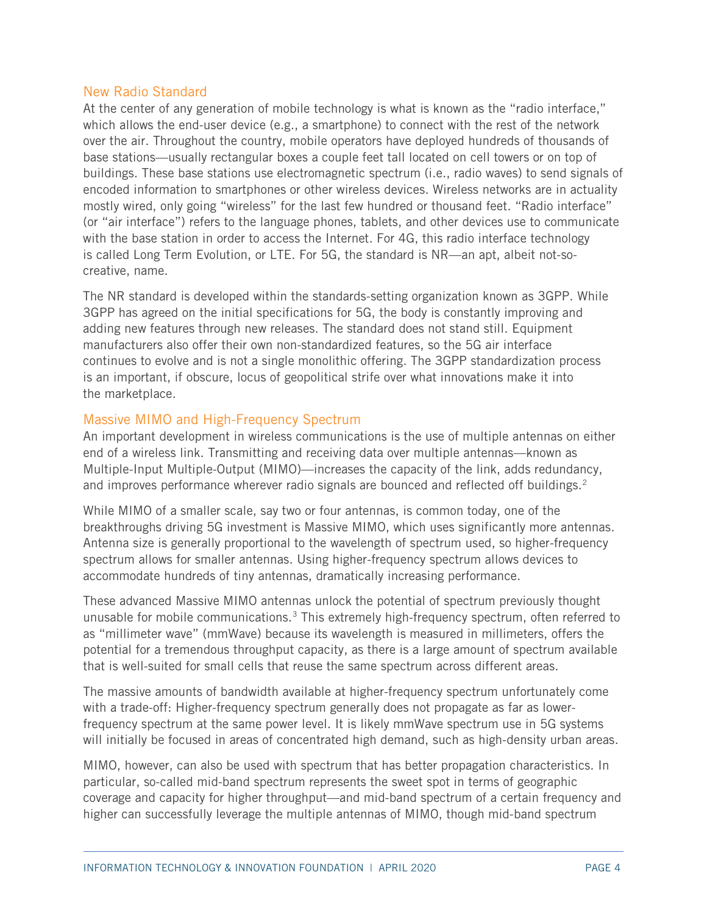#### New Radio Standard

At the center of any generation of mobile technology is what is known as the "radio interface," which allows the end-user device (e.g., a smartphone) to connect with the rest of the network over the air. Throughout the country, mobile operators have deployed hundreds of thousands of base stations—usually rectangular boxes a couple feet tall located on cell towers or on top of buildings. These base stations use electromagnetic spectrum (i.e., radio waves) to send signals of encoded information to smartphones or other wireless devices. Wireless networks are in actuality mostly wired, only going "wireless" for the last few hundred or thousand feet. "Radio interface" (or "air interface") refers to the language phones, tablets, and other devices use to communicate with the base station in order to access the Internet. For 4G, this radio interface technology is called Long Term Evolution, or LTE. For 5G, the standard is NR—an apt, albeit not-socreative, name.

The NR standard is developed within the standards-setting organization known as 3GPP. While 3GPP has agreed on the initial specifications for 5G, the body is constantly improving and adding new features through new releases. The standard does not stand still. Equipment manufacturers also offer their own non-standardized features, so the 5G air interface continues to evolve and is not a single monolithic offering. The 3GPP standardization process is an important, if obscure, locus of geopolitical strife over what innovations make it into the marketplace.

#### Massive MIMO and High-Frequency Spectrum

An important development in wireless communications is the use of multiple antennas on either end of a wireless link. Transmitting and receiving data over multiple antennas—known as Multiple-Input Multiple-Output (MIMO)—increases the capacity of the link, adds redundancy, and improves performance wherever radio signals are bounced and reflected off buildings.<sup>[2](#page-45-1)</sup>

While MIMO of a smaller scale, say two or four antennas, is common today, one of the breakthroughs driving 5G investment is Massive MIMO, which uses significantly more antennas. Antenna size is generally proportional to the wavelength of spectrum used, so higher-frequency spectrum allows for smaller antennas. Using higher-frequency spectrum allows devices to accommodate hundreds of tiny antennas, dramatically increasing performance.

These advanced Massive MIMO antennas unlock the potential of spectrum previously thought unusable for mobile communications.<sup>3</sup> This extremely high-frequency spectrum, often referred to as "millimeter wave" (mmWave) because its wavelength is measured in millimeters, offers the potential for a tremendous throughput capacity, as there is a large amount of spectrum available that is well-suited for small cells that reuse the same spectrum across different areas.

The massive amounts of bandwidth available at higher-frequency spectrum unfortunately come with a trade-off: Higher-frequency spectrum generally does not propagate as far as lowerfrequency spectrum at the same power level. It is likely mmWave spectrum use in 5G systems will initially be focused in areas of concentrated high demand, such as high-density urban areas.

MIMO, however, can also be used with spectrum that has better propagation characteristics. In particular, so-called mid-band spectrum represents the sweet spot in terms of geographic coverage and capacity for higher throughput—and mid-band spectrum of a certain frequency and higher can successfully leverage the multiple antennas of MIMO, though mid-band spectrum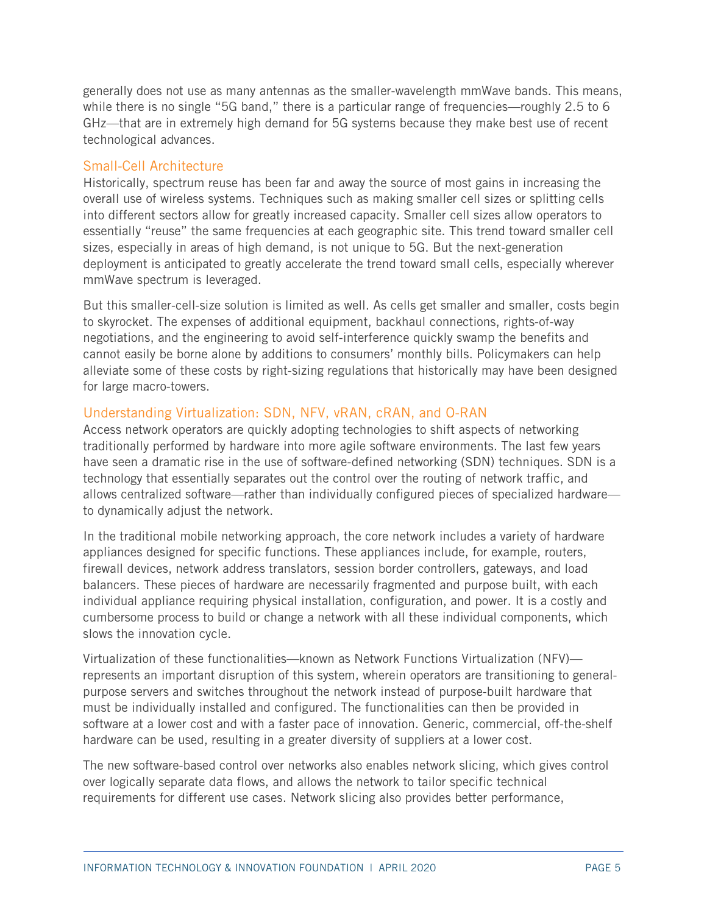generally does not use as many antennas as the smaller-wavelength mmWave bands. This means, while there is no single "5G band," there is a particular range of frequencies—roughly 2.5 to 6 GHz—that are in extremely high demand for 5G systems because they make best use of recent technological advances.

#### Small-Cell Architecture

Historically, spectrum reuse has been far and away the source of most gains in increasing the overall use of wireless systems. Techniques such as making smaller cell sizes or splitting cells into different sectors allow for greatly increased capacity. Smaller cell sizes allow operators to essentially "reuse" the same frequencies at each geographic site. This trend toward smaller cell sizes, especially in areas of high demand, is not unique to 5G. But the next-generation deployment is anticipated to greatly accelerate the trend toward small cells, especially wherever mmWave spectrum is leveraged.

But this smaller-cell-size solution is limited as well. As cells get smaller and smaller, costs begin to skyrocket. The expenses of additional equipment, backhaul connections, rights-of-way negotiations, and the engineering to avoid self-interference quickly swamp the benefits and cannot easily be borne alone by additions to consumers' monthly bills. Policymakers can help alleviate some of these costs by right-sizing regulations that historically may have been designed for large macro-towers.

#### Understanding Virtualization: SDN, NFV, vRAN, cRAN, and O-RAN

Access network operators are quickly adopting technologies to shift aspects of networking traditionally performed by hardware into more agile software environments. The last few years have seen a dramatic rise in the use of software-defined networking (SDN) techniques. SDN is a technology that essentially separates out the control over the routing of network traffic, and allows centralized software—rather than individually configured pieces of specialized hardware to dynamically adjust the network.

In the traditional mobile networking approach, the core network includes a variety of hardware appliances designed for specific functions. These appliances include, for example, routers, firewall devices, network address translators, session border controllers, gateways, and load balancers. These pieces of hardware are necessarily fragmented and purpose built, with each individual appliance requiring physical installation, configuration, and power. It is a costly and cumbersome process to build or change a network with all these individual components, which slows the innovation cycle.

Virtualization of these functionalities—known as Network Functions Virtualization (NFV) represents an important disruption of this system, wherein operators are transitioning to generalpurpose servers and switches throughout the network instead of purpose-built hardware that must be individually installed and configured. The functionalities can then be provided in software at a lower cost and with a faster pace of innovation. Generic, commercial, off-the-shelf hardware can be used, resulting in a greater diversity of suppliers at a lower cost.

The new software-based control over networks also enables network slicing, which gives control over logically separate data flows, and allows the network to tailor specific technical requirements for different use cases. Network slicing also provides better performance,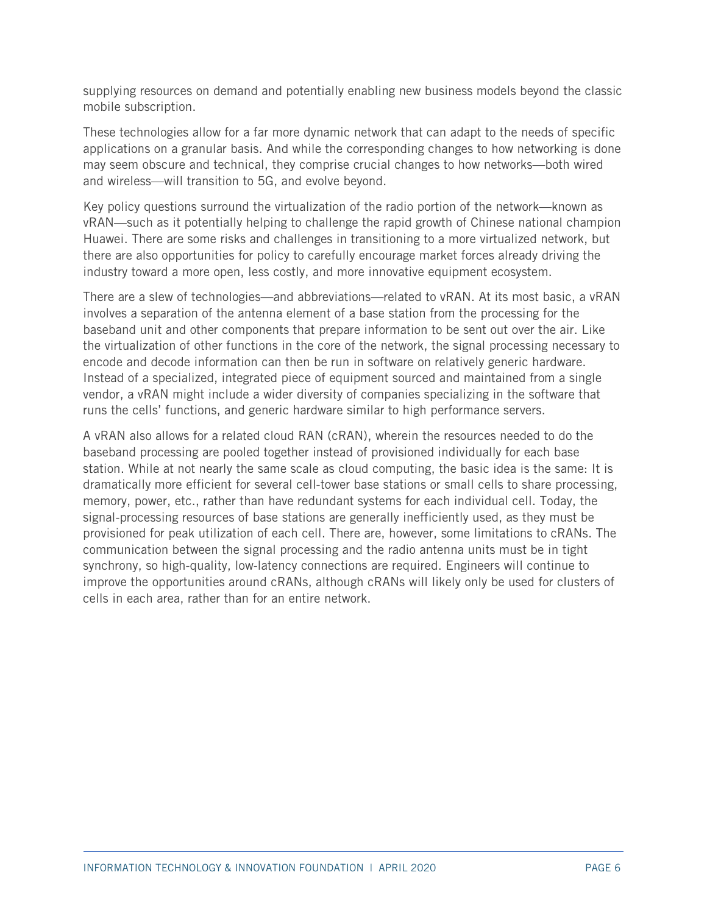supplying resources on demand and potentially enabling new business models beyond the classic mobile subscription.

These technologies allow for a far more dynamic network that can adapt to the needs of specific applications on a granular basis. And while the corresponding changes to how networking is done may seem obscure and technical, they comprise crucial changes to how networks—both wired and wireless—will transition to 5G, and evolve beyond.

Key policy questions surround the virtualization of the radio portion of the network—known as vRAN—such as it potentially helping to challenge the rapid growth of Chinese national champion Huawei. There are some risks and challenges in transitioning to a more virtualized network, but there are also opportunities for policy to carefully encourage market forces already driving the industry toward a more open, less costly, and more innovative equipment ecosystem.

There are a slew of technologies—and abbreviations—related to vRAN. At its most basic, a vRAN involves a separation of the antenna element of a base station from the processing for the baseband unit and other components that prepare information to be sent out over the air. Like the virtualization of other functions in the core of the network, the signal processing necessary to encode and decode information can then be run in software on relatively generic hardware. Instead of a specialized, integrated piece of equipment sourced and maintained from a single vendor, a vRAN might include a wider diversity of companies specializing in the software that runs the cells' functions, and generic hardware similar to high performance servers.

A vRAN also allows for a related cloud RAN (cRAN), wherein the resources needed to do the baseband processing are pooled together instead of provisioned individually for each base station. While at not nearly the same scale as cloud computing, the basic idea is the same: It is dramatically more efficient for several cell-tower base stations or small cells to share processing, memory, power, etc., rather than have redundant systems for each individual cell. Today, the signal-processing resources of base stations are generally inefficiently used, as they must be provisioned for peak utilization of each cell. There are, however, some limitations to cRANs. The communication between the signal processing and the radio antenna units must be in tight synchrony, so high-quality, low-latency connections are required. Engineers will continue to improve the opportunities around cRANs, although cRANs will likely only be used for clusters of cells in each area, rather than for an entire network.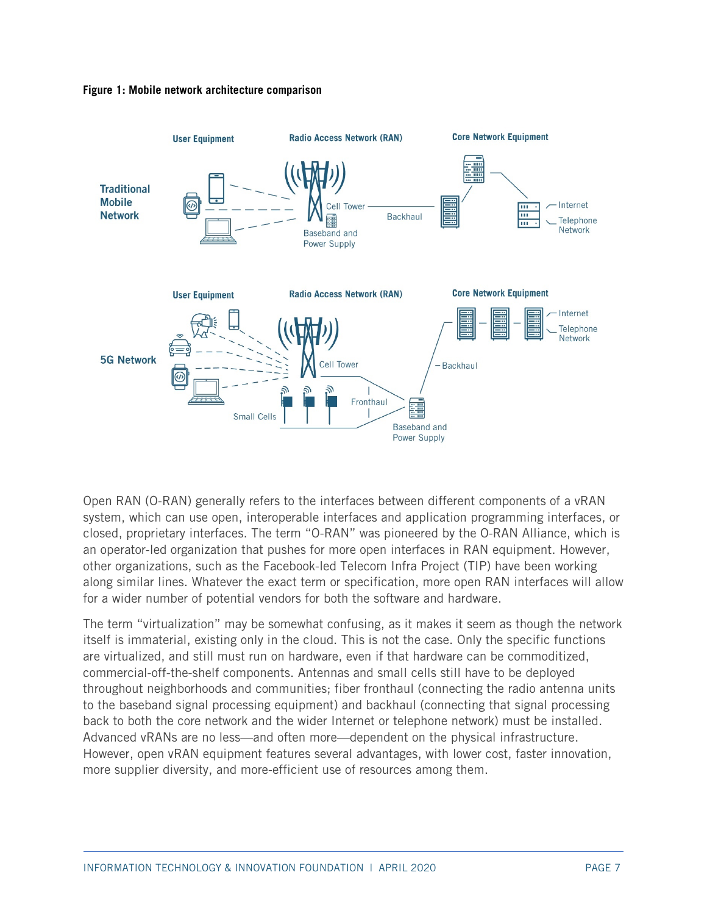



Open RAN (O-RAN) generally refers to the interfaces between different components of a vRAN system, which can use open, interoperable interfaces and application programming interfaces, or closed, proprietary interfaces. The term "O-RAN" was pioneered by the O-RAN Alliance, which is an operator-led organization that pushes for more open interfaces in RAN equipment. However, other organizations, such as the Facebook-led Telecom Infra Project (TIP) have been working along similar lines. Whatever the exact term or specification, more open RAN interfaces will allow for a wider number of potential vendors for both the software and hardware.

The term "virtualization" may be somewhat confusing, as it makes it seem as though the network itself is immaterial, existing only in the cloud. This is not the case. Only the specific functions are virtualized, and still must run on hardware, even if that hardware can be commoditized, commercial-off-the-shelf components. Antennas and small cells still have to be deployed throughout neighborhoods and communities; fiber fronthaul (connecting the radio antenna units to the baseband signal processing equipment) and backhaul (connecting that signal processing back to both the core network and the wider Internet or telephone network) must be installed. Advanced vRANs are no less—and often more—dependent on the physical infrastructure. However, open vRAN equipment features several advantages, with lower cost, faster innovation, more supplier diversity, and more-efficient use of resources among them.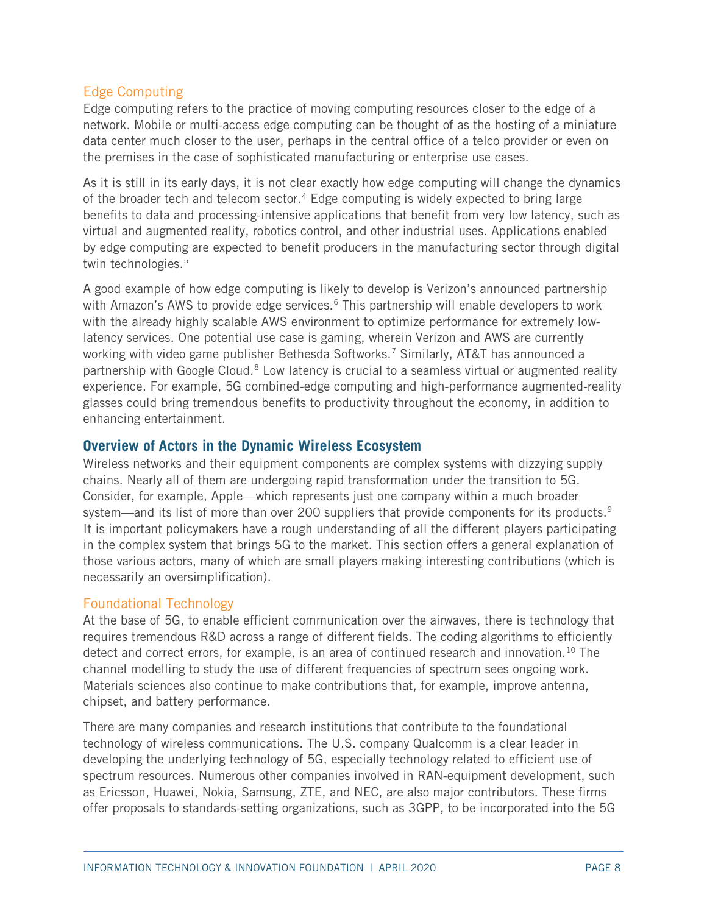#### Edge Computing

Edge computing refers to the practice of moving computing resources closer to the edge of a network. Mobile or multi-access edge computing can be thought of as the hosting of a miniature data center much closer to the user, perhaps in the central office of a telco provider or even on the premises in the case of sophisticated manufacturing or enterprise use cases.

As it is still in its early days, it is not clear exactly how edge computing will change the dynamics of the broader tech and telecom sector.<sup>[4](#page-45-3)</sup> Edge computing is widely expected to bring large benefits to data and processing-intensive applications that benefit from very low latency, such as virtual and augmented reality, robotics control, and other industrial uses. Applications enabled by edge computing are expected to benefit producers in the manufacturing sector through digital twin technologies. [5](#page-45-4)

A good example of how edge computing is likely to develop is Verizon's announced partnership with Amazon's AWS to provide edge services.<sup>[6](#page-45-5)</sup> This partnership will enable developers to work with the already highly scalable AWS environment to optimize performance for extremely lowlatency services. One potential use case is gaming, wherein Verizon and AWS are currently working with video game publisher Bethesda Softworks. [7](#page-45-6) Similarly, AT&T has announced a partnership with Google Cloud.<sup>[8](#page-45-7)</sup> Low latency is crucial to a seamless virtual or augmented reality experience. For example, 5G combined-edge computing and high-performance augmented-reality glasses could bring tremendous benefits to productivity throughout the economy, in addition to enhancing entertainment.

#### **Overview of Actors in the Dynamic Wireless Ecosystem**

Wireless networks and their equipment components are complex systems with dizzying supply chains. Nearly all of them are undergoing rapid transformation under the transition to 5G. Consider, for example, Apple—which represents just one company within a much broader system—and its list of more than over 200 suppliers that provide components for its products.<sup>[9](#page-45-8)</sup> It is important policymakers have a rough understanding of all the different players participating in the complex system that brings 5G to the market. This section offers a general explanation of those various actors, many of which are small players making interesting contributions (which is necessarily an oversimplification).

#### Foundational Technology

At the base of 5G, to enable efficient communication over the airwaves, there is technology that requires tremendous R&D across a range of different fields. The coding algorithms to efficiently detect and correct errors, for example, is an area of continued research and innovation.<sup>[10](#page-45-9)</sup> The channel modelling to study the use of different frequencies of spectrum sees ongoing work. Materials sciences also continue to make contributions that, for example, improve antenna, chipset, and battery performance.

There are many companies and research institutions that contribute to the foundational technology of wireless communications. The U.S. company Qualcomm is a clear leader in developing the underlying technology of 5G, especially technology related to efficient use of spectrum resources. Numerous other companies involved in RAN-equipment development, such as Ericsson, Huawei, Nokia, Samsung, ZTE, and NEC, are also major contributors. These firms offer proposals to standards-setting organizations, such as 3GPP, to be incorporated into the 5G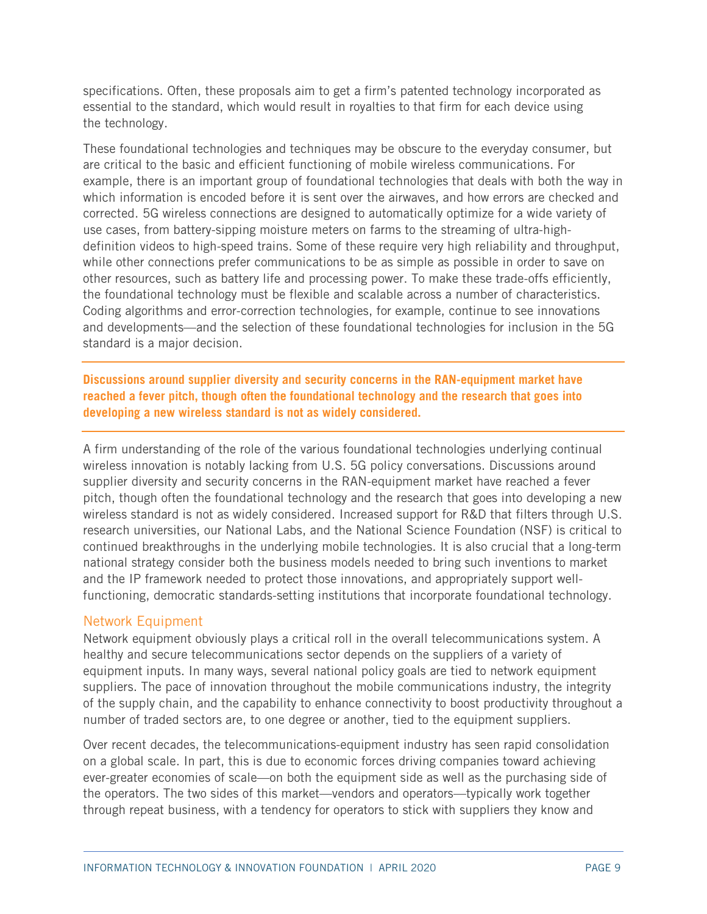specifications. Often, these proposals aim to get a firm's patented technology incorporated as essential to the standard, which would result in royalties to that firm for each device using the technology.

These foundational technologies and techniques may be obscure to the everyday consumer, but are critical to the basic and efficient functioning of mobile wireless communications. For example, there is an important group of foundational technologies that deals with both the way in which information is encoded before it is sent over the airwaves, and how errors are checked and corrected. 5G wireless connections are designed to automatically optimize for a wide variety of use cases, from battery-sipping moisture meters on farms to the streaming of ultra-highdefinition videos to high-speed trains. Some of these require very high reliability and throughput, while other connections prefer communications to be as simple as possible in order to save on other resources, such as battery life and processing power. To make these trade-offs efficiently, the foundational technology must be flexible and scalable across a number of characteristics. Coding algorithms and error-correction technologies, for example, continue to see innovations and developments—and the selection of these foundational technologies for inclusion in the 5G standard is a major decision.

**Discussions around supplier diversity and security concerns in the RAN-equipment market have reached a fever pitch, though often the foundational technology and the research that goes into developing a new wireless standard is not as widely considered.**

A firm understanding of the role of the various foundational technologies underlying continual wireless innovation is notably lacking from U.S. 5G policy conversations. Discussions around supplier diversity and security concerns in the RAN-equipment market have reached a fever pitch, though often the foundational technology and the research that goes into developing a new wireless standard is not as widely considered. Increased support for R&D that filters through U.S. research universities, our National Labs, and the National Science Foundation (NSF) is critical to continued breakthroughs in the underlying mobile technologies. It is also crucial that a long-term national strategy consider both the business models needed to bring such inventions to market and the IP framework needed to protect those innovations, and appropriately support wellfunctioning, democratic standards-setting institutions that incorporate foundational technology.

#### Network Equipment

Network equipment obviously plays a critical roll in the overall telecommunications system. A healthy and secure telecommunications sector depends on the suppliers of a variety of equipment inputs. In many ways, several national policy goals are tied to network equipment suppliers. The pace of innovation throughout the mobile communications industry, the integrity of the supply chain, and the capability to enhance connectivity to boost productivity throughout a number of traded sectors are, to one degree or another, tied to the equipment suppliers.

Over recent decades, the telecommunications-equipment industry has seen rapid consolidation on a global scale. In part, this is due to economic forces driving companies toward achieving ever-greater economies of scale—on both the equipment side as well as the purchasing side of the operators. The two sides of this market—vendors and operators—typically work together through repeat business, with a tendency for operators to stick with suppliers they know and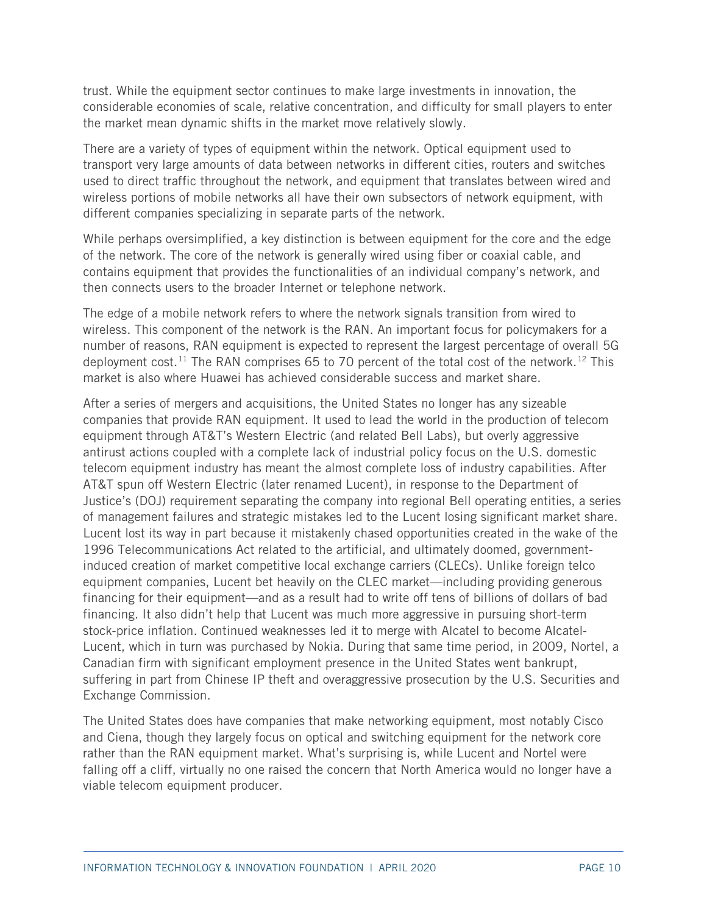trust. While the equipment sector continues to make large investments in innovation, the considerable economies of scale, relative concentration, and difficulty for small players to enter the market mean dynamic shifts in the market move relatively slowly.

There are a variety of types of equipment within the network. Optical equipment used to transport very large amounts of data between networks in different cities, routers and switches used to direct traffic throughout the network, and equipment that translates between wired and wireless portions of mobile networks all have their own subsectors of network equipment, with different companies specializing in separate parts of the network.

While perhaps oversimplified, a key distinction is between equipment for the core and the edge of the network. The core of the network is generally wired using fiber or coaxial cable, and contains equipment that provides the functionalities of an individual company's network, and then connects users to the broader Internet or telephone network.

The edge of a mobile network refers to where the network signals transition from wired to wireless. This component of the network is the RAN. An important focus for policymakers for a number of reasons, RAN equipment is expected to represent the largest percentage of overall 5G deployment cost.<sup>[11](#page-45-10)</sup> The RAN comprises 65 to 70 percent of the total cost of the network.<sup>[12](#page-45-11)</sup> This market is also where Huawei has achieved considerable success and market share.

After a series of mergers and acquisitions, the United States no longer has any sizeable companies that provide RAN equipment. It used to lead the world in the production of telecom equipment through AT&T's Western Electric (and related Bell Labs), but overly aggressive antirust actions coupled with a complete lack of industrial policy focus on the U.S. domestic telecom equipment industry has meant the almost complete loss of industry capabilities. After AT&T spun off Western Electric (later renamed Lucent), in response to the Department of Justice's (DOJ) requirement separating the company into regional Bell operating entities, a series of management failures and strategic mistakes led to the Lucent losing significant market share. Lucent lost its way in part because it mistakenly chased opportunities created in the wake of the 1996 Telecommunications Act related to the artificial, and ultimately doomed, governmentinduced creation of market competitive local exchange carriers (CLECs). Unlike foreign telco equipment companies, Lucent bet heavily on the CLEC market—including providing generous financing for their equipment—and as a result had to write off tens of billions of dollars of bad financing. It also didn't help that Lucent was much more aggressive in pursuing short-term stock-price inflation. Continued weaknesses led it to merge with Alcatel to become Alcatel-Lucent, which in turn was purchased by Nokia. During that same time period, in 2009, Nortel, a Canadian firm with significant employment presence in the United States went bankrupt, suffering in part from Chinese IP theft and overaggressive prosecution by the U.S. Securities and Exchange Commission.

The United States does have companies that make networking equipment, most notably Cisco and Ciena, though they largely focus on optical and switching equipment for the network core rather than the RAN equipment market. What's surprising is, while Lucent and Nortel were falling off a cliff, virtually no one raised the concern that North America would no longer have a viable telecom equipment producer.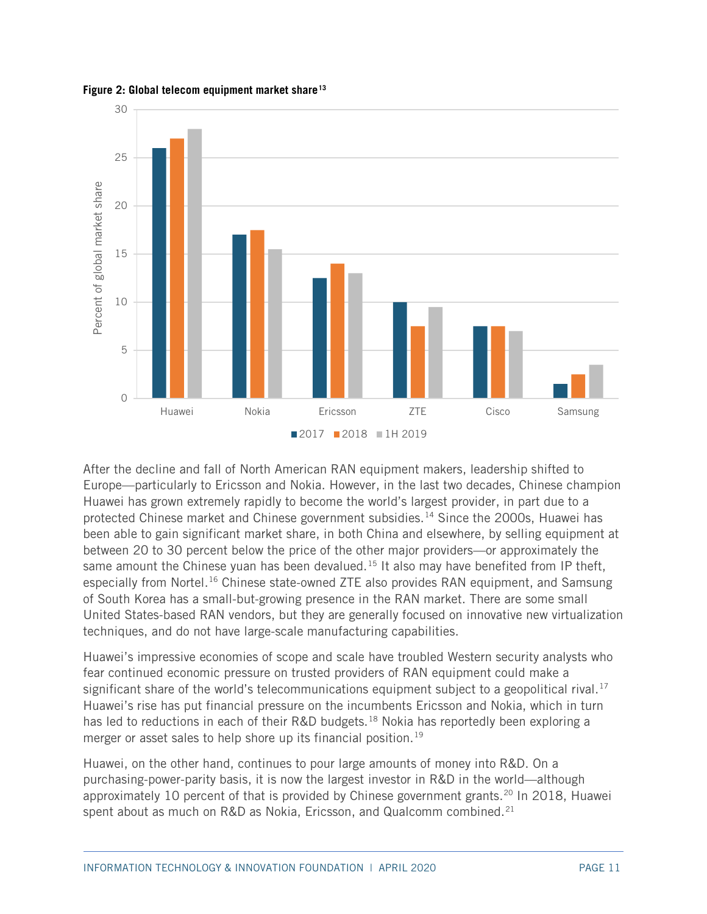

**Figure 2: Global telecom equipment market share[13](#page-45-12)**

After the decline and fall of North American RAN equipment makers, leadership shifted to Europe—particularly to Ericsson and Nokia. However, in the last two decades, Chinese champion Huawei has grown extremely rapidly to become the world's largest provider, in part due to a protected Chinese market and Chinese government subsidies.<sup>[14](#page-45-13)</sup> Since the 2000s, Huawei has been able to gain significant market share, in both China and elsewhere, by selling equipment at between 20 to 30 percent below the price of the other major providers—or approximately the same amount the Chinese yuan has been devalued.<sup>[15](#page-45-14)</sup> It also may have benefited from IP theft, especially from Nortel.<sup>[16](#page-45-15)</sup> Chinese state-owned ZTE also provides RAN equipment, and Samsung of South Korea has a small-but-growing presence in the RAN market. There are some small United States-based RAN vendors, but they are generally focused on innovative new virtualization techniques, and do not have large-scale manufacturing capabilities.

Huawei's impressive economies of scope and scale have troubled Western security analysts who fear continued economic pressure on trusted providers of RAN equipment could make a significant share of the world's telecommunications equipment subject to a geopolitical rival.<sup>[17](#page-46-0)</sup> Huawei's rise has put financial pressure on the incumbents Ericsson and Nokia, which in turn has led to reductions in each of their R&D budgets.<sup>[18](#page-46-1)</sup> Nokia has reportedly been exploring a merger or asset sales to help shore up its financial position.<sup>[19](#page-46-2)</sup>

Huawei, on the other hand, continues to pour large amounts of money into R&D. On a purchasing-power-parity basis, it is now the largest investor in R&D in the world—although approximately 10 percent of that is provided by Chinese government grants. [20](#page-46-3) In 2018, Huawei spent about as much on R&D as Nokia, Ericsson, and Qualcomm combined.<sup>[21](#page-46-4)</sup>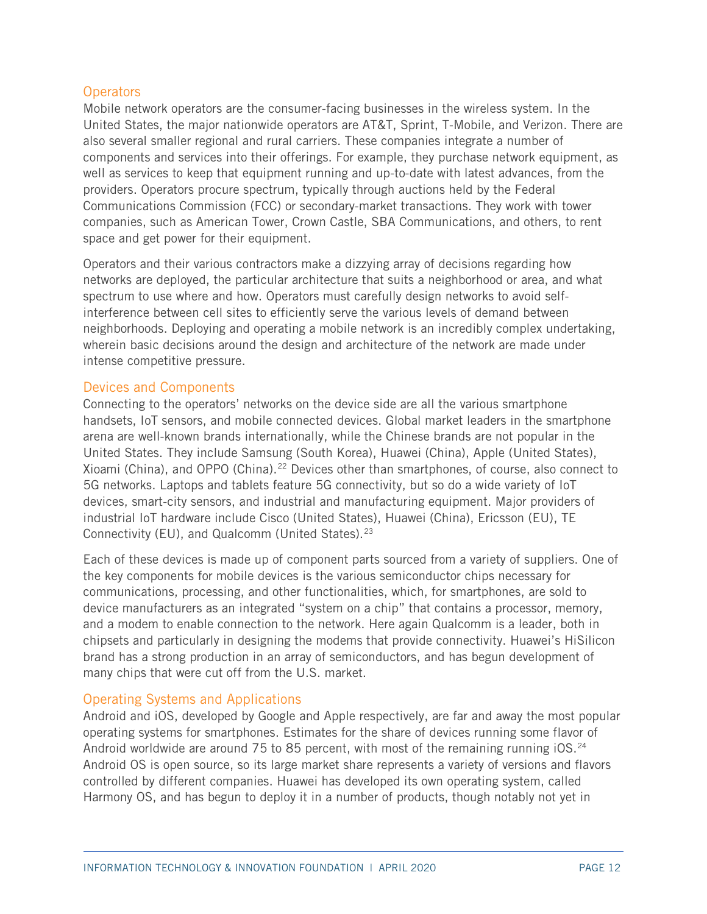#### **Operators**

Mobile network operators are the consumer-facing businesses in the wireless system. In the United States, the major nationwide operators are AT&T, Sprint, T-Mobile, and Verizon. There are also several smaller regional and rural carriers. These companies integrate a number of components and services into their offerings. For example, they purchase network equipment, as well as services to keep that equipment running and up-to-date with latest advances, from the providers. Operators procure spectrum, typically through auctions held by the Federal Communications Commission (FCC) or secondary-market transactions. They work with tower companies, such as American Tower, Crown Castle, SBA Communications, and others, to rent space and get power for their equipment.

Operators and their various contractors make a dizzying array of decisions regarding how networks are deployed, the particular architecture that suits a neighborhood or area, and what spectrum to use where and how. Operators must carefully design networks to avoid selfinterference between cell sites to efficiently serve the various levels of demand between neighborhoods. Deploying and operating a mobile network is an incredibly complex undertaking, wherein basic decisions around the design and architecture of the network are made under intense competitive pressure.

#### Devices and Components

Connecting to the operators' networks on the device side are all the various smartphone handsets, IoT sensors, and mobile connected devices. Global market leaders in the smartphone arena are well-known brands internationally, while the Chinese brands are not popular in the United States. They include Samsung (South Korea), Huawei (China), Apple (United States), Xioami (China), and OPPO (China).<sup>[22](#page-46-5)</sup> Devices other than smartphones, of course, also connect to 5G networks. Laptops and tablets feature 5G connectivity, but so do a wide variety of IoT devices, smart-city sensors, and industrial and manufacturing equipment. Major providers of industrial IoT hardware include Cisco (United States), Huawei (China), Ericsson (EU), TE Connectivity (EU), and Qualcomm (United States).[23](#page-46-6)

Each of these devices is made up of component parts sourced from a variety of suppliers. One of the key components for mobile devices is the various semiconductor chips necessary for communications, processing, and other functionalities, which, for smartphones, are sold to device manufacturers as an integrated "system on a chip" that contains a processor, memory, and a modem to enable connection to the network. Here again Qualcomm is a leader, both in chipsets and particularly in designing the modems that provide connectivity. Huawei's HiSilicon brand has a strong production in an array of semiconductors, and has begun development of many chips that were cut off from the U.S. market.

#### Operating Systems and Applications

Android and iOS, developed by Google and Apple respectively, are far and away the most popular operating systems for smartphones. Estimates for the share of devices running some flavor of Android worldwide are around 75 to 85 percent, with most of the remaining running iOS.<sup>[24](#page-46-7)</sup> Android OS is open source, so its large market share represents a variety of versions and flavors controlled by different companies. Huawei has developed its own operating system, called Harmony OS, and has begun to deploy it in a number of products, though notably not yet in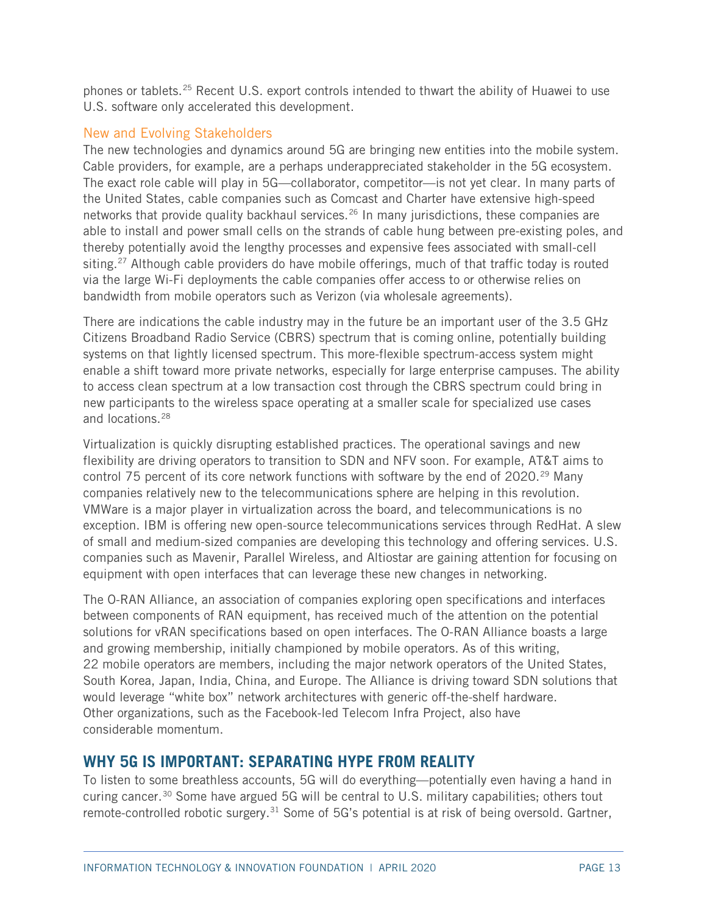phones or tablets.<sup>[25](#page-46-8)</sup> Recent U.S. export controls intended to thwart the ability of Huawei to use U.S. software only accelerated this development.

#### New and Evolving Stakeholders

The new technologies and dynamics around 5G are bringing new entities into the mobile system. Cable providers, for example, are a perhaps underappreciated stakeholder in the 5G ecosystem. The exact role cable will play in 5G—collaborator, competitor—is not yet clear. In many parts of the United States, cable companies such as Comcast and Charter have extensive high-speed networks that provide quality backhaul services.<sup>[26](#page-46-9)</sup> In many jurisdictions, these companies are able to install and power small cells on the strands of cable hung between pre-existing poles, and thereby potentially avoid the lengthy processes and expensive fees associated with small-cell siting.<sup>[27](#page-46-10)</sup> Although cable providers do have mobile offerings, much of that traffic today is routed via the large Wi-Fi deployments the cable companies offer access to or otherwise relies on bandwidth from mobile operators such as Verizon (via wholesale agreements).

There are indications the cable industry may in the future be an important user of the 3.5 GHz Citizens Broadband Radio Service (CBRS) spectrum that is coming online, potentially building systems on that lightly licensed spectrum. This more-flexible spectrum-access system might enable a shift toward more private networks, especially for large enterprise campuses. The ability to access clean spectrum at a low transaction cost through the CBRS spectrum could bring in new participants to the wireless space operating at a smaller scale for specialized use cases and locations.[28](#page-46-11)

Virtualization is quickly disrupting established practices. The operational savings and new flexibility are driving operators to transition to SDN and NFV soon. For example, AT&T aims to control 75 percent of its core network functions with software by the end of 2020.<sup>[29](#page-46-12)</sup> Many companies relatively new to the telecommunications sphere are helping in this revolution. VMWare is a major player in virtualization across the board, and telecommunications is no exception. IBM is offering new open-source telecommunications services through RedHat. A slew of small and medium-sized companies are developing this technology and offering services. U.S. companies such as Mavenir, Parallel Wireless, and Altiostar are gaining attention for focusing on equipment with open interfaces that can leverage these new changes in networking.

The O-RAN Alliance, an association of companies exploring open specifications and interfaces between components of RAN equipment, has received much of the attention on the potential solutions for vRAN specifications based on open interfaces. The O-RAN Alliance boasts a large and growing membership, initially championed by mobile operators. As of this writing, 22 mobile operators are members, including the major network operators of the United States, South Korea, Japan, India, China, and Europe. The Alliance is driving toward SDN solutions that would leverage "white box" network architectures with generic off-the-shelf hardware. Other organizations, such as the Facebook-led Telecom Infra Project, also have considerable momentum.

## **WHY 5G IS IMPORTANT: SEPARATING HYPE FROM REALITY**

To listen to some breathless accounts, 5G will do everything—potentially even having a hand in curing cancer.[30](#page-46-13) Some have argued 5G will be central to U.S. military capabilities; others tout remote-controlled robotic surgery.<sup>[31](#page-46-14)</sup> Some of 5G's potential is at risk of being oversold. Gartner,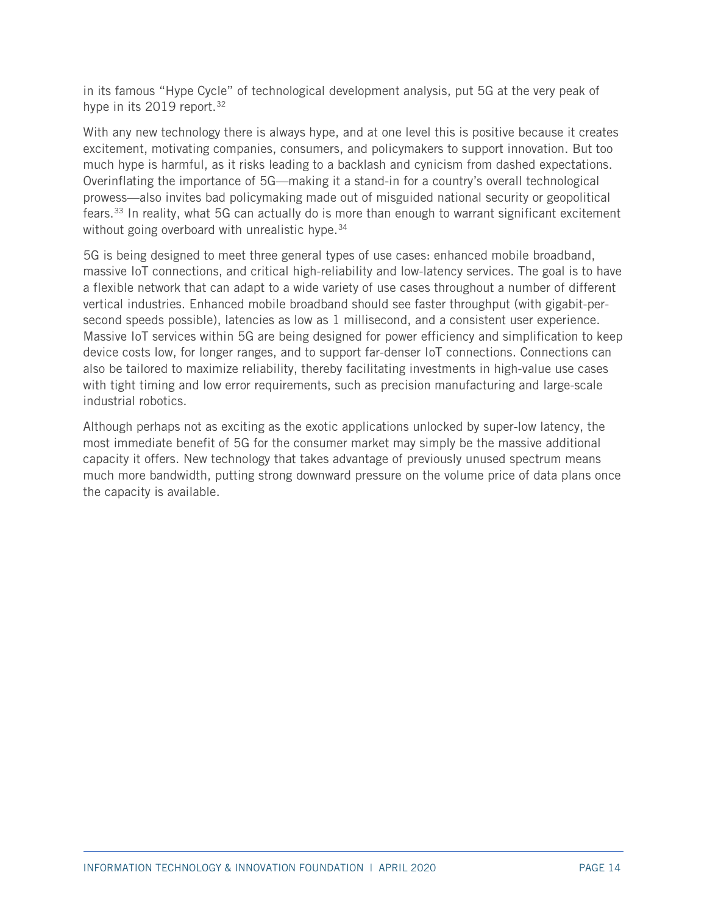in its famous "Hype Cycle" of technological development analysis, put 5G at the very peak of hype in its 2019 report.<sup>[32](#page-46-15)</sup>

With any new technology there is always hype, and at one level this is positive because it creates excitement, motivating companies, consumers, and policymakers to support innovation. But too much hype is harmful, as it risks leading to a backlash and cynicism from dashed expectations. Overinflating the importance of 5G—making it a stand-in for a country's overall technological prowess—also invites bad policymaking made out of misguided national security or geopolitical fears.[33](#page-47-0) In reality, what 5G can actually do is more than enough to warrant significant excitement without going overboard with unrealistic hype.<sup>[34](#page-47-1)</sup>

5G is being designed to meet three general types of use cases: enhanced mobile broadband, massive IoT connections, and critical high-reliability and low-latency services. The goal is to have a flexible network that can adapt to a wide variety of use cases throughout a number of different vertical industries. Enhanced mobile broadband should see faster throughput (with gigabit-persecond speeds possible), latencies as low as 1 millisecond, and a consistent user experience. Massive IoT services within 5G are being designed for power efficiency and simplification to keep device costs low, for longer ranges, and to support far-denser IoT connections. Connections can also be tailored to maximize reliability, thereby facilitating investments in high-value use cases with tight timing and low error requirements, such as precision manufacturing and large-scale industrial robotics.

Although perhaps not as exciting as the exotic applications unlocked by super-low latency, the most immediate benefit of 5G for the consumer market may simply be the massive additional capacity it offers. New technology that takes advantage of previously unused spectrum means much more bandwidth, putting strong downward pressure on the volume price of data plans once the capacity is available.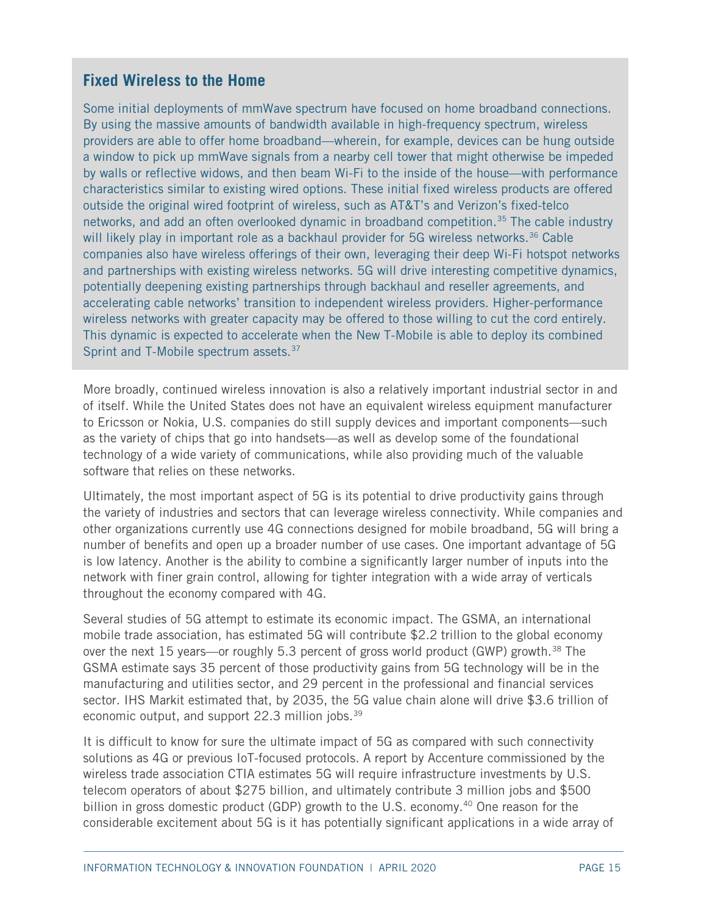# **Fixed Wireless to the Home**

Some initial deployments of mmWave spectrum have focused on home broadband connections. By using the massive amounts of bandwidth available in high-frequency spectrum, wireless providers are able to offer home broadband—wherein, for example, devices can be hung outside a window to pick up mmWave signals from a nearby cell tower that might otherwise be impeded by walls or reflective widows, and then beam Wi-Fi to the inside of the house—with performance characteristics similar to existing wired options. These initial fixed wireless products are offered outside the original wired footprint of wireless, such as AT&T's and Verizon's fixed-telco networks, and add an often overlooked dynamic in broadband competition.<sup>[35](#page-47-2)</sup> The cable industry will likely play in important role as a backhaul provider for 5G wireless networks.<sup>[36](#page-47-3)</sup> Cable companies also have wireless offerings of their own, leveraging their deep Wi-Fi hotspot networks and partnerships with existing wireless networks. 5G will drive interesting competitive dynamics, potentially deepening existing partnerships through backhaul and reseller agreements, and accelerating cable networks' transition to independent wireless providers. Higher-performance wireless networks with greater capacity may be offered to those willing to cut the cord entirely. This dynamic is expected to accelerate when the New T-Mobile is able to deploy its combined Sprint and T-Mobile spectrum assets[.](#page-47-4)<sup>37</sup>

More broadly, continued wireless innovation is also a relatively important industrial sector in and of itself. While the United States does not have an equivalent wireless equipment manufacturer to Ericsson or Nokia, U.S. companies do still supply devices and important components—such as the variety of chips that go into handsets—as well as develop some of the foundational technology of a wide variety of communications, while also providing much of the valuable software that relies on these networks.

Ultimately, the most important aspect of 5G is its potential to drive productivity gains through the variety of industries and sectors that can leverage wireless connectivity. While companies and other organizations currently use 4G connections designed for mobile broadband, 5G will bring a number of benefits and open up a broader number of use cases. One important advantage of 5G is low latency. Another is the ability to combine a significantly larger number of inputs into the network with finer grain control, allowing for tighter integration with a wide array of verticals throughout the economy compared with 4G.

Several studies of 5G attempt to estimate its economic impact. The GSMA, an international mobile trade association, has estimated 5G will contribute \$2.2 trillion to the global economy over the next 15 years—or roughly 5.3 percent of gross world product (GWP) growth.<sup>38</sup> The GSMA estimate says 35 percent of those productivity gains from 5G technology will be in the manufacturing and utilities sector, and 29 percent in the professional and financial services sector. IHS Markit estimated that, by 2035, the 5G value chain alone will drive \$3.6 trillion of economic output, and support 22.3 million jobs.<sup>[39](#page-47-6)</sup>

It is difficult to know for sure the ultimate impact of 5G as compared with such connectivity solutions as 4G or previous IoT-focused protocols. A report by Accenture commissioned by the wireless trade association CTIA estimates 5G will require infrastructure investments by U.S. telecom operators of about \$275 billion, and ultimately contribute 3 million jobs and \$500 billion in gross domestic product (GDP) growth to the U.S. economy.<sup>[40](#page-47-7)</sup> One reason for the considerable excitement about 5G is it has potentially significant applications in a wide array of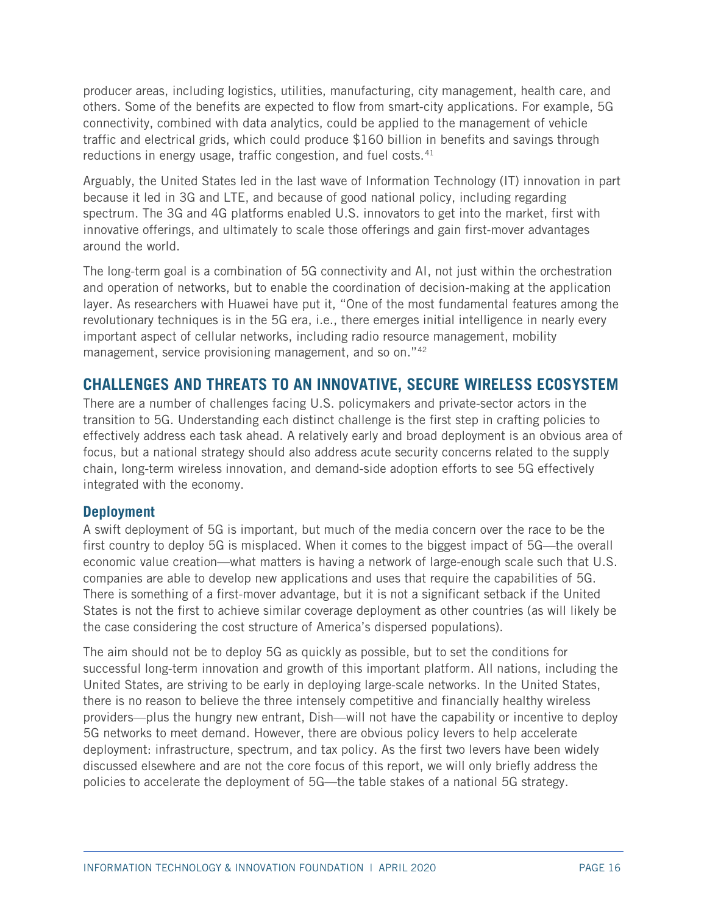producer areas, including logistics, utilities, manufacturing, city management, health care, and others. Some of the benefits are expected to flow from smart-city applications. For example, 5G connectivity, combined with data analytics, could be applied to the management of vehicle traffic and electrical grids, which could produce \$160 billion in benefits and savings through reductions in energy usage, traffic congestion, and fuel costs.<sup>[41](#page-47-8)</sup>

Arguably, the United States led in the last wave of Information Technology (IT) innovation in part because it led in 3G and LTE, and because of good national policy, including regarding spectrum. The 3G and 4G platforms enabled U.S. innovators to get into the market, first with innovative offerings, and ultimately to scale those offerings and gain first-mover advantages around the world.

The long-term goal is a combination of 5G connectivity and AI, not just within the orchestration and operation of networks, but to enable the coordination of decision-making at the application layer. As researchers with Huawei have put it, "One of the most fundamental features among the revolutionary techniques is in the 5G era, i.e., there emerges initial intelligence in nearly every important aspect of cellular networks, including radio resource management, mobility management, service provisioning management, and so on."[42](#page-47-9)

# **CHALLENGES AND THREATS TO AN INNOVATIVE, SECURE WIRELESS ECOSYSTEM**

There are a number of challenges facing U.S. policymakers and private-sector actors in the transition to 5G. Understanding each distinct challenge is the first step in crafting policies to effectively address each task ahead. A relatively early and broad deployment is an obvious area of focus, but a national strategy should also address acute security concerns related to the supply chain, long-term wireless innovation, and demand-side adoption efforts to see 5G effectively integrated with the economy.

#### **Deployment**

A swift deployment of 5G is important, but much of the media concern over the race to be the first country to deploy 5G is misplaced. When it comes to the biggest impact of 5G—the overall economic value creation—what matters is having a network of large-enough scale such that U.S. companies are able to develop new applications and uses that require the capabilities of 5G. There is something of a first-mover advantage, but it is not a significant setback if the United States is not the first to achieve similar coverage deployment as other countries (as will likely be the case considering the cost structure of America's dispersed populations).

The aim should not be to deploy 5G as quickly as possible, but to set the conditions for successful long-term innovation and growth of this important platform. All nations, including the United States, are striving to be early in deploying large-scale networks. In the United States, there is no reason to believe the three intensely competitive and financially healthy wireless providers—plus the hungry new entrant, Dish—will not have the capability or incentive to deploy 5G networks to meet demand. However, there are obvious policy levers to help accelerate deployment: infrastructure, spectrum, and tax policy. As the first two levers have been widely discussed elsewhere and are not the core focus of this report, we will only briefly address the policies to accelerate the deployment of 5G—the table stakes of a national 5G strategy.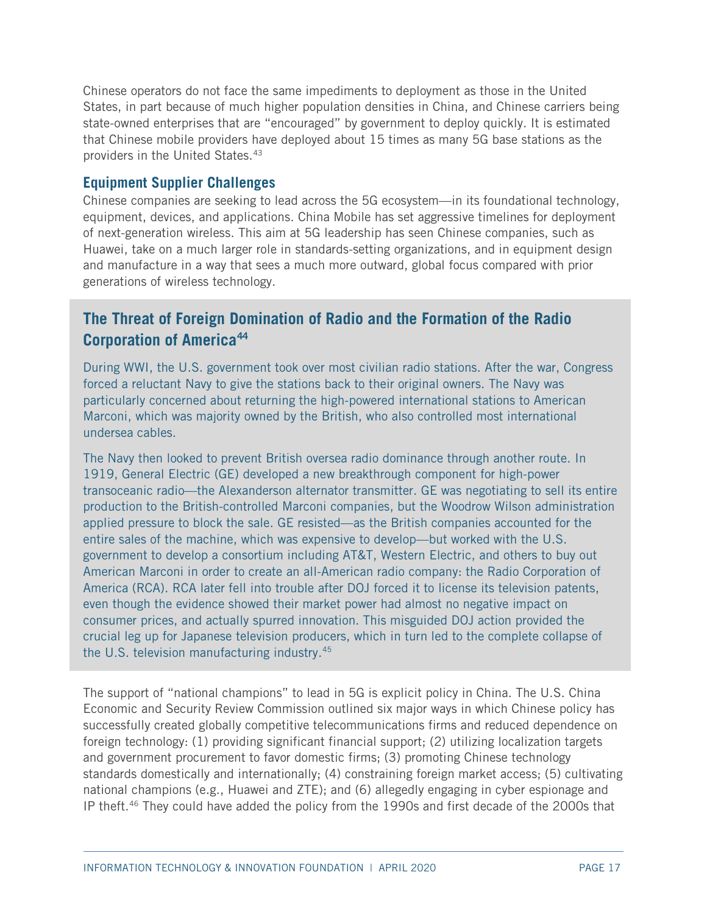Chinese operators do not face the same impediments to deployment as those in the United States, in part because of much higher population densities in China, and Chinese carriers being state-owned enterprises that are "encouraged" by government to deploy quickly. It is estimated that Chinese mobile providers have deployed about 15 times as many 5G base stations as the providers in the United States.[43](#page-47-10)

## **Equipment Supplier Challenges**

Chinese companies are seeking to lead across the 5G ecosystem—in its foundational technology, equipment, devices, and applications. China Mobile has set aggressive timelines for deployment of next-generation wireless. This aim at 5G leadership has seen Chinese companies, such as Huawei, take on a much larger role in standards-setting organizations, and in equipment design and manufacture in a way that sees a much more outward, global focus compared with prior generations of wireless technology.

# **The Threat of Foreign Domination of Radio and the Formation of the Radio Corporation of America[44](#page-47-11)**

During WWI, the U.S. government took over most civilian radio stations. After the war, Congress forced a reluctant Navy to give the stations back to their original owners. The Navy was particularly concerned about returning the high-powered international stations to American Marconi, which was majority owned by the British, who also controlled most international undersea cables.

The Navy then looked to prevent British oversea radio dominance through another route. In 1919, General Electric (GE) developed a new breakthrough component for high-power transoceanic radio—the Alexanderson alternator transmitter. GE was negotiating to sell its entire production to the British-controlled Marconi companies, but the Woodrow Wilson administration applied pressure to block the sale. GE resisted—as the British companies accounted for the entire sales of the machine, which was expensive to develop—but worked with the U.S. government to develop a consortium including AT&T, Western Electric, and others to buy out American Marconi in order to create an all-American radio company: the Radio Corporation of America (RCA). RCA later fell into trouble after DOJ forced it to license its television patents, even though the evidence showed their market power had almost no negative impact on consumer prices, and actually spurred innovation. This misguided DOJ action provided the crucial leg up for Japanese television prod[uce](#page-47-12)rs, which in turn led to the complete collapse of the U.S. television manufacturing industry.45

The support of "national champions" to lead in 5G is explicit policy in China. The U.S. China Economic and Security Review Commission outlined six major ways in which Chinese policy has successfully created globally competitive telecommunications firms and reduced dependence on foreign technology: (1) providing significant financial support; (2) utilizing localization targets and government procurement to favor domestic firms; (3) promoting Chinese technology standards domestically and internationally; (4) constraining foreign market access; (5) cultivating national champions (e.g., Huawei and ZTE); and (6) allegedly engaging in cyber espionage and IP theft.[46](#page-47-13) They could have added the policy from the 1990s and first decade of the 2000s that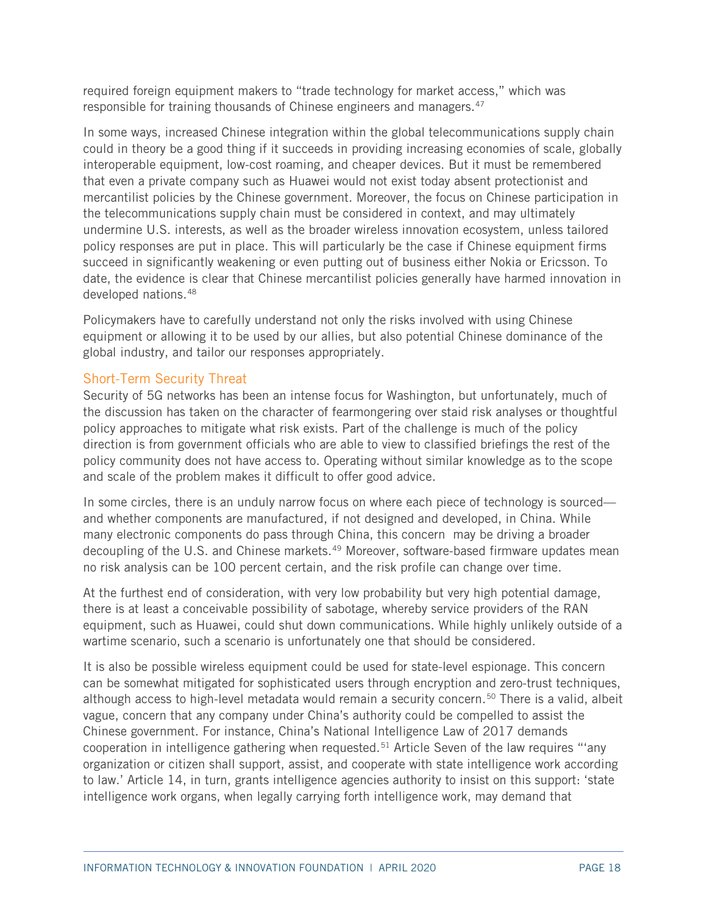required foreign equipment makers to "trade technology for market access," which was responsible for training thousands of Chinese engineers and managers.<sup>[47](#page-47-14)</sup>

In some ways, increased Chinese integration within the global telecommunications supply chain could in theory be a good thing if it succeeds in providing increasing economies of scale, globally interoperable equipment, low-cost roaming, and cheaper devices. But it must be remembered that even a private company such as Huawei would not exist today absent protectionist and mercantilist policies by the Chinese government. Moreover, the focus on Chinese participation in the telecommunications supply chain must be considered in context, and may ultimately undermine U.S. interests, as well as the broader wireless innovation ecosystem, unless tailored policy responses are put in place. This will particularly be the case if Chinese equipment firms succeed in significantly weakening or even putting out of business either Nokia or Ericsson. To date, the evidence is clear that Chinese mercantilist policies generally have harmed innovation in developed nations.[48](#page-47-15)

Policymakers have to carefully understand not only the risks involved with using Chinese equipment or allowing it to be used by our allies, but also potential Chinese dominance of the global industry, and tailor our responses appropriately.

#### Short-Term Security Threat

Security of 5G networks has been an intense focus for Washington, but unfortunately, much of the discussion has taken on the character of fearmongering over staid risk analyses or thoughtful policy approaches to mitigate what risk exists. Part of the challenge is much of the policy direction is from government officials who are able to view to classified briefings the rest of the policy community does not have access to. Operating without similar knowledge as to the scope and scale of the problem makes it difficult to offer good advice.

In some circles, there is an unduly narrow focus on where each piece of technology is sourced and whether components are manufactured, if not designed and developed, in China. While many electronic components do pass through China, this concern may be driving a broader decoupling of the U.S. and Chinese markets.<sup>[49](#page-47-16)</sup> Moreover, software-based firmware updates mean no risk analysis can be 100 percent certain, and the risk profile can change over time.

At the furthest end of consideration, with very low probability but very high potential damage, there is at least a conceivable possibility of sabotage, whereby service providers of the RAN equipment, such as Huawei, could shut down communications. While highly unlikely outside of a wartime scenario, such a scenario is unfortunately one that should be considered.

It is also be possible wireless equipment could be used for state-level espionage. This concern can be somewhat mitigated for sophisticated users through encryption and zero-trust techniques, although access to high-level metadata would remain a security concern. [50](#page-47-17) There is a valid, albeit vague, concern that any company under China's authority could be compelled to assist the Chinese government. For instance, China's National Intelligence Law of 2017 demands cooperation in intelligence gathering when requested.<sup>[51](#page-48-0)</sup> Article Seven of the law requires "'any organization or citizen shall support, assist, and cooperate with state intelligence work according to law.' Article 14, in turn, grants intelligence agencies authority to insist on this support: 'state intelligence work organs, when legally carrying forth intelligence work, may demand that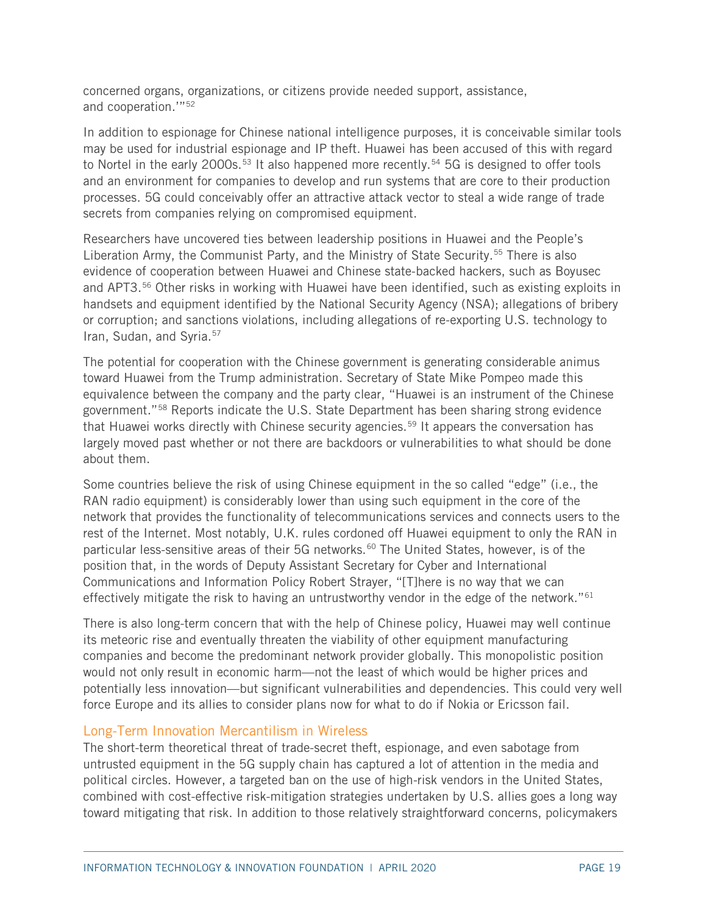concerned organs, organizations, or citizens provide needed support, assistance, and cooperation.'"[52](#page-48-1)

In addition to espionage for Chinese national intelligence purposes, it is conceivable similar tools may be used for industrial espionage and IP theft. Huawei has been accused of this with regard to Nortel in the early 2000s.<sup>[53](#page-48-2)</sup> It also happened more recently.<sup>[54](#page-48-3)</sup> 5G is designed to offer tools and an environment for companies to develop and run systems that are core to their production processes. 5G could conceivably offer an attractive attack vector to steal a wide range of trade secrets from companies relying on compromised equipment.

Researchers have uncovered ties between leadership positions in Huawei and the People's Liberation Army, the Communist Party, and the Ministry of State Security.<sup>[55](#page-48-4)</sup> There is also evidence of cooperation between Huawei and Chinese state-backed hackers, such as Boyusec and APT3.[56](#page-48-5) Other risks in working with Huawei have been identified, such as existing exploits in handsets and equipment identified by the National Security Agency (NSA); allegations of bribery or corruption; and sanctions violations, including allegations of re-exporting U.S. technology to Iran, Sudan, and Syria. [57](#page-48-6)

The potential for cooperation with the Chinese government is generating considerable animus toward Huawei from the Trump administration. Secretary of State Mike Pompeo made this equivalence between the company and the party clear, "Huawei is an instrument of the Chinese government."[58](#page-48-7) Reports indicate the U.S. State Department has been sharing strong evidence that Huawei works directly with Chinese security agencies.<sup>[59](#page-48-8)</sup> It appears the conversation has largely moved past whether or not there are backdoors or vulnerabilities to what should be done about them.

Some countries believe the risk of using Chinese equipment in the so called "edge" (i.e., the RAN radio equipment) is considerably lower than using such equipment in the core of the network that provides the functionality of telecommunications services and connects users to the rest of the Internet. Most notably, U.K. rules cordoned off Huawei equipment to only the RAN in particular less-sensitive areas of their 5G networks.<sup>[60](#page-48-9)</sup> The United States, however, is of the position that, in the words of Deputy Assistant Secretary for Cyber and International Communications and Information Policy Robert Strayer, "[T]here is no way that we can effectively mitigate the risk to having an untrustworthy vendor in the edge of the network."<sup>[61](#page-48-10)</sup>

There is also long-term concern that with the help of Chinese policy, Huawei may well continue its meteoric rise and eventually threaten the viability of other equipment manufacturing companies and become the predominant network provider globally. This monopolistic position would not only result in economic harm—not the least of which would be higher prices and potentially less innovation—but significant vulnerabilities and dependencies. This could very well force Europe and its allies to consider plans now for what to do if Nokia or Ericsson fail.

#### Long-Term Innovation Mercantilism in Wireless

The short-term theoretical threat of trade-secret theft, espionage, and even sabotage from untrusted equipment in the 5G supply chain has captured a lot of attention in the media and political circles. However, a targeted ban on the use of high-risk vendors in the United States, combined with cost-effective risk-mitigation strategies undertaken by U.S. allies goes a long way toward mitigating that risk. In addition to those relatively straightforward concerns, policymakers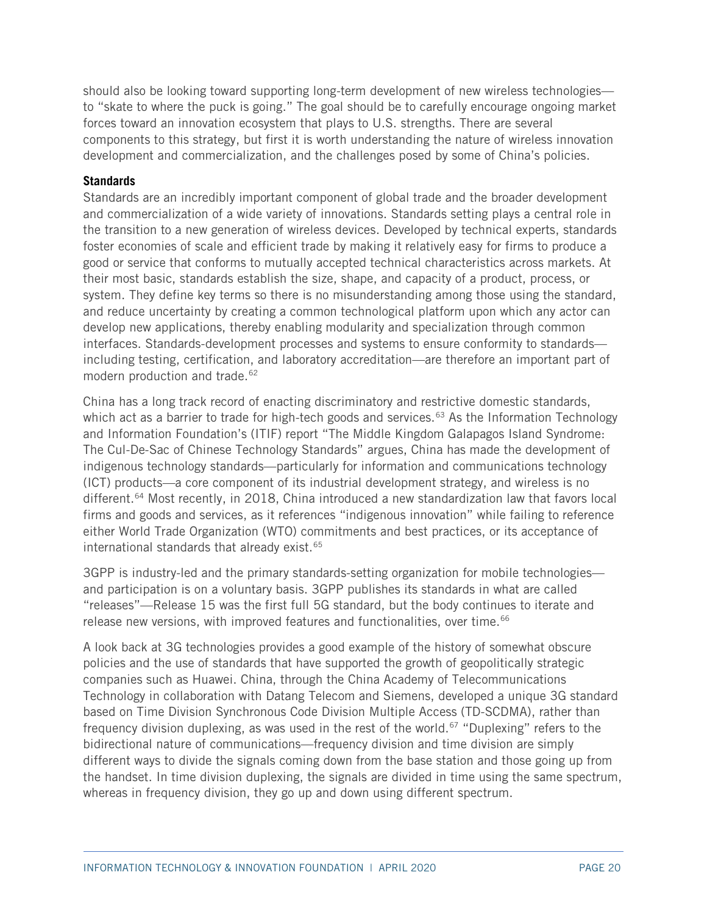should also be looking toward supporting long-term development of new wireless technologies to "skate to where the puck is going." The goal should be to carefully encourage ongoing market forces toward an innovation ecosystem that plays to U.S. strengths. There are several components to this strategy, but first it is worth understanding the nature of wireless innovation development and commercialization, and the challenges posed by some of China's policies.

#### **Standards**

Standards are an incredibly important component of global trade and the broader development and commercialization of a wide variety of innovations. Standards setting plays a central role in the transition to a new generation of wireless devices. Developed by technical experts, standards foster economies of scale and efficient trade by making it relatively easy for firms to produce a good or service that conforms to mutually accepted technical characteristics across markets. At their most basic, standards establish the size, shape, and capacity of a product, process, or system. They define key terms so there is no misunderstanding among those using the standard, and reduce uncertainty by creating a common technological platform upon which any actor can develop new applications, thereby enabling modularity and specialization through common interfaces. Standards-development processes and systems to ensure conformity to standards including testing, certification, and laboratory accreditation—are therefore an important part of modern production and trade.<sup>[62](#page-48-11)</sup>

China has a long track record of enacting discriminatory and restrictive domestic standards, which act as a barrier to trade for high-tech goods and services.<sup>[63](#page-48-12)</sup> As the Information Technology and Information Foundation's (ITIF) report "The Middle Kingdom Galapagos Island Syndrome: The Cul-De-Sac of Chinese Technology Standards" argues, China has made the development of indigenous technology standards—particularly for information and communications technology (ICT) products—a core component of its industrial development strategy, and wireless is no different.<sup>[64](#page-48-13)</sup> Most recently, in 2018, China introduced a new standardization law that favors local firms and goods and services, as it references "indigenous innovation" while failing to reference either World Trade Organization (WTO) commitments and best practices, or its acceptance of international standards that already exist.<sup>65</sup>

3GPP is industry-led and the primary standards-setting organization for mobile technologies and participation is on a voluntary basis. 3GPP publishes its standards in what are called "releases"—Release 15 was the first full 5G standard, but the body continues to iterate and release new versions, with improved features and functionalities, over time.<sup>[66](#page-48-15)</sup>

A look back at 3G technologies provides a good example of the history of somewhat obscure policies and the use of standards that have supported the growth of geopolitically strategic companies such as Huawei. China, through the China Academy of Telecommunications Technology in collaboration with Datang Telecom and Siemens, developed a unique 3G standard based on Time Division Synchronous Code Division Multiple Access (TD-SCDMA), rather than frequency division duplexing, as was used in the rest of the world.<sup>[67](#page-48-16)</sup> "Duplexing" refers to the bidirectional nature of communications—frequency division and time division are simply different ways to divide the signals coming down from the base station and those going up from the handset. In time division duplexing, the signals are divided in time using the same spectrum, whereas in frequency division, they go up and down using different spectrum.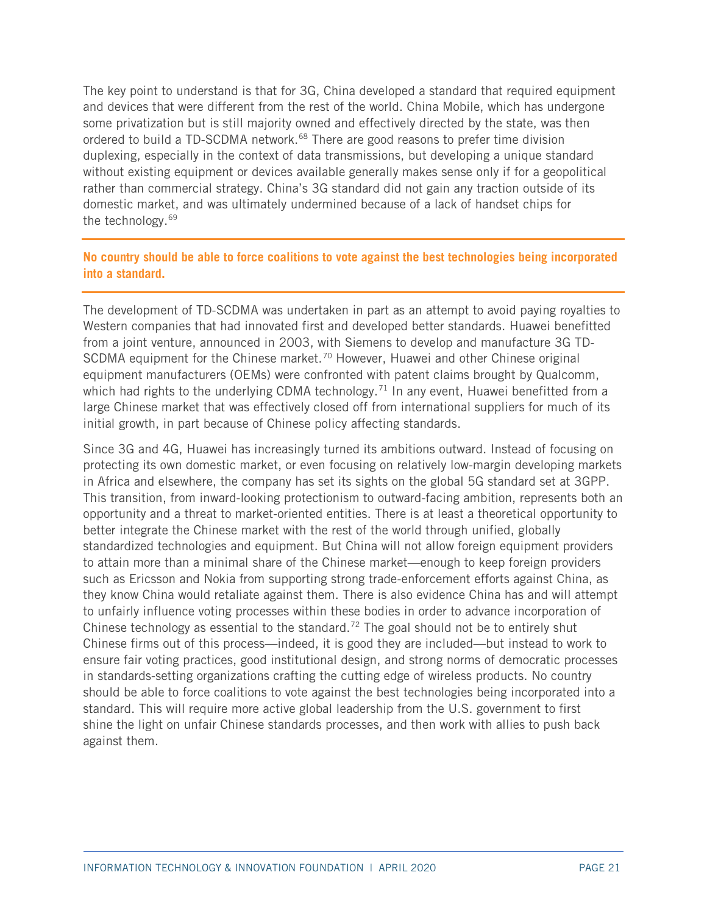The key point to understand is that for 3G, China developed a standard that required equipment and devices that were different from the rest of the world. China Mobile, which has undergone some privatization but is still majority owned and effectively directed by the state, was then ordered to build a TD-SCDMA network.<sup>[68](#page-49-0)</sup> There are good reasons to prefer time division duplexing, especially in the context of data transmissions, but developing a unique standard without existing equipment or devices available generally makes sense only if for a geopolitical rather than commercial strategy. China's 3G standard did not gain any traction outside of its domestic market, and was ultimately undermined because of a lack of handset chips for the technology.<sup>[69](#page-49-1)</sup>

#### **No country should be able to force coalitions to vote against the best technologies being incorporated into a standard.**

The development of TD-SCDMA was undertaken in part as an attempt to avoid paying royalties to Western companies that had innovated first and developed better standards. Huawei benefitted from a joint venture, announced in 2003, with Siemens to develop and manufacture 3G TD-SCDMA equipment for the Chinese market.<sup>70</sup> However, Huawei and other Chinese original equipment manufacturers (OEMs) were confronted with patent claims brought by Qualcomm, which had rights to the underlying CDMA technology.<sup>[71](#page-49-3)</sup> In any event, Huawei benefitted from a large Chinese market that was effectively closed off from international suppliers for much of its initial growth, in part because of Chinese policy affecting standards.

Since 3G and 4G, Huawei has increasingly turned its ambitions outward. Instead of focusing on protecting its own domestic market, or even focusing on relatively low-margin developing markets in Africa and elsewhere, the company has set its sights on the global 5G standard set at 3GPP. This transition, from inward-looking protectionism to outward-facing ambition, represents both an opportunity and a threat to market-oriented entities. There is at least a theoretical opportunity to better integrate the Chinese market with the rest of the world through unified, globally standardized technologies and equipment. But China will not allow foreign equipment providers to attain more than a minimal share of the Chinese market—enough to keep foreign providers such as Ericsson and Nokia from supporting strong trade-enforcement efforts against China, as they know China would retaliate against them. There is also evidence China has and will attempt to unfairly influence voting processes within these bodies in order to advance incorporation of Chinese technology as essential to the standard.<sup>[72](#page-49-4)</sup> The goal should not be to entirely shut Chinese firms out of this process—indeed, it is good they are included—but instead to work to ensure fair voting practices, good institutional design, and strong norms of democratic processes in standards-setting organizations crafting the cutting edge of wireless products. No country should be able to force coalitions to vote against the best technologies being incorporated into a standard. This will require more active global leadership from the U.S. government to first shine the light on unfair Chinese standards processes, and then work with allies to push back against them.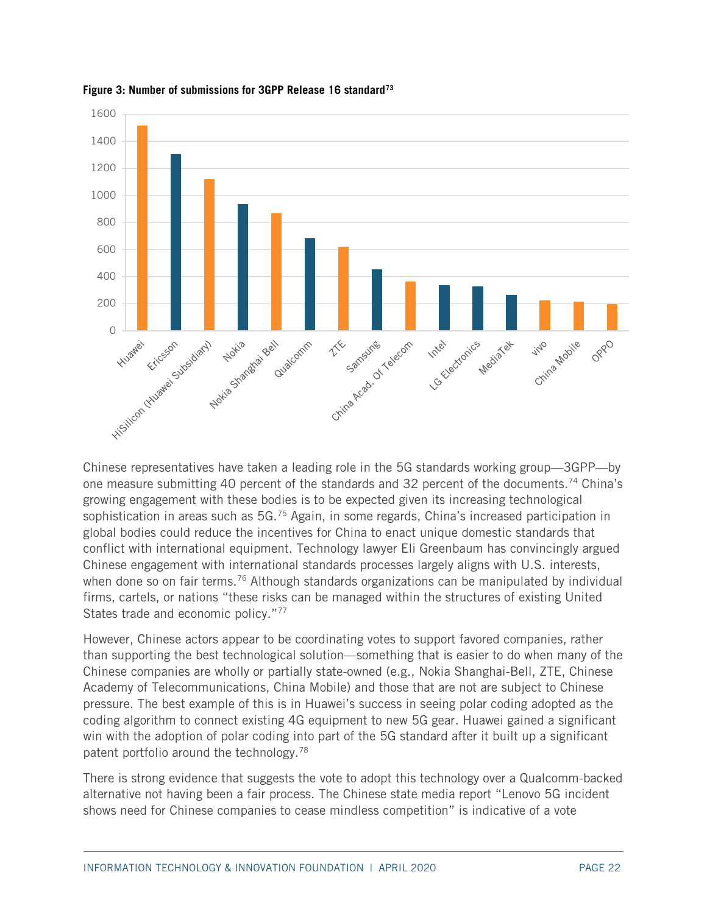

**Figure 3: Number of submissions for 3GPP Release 16 standard[73](#page-49-5)**

Chinese representatives have taken a leading role in the 5G standards working group—3GPP—by one measure submitting 40 percent of the standards and 32 percent of the documents.<sup>[74](#page-49-6)</sup> China's growing engagement with these bodies is to be expected given its increasing technological sophistication in areas such as 5G.<sup>[75](#page-49-7)</sup> Again, in some regards, China's increased participation in global bodies could reduce the incentives for China to enact unique domestic standards that conflict with international equipment. Technology lawyer Eli Greenbaum has convincingly argued Chinese engagement with international standards processes largely aligns with U.S. interests, when done so on fair terms.<sup>[76](#page-49-8)</sup> Although standards organizations can be manipulated by individual firms, cartels, or nations "these risks can be managed within the structures of existing United States trade and economic policy."<sup>[77](#page-49-9)</sup>

However, Chinese actors appear to be coordinating votes to support favored companies, rather than supporting the best technological solution—something that is easier to do when many of the Chinese companies are wholly or partially state-owned (e.g., Nokia Shanghai-Bell, ZTE, Chinese Academy of Telecommunications, China Mobile) and those that are not are subject to Chinese pressure. The best example of this is in Huawei's success in seeing polar coding adopted as the coding algorithm to connect existing 4G equipment to new 5G gear. Huawei gained a significant win with the adoption of polar coding into part of the 5G standard after it built up a significant patent portfolio around the technology.<sup>[78](#page-49-10)</sup>

There is strong evidence that suggests the vote to adopt this technology over a Qualcomm-backed alternative not having been a fair process. The Chinese state media report "Lenovo 5G incident shows need for Chinese companies to cease mindless competition" is indicative of a vote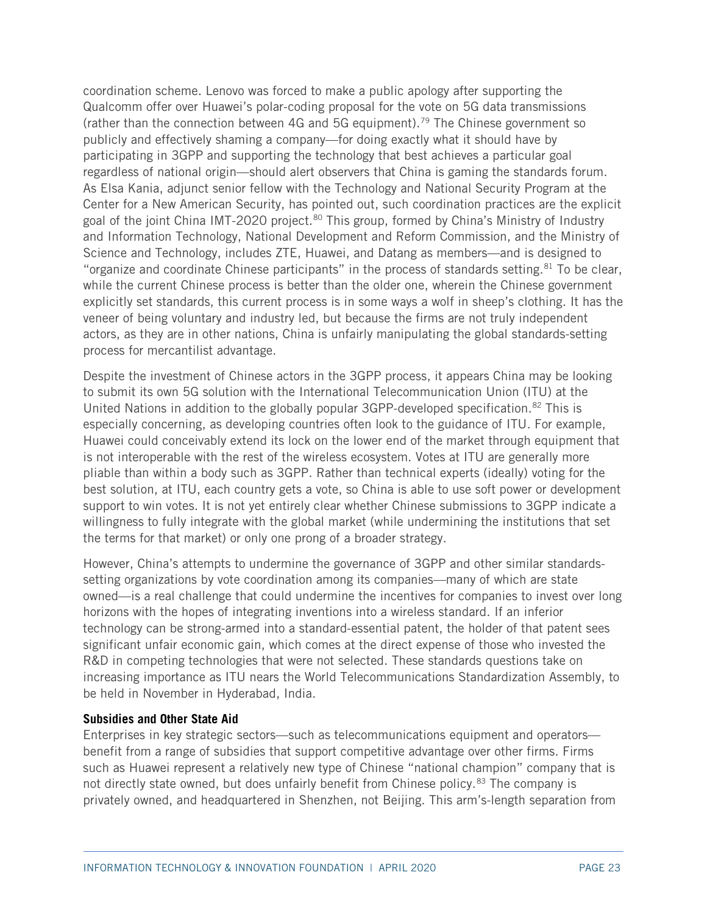coordination scheme. Lenovo was forced to make a public apology after supporting the Qualcomm offer over Huawei's polar-coding proposal for the vote on 5G data transmissions (rather than the connection between 4G and 5G equipment).<sup>[79](#page-49-11)</sup> The Chinese government so publicly and effectively shaming a company—for doing exactly what it should have by participating in 3GPP and supporting the technology that best achieves a particular goal regardless of national origin—should alert observers that China is gaming the standards forum. As Elsa Kania, adjunct senior fellow with the Technology and National Security Program at the Center for a New American Security, has pointed out, such coordination practices are the explicit goal of the joint China IMT-2020 project.<sup>[80](#page-49-12)</sup> This group, formed by China's Ministry of Industry and Information Technology, National Development and Reform Commission, and the Ministry of Science and Technology, includes ZTE, Huawei, and Datang as members—and is designed to "organize and coordinate Chinese participants" in the process of standards setting.<sup>[81](#page-49-13)</sup> To be clear, while the current Chinese process is better than the older one, wherein the Chinese government explicitly set standards, this current process is in some ways a wolf in sheep's clothing. It has the veneer of being voluntary and industry led, but because the firms are not truly independent actors, as they are in other nations, China is unfairly manipulating the global standards-setting process for mercantilist advantage.

Despite the investment of Chinese actors in the 3GPP process, it appears China may be looking to submit its own 5G solution with the International Telecommunication Union (ITU) at the United Nations in addition to the globally popular 3GPP-developed specification.<sup>[82](#page-49-14)</sup> This is especially concerning, as developing countries often look to the guidance of ITU. For example, Huawei could conceivably extend its lock on the lower end of the market through equipment that is not interoperable with the rest of the wireless ecosystem. Votes at ITU are generally more pliable than within a body such as 3GPP. Rather than technical experts (ideally) voting for the best solution, at ITU, each country gets a vote, so China is able to use soft power or development support to win votes. It is not yet entirely clear whether Chinese submissions to 3GPP indicate a willingness to fully integrate with the global market (while undermining the institutions that set the terms for that market) or only one prong of a broader strategy.

However, China's attempts to undermine the governance of 3GPP and other similar standardssetting organizations by vote coordination among its companies—many of which are state owned—is a real challenge that could undermine the incentives for companies to invest over long horizons with the hopes of integrating inventions into a wireless standard. If an inferior technology can be strong-armed into a standard-essential patent, the holder of that patent sees significant unfair economic gain, which comes at the direct expense of those who invested the R&D in competing technologies that were not selected. These standards questions take on increasing importance as ITU nears the World Telecommunications Standardization Assembly, to be held in November in Hyderabad, India.

#### **Subsidies and Other State Aid**

Enterprises in key strategic sectors—such as telecommunications equipment and operators benefit from a range of subsidies that support competitive advantage over other firms. Firms such as Huawei represent a relatively new type of Chinese "national champion" company that is not directly state owned, but does unfairly benefit from Chinese policy.<sup>[83](#page-49-15)</sup> The company is privately owned, and headquartered in Shenzhen, not Beijing. This arm's-length separation from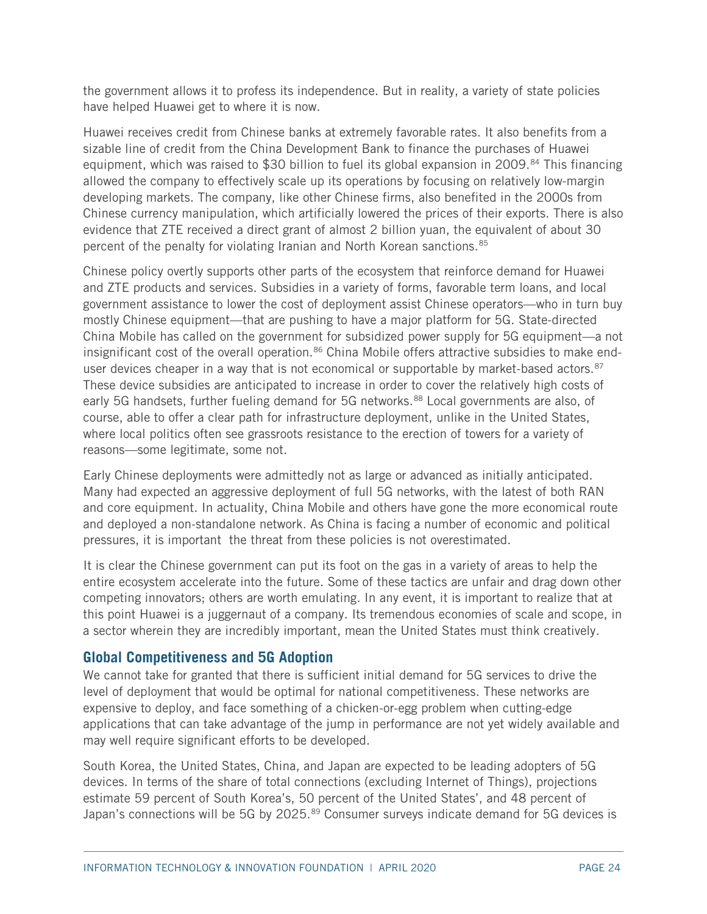the government allows it to profess its independence. But in reality, a variety of state policies have helped Huawei get to where it is now.

Huawei receives credit from Chinese banks at extremely favorable rates. It also benefits from a sizable line of credit from the China Development Bank to finance the purchases of Huawei equipment, which was raised to \$30 billion to fuel its global expansion in 2009.<sup>[84](#page-49-16)</sup> This financing allowed the company to effectively scale up its operations by focusing on relatively low-margin developing markets. The company, like other Chinese firms, also benefited in the 2000s from Chinese currency manipulation, which artificially lowered the prices of their exports. There is also evidence that ZTE received a direct grant of almost 2 billion yuan, the equivalent of about 30 percent of the penalty for violating Iranian and North Korean sanctions.<sup>85</sup>

Chinese policy overtly supports other parts of the ecosystem that reinforce demand for Huawei and ZTE products and services. Subsidies in a variety of forms, favorable term loans, and local government assistance to lower the cost of deployment assist Chinese operators—who in turn buy mostly Chinese equipment—that are pushing to have a major platform for 5G. State-directed China Mobile has called on the government for subsidized power supply for 5G equipment—a not insignificant cost of the overall operation.<sup>[86](#page-50-1)</sup> China Mobile offers attractive subsidies to make end-user devices cheaper in a way that is not economical or supportable by market-based actors.<sup>[87](#page-50-2)</sup> These device subsidies are anticipated to increase in order to cover the relatively high costs of early 5G handsets, further fueling demand for 5G networks.<sup>[88](#page-50-3)</sup> Local governments are also, of course, able to offer a clear path for infrastructure deployment, unlike in the United States, where local politics often see grassroots resistance to the erection of towers for a variety of reasons—some legitimate, some not.

Early Chinese deployments were admittedly not as large or advanced as initially anticipated. Many had expected an aggressive deployment of full 5G networks, with the latest of both RAN and core equipment. In actuality, China Mobile and others have gone the more economical route and deployed a non-standalone network. As China is facing a number of economic and political pressures, it is important the threat from these policies is not overestimated.

It is clear the Chinese government can put its foot on the gas in a variety of areas to help the entire ecosystem accelerate into the future. Some of these tactics are unfair and drag down other competing innovators; others are worth emulating. In any event, it is important to realize that at this point Huawei is a juggernaut of a company. Its tremendous economies of scale and scope, in a sector wherein they are incredibly important, mean the United States must think creatively.

#### **Global Competitiveness and 5G Adoption**

We cannot take for granted that there is sufficient initial demand for 5G services to drive the level of deployment that would be optimal for national competitiveness. These networks are expensive to deploy, and face something of a chicken-or-egg problem when cutting-edge applications that can take advantage of the jump in performance are not yet widely available and may well require significant efforts to be developed.

South Korea, the United States, China, and Japan are expected to be leading adopters of 5G devices. In terms of the share of total connections (excluding Internet of Things), projections estimate 59 percent of South Korea's, 50 percent of the United States', and 48 percent of Japan's connections will be 5G by 2025.<sup>[89](#page-50-4)</sup> Consumer surveys indicate demand for 5G devices is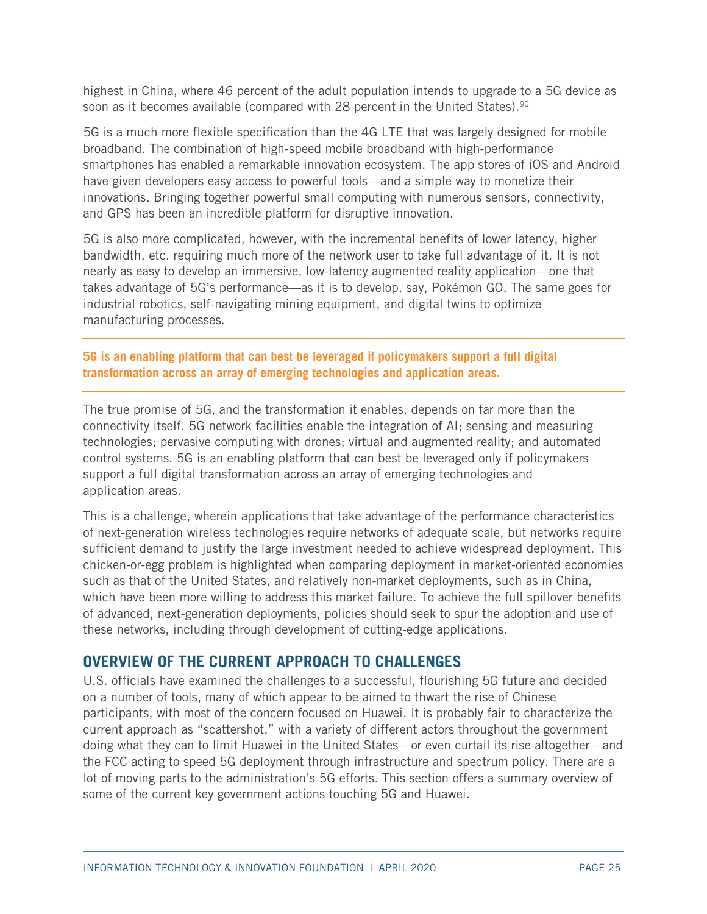highest in China, where 46 percent of the adult population intends to upgrade to a 5G device as soon as it becomes available (compared with  $28$  percent in the United States).<sup>90</sup>

5G is a much more flexible specification than the 4G LTE that was largely designed for mobile broadband. The combination of high-speed mobile broadband with high-performance smartphones has enabled a remarkable innovation ecosystem. The app stores of iOS and Android have given developers easy access to powerful tools—and a simple way to monetize their innovations. Bringing together powerful small computing with numerous sensors, connectivity, and GPS has been an incredible platform for disruptive innovation.

5G is also more complicated, however, with the incremental benefits of lower latency, higher bandwidth, etc. requiring much more of the network user to take full advantage of it. It is not nearly as easy to develop an immersive, low-latency augmented reality application—one that takes advantage of 5G's performance—as it is to develop, say, Pokémon GO. The same goes for industrial robotics, self-navigating mining equipment, and digital twins to optimize manufacturing processes.

**5G is an enabling platform that can best be leveraged if policymakers support a full digital transformation across an array of emerging technologies and application areas.**

The true promise of 5G, and the transformation it enables, depends on far more than the connectivity itself. 5G network facilities enable the integration of AI; sensing and measuring technologies; pervasive computing with drones; virtual and augmented reality; and automated control systems. 5G is an enabling platform that can best be leveraged only if policymakers support a full digital transformation across an array of emerging technologies and application areas.

This is a challenge, wherein applications that take advantage of the performance characteristics of next-generation wireless technologies require networks of adequate scale, but networks require sufficient demand to justify the large investment needed to achieve widespread deployment. This chicken-or-egg problem is highlighted when comparing deployment in market-oriented economies such as that of the United States, and relatively non-market deployments, such as in China, which have been more willing to address this market failure. To achieve the full spillover benefits of advanced, next-generation deployments, policies should seek to spur the adoption and use of these networks, including through development of cutting-edge applications.

# **OVERVIEW OF THE CURRENT APPROACH TO CHALLENGES**

U.S. officials have examined the challenges to a successful, flourishing 5G future and decided on a number of tools, many of which appear to be aimed to thwart the rise of Chinese participants, with most of the concern focused on Huawei. It is probably fair to characterize the current approach as "scattershot," with a variety of different actors throughout the government doing what they can to limit Huawei in the United States—or even curtail its rise altogether—and the FCC acting to speed 5G deployment through infrastructure and spectrum policy. There are a lot of moving parts to the administration's 5G efforts. This section offers a summary overview of some of the current key government actions touching 5G and Huawei.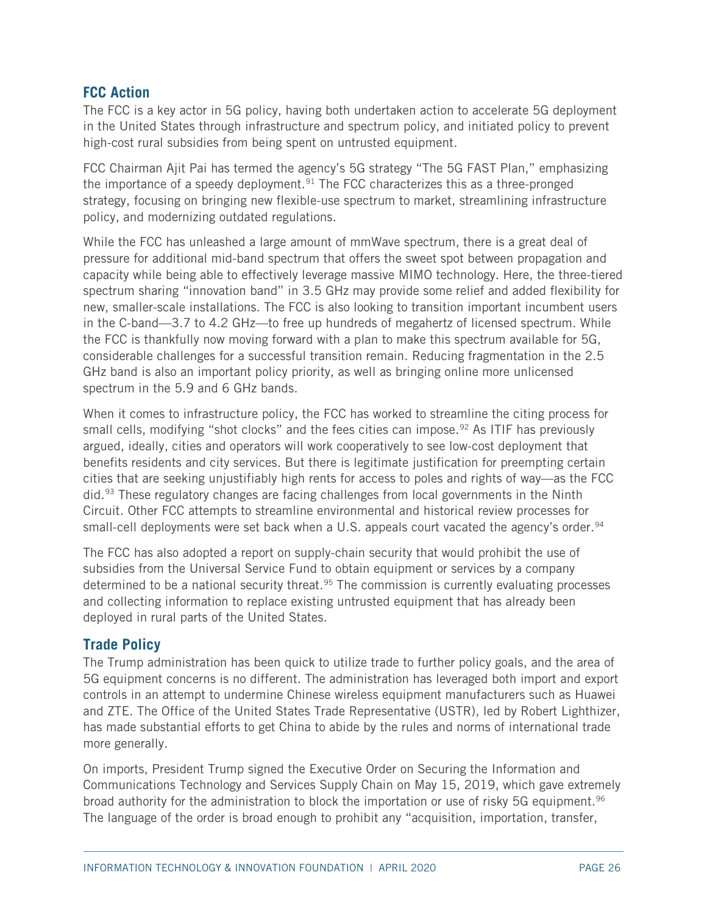#### **FCC Action**

The FCC is a key actor in 5G policy, having both undertaken action to accelerate 5G deployment in the United States through infrastructure and spectrum policy, and initiated policy to prevent high-cost rural subsidies from being spent on untrusted equipment.

FCC Chairman Ajit Pai has termed the agency's 5G strategy "The 5G FAST Plan," emphasizing the importance of a speedy deployment.<sup>[91](#page-50-6)</sup> The FCC characterizes this as a three-pronged strategy, focusing on bringing new flexible-use spectrum to market, streamlining infrastructure policy, and modernizing outdated regulations.

While the FCC has unleashed a large amount of mmWave spectrum, there is a great deal of pressure for additional mid-band spectrum that offers the sweet spot between propagation and capacity while being able to effectively leverage massive MIMO technology. Here, the three-tiered spectrum sharing "innovation band" in 3.5 GHz may provide some relief and added flexibility for new, smaller-scale installations. The FCC is also looking to transition important incumbent users in the C-band—3.7 to 4.2 GHz—to free up hundreds of megahertz of licensed spectrum. While the FCC is thankfully now moving forward with a plan to make this spectrum available for 5G, considerable challenges for a successful transition remain. Reducing fragmentation in the 2.5 GHz band is also an important policy priority, as well as bringing online more unlicensed spectrum in the 5.9 and 6 GHz bands.

When it comes to infrastructure policy, the FCC has worked to streamline the citing process for small cells, modifying "shot clocks" and the fees cities can impose.<sup>[92](#page-50-7)</sup> As ITIF has previously argued, ideally, cities and operators will work cooperatively to see low-cost deployment that benefits residents and city services. But there is legitimate justification for preempting certain cities that are seeking unjustifiably high rents for access to poles and rights of way—as the FCC did.<sup>[93](#page-50-8)</sup> These regulatory changes are facing challenges from local governments in the Ninth Circuit. Other FCC attempts to streamline environmental and historical review processes for small-cell deployments were set back when a U.S. appeals court vacated the agency's order.<sup>94</sup>

The FCC has also adopted a report on supply-chain security that would prohibit the use of subsidies from the Universal Service Fund to obtain equipment or services by a company determined to be a national security threat.<sup>[95](#page-50-10)</sup> The commission is currently evaluating processes and collecting information to replace existing untrusted equipment that has already been deployed in rural parts of the United States.

#### **Trade Policy**

The Trump administration has been quick to utilize trade to further policy goals, and the area of 5G equipment concerns is no different. The administration has leveraged both import and export controls in an attempt to undermine Chinese wireless equipment manufacturers such as Huawei and ZTE. The Office of the United States Trade Representative (USTR), led by Robert Lighthizer, has made substantial efforts to get China to abide by the rules and norms of international trade more generally.

On imports, President Trump signed the Executive Order on Securing the Information and Communications Technology and Services Supply Chain on May 15, 2019, which gave extremely broad authority for the administration to block the importation or use of risky 5G equipment.<sup>[96](#page-50-11)</sup> The language of the order is broad enough to prohibit any "acquisition, importation, transfer,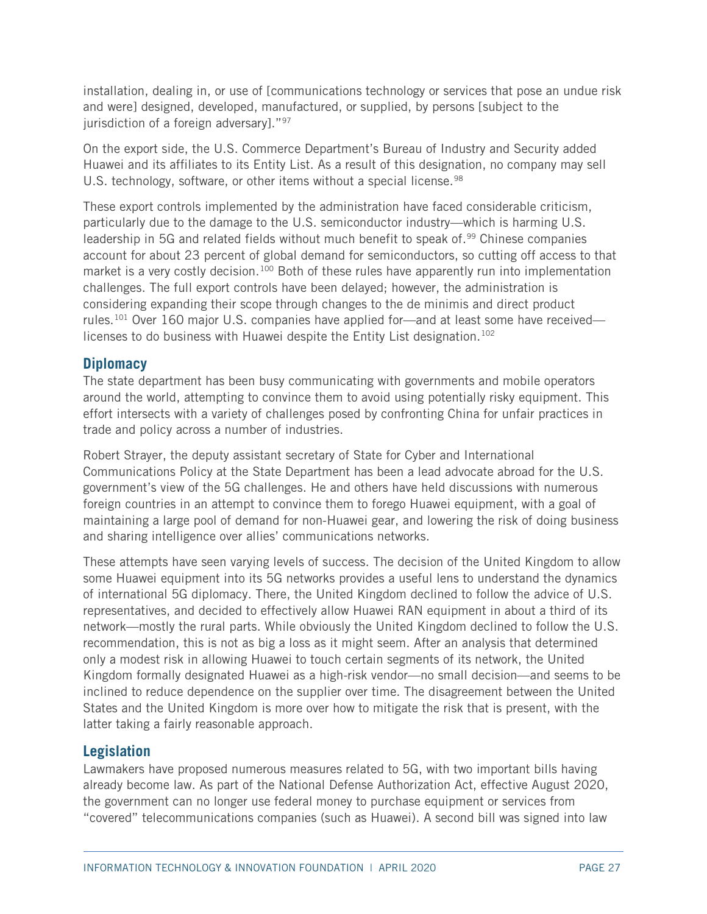installation, dealing in, or use of [communications technology or services that pose an undue risk and were] designed, developed, manufactured, or supplied, by persons [subject to the jurisdiction of a foreign adversary]."<sup>97</sup>

On the export side, the U.S. Commerce Department's Bureau of Industry and Security added Huawei and its affiliates to its Entity List. As a result of this designation, no company may sell U.S. technology, software, or other items without a special license.<sup>[98](#page-50-13)</sup>

These export controls implemented by the administration have faced considerable criticism, particularly due to the damage to the U.S. semiconductor industry—which is harming U.S. leadership in 5G and related fields without much benefit to speak of.<sup>[99](#page-50-14)</sup> Chinese companies account for about 23 percent of global demand for semiconductors, so cutting off access to that market is a very costly decision.<sup>[100](#page-50-15)</sup> Both of these rules have apparently run into implementation challenges. The full export controls have been delayed; however, the administration is considering expanding their scope through changes to the de minimis and direct product rules.<sup>[101](#page-51-0)</sup> Over 160 major U.S. companies have applied for—and at least some have received— licenses to do business with Huawei despite the Entity List designation.<sup>[102](#page-51-1)</sup>

## **Diplomacy**

The state department has been busy communicating with governments and mobile operators around the world, attempting to convince them to avoid using potentially risky equipment. This effort intersects with a variety of challenges posed by confronting China for unfair practices in trade and policy across a number of industries.

Robert Strayer, the deputy assistant secretary of State for Cyber and International Communications Policy at the State Department has been a lead advocate abroad for the U.S. government's view of the 5G challenges. He and others have held discussions with numerous foreign countries in an attempt to convince them to forego Huawei equipment, with a goal of maintaining a large pool of demand for non-Huawei gear, and lowering the risk of doing business and sharing intelligence over allies' communications networks.

These attempts have seen varying levels of success. The decision of the United Kingdom to allow some Huawei equipment into its 5G networks provides a useful lens to understand the dynamics of international 5G diplomacy. There, the United Kingdom declined to follow the advice of U.S. representatives, and decided to effectively allow Huawei RAN equipment in about a third of its network—mostly the rural parts. While obviously the United Kingdom declined to follow the U.S. recommendation, this is not as big a loss as it might seem. After an analysis that determined only a modest risk in allowing Huawei to touch certain segments of its network, the United Kingdom formally designated Huawei as a high-risk vendor—no small decision—and seems to be inclined to reduce dependence on the supplier over time. The disagreement between the United States and the United Kingdom is more over how to mitigate the risk that is present, with the latter taking a fairly reasonable approach.

## **Legislation**

Lawmakers have proposed numerous measures related to 5G, with two important bills having already become law. As part of the National Defense Authorization Act, effective August 2020, the government can no longer use federal money to purchase equipment or services from "covered" telecommunications companies (such as Huawei). A second bill was signed into law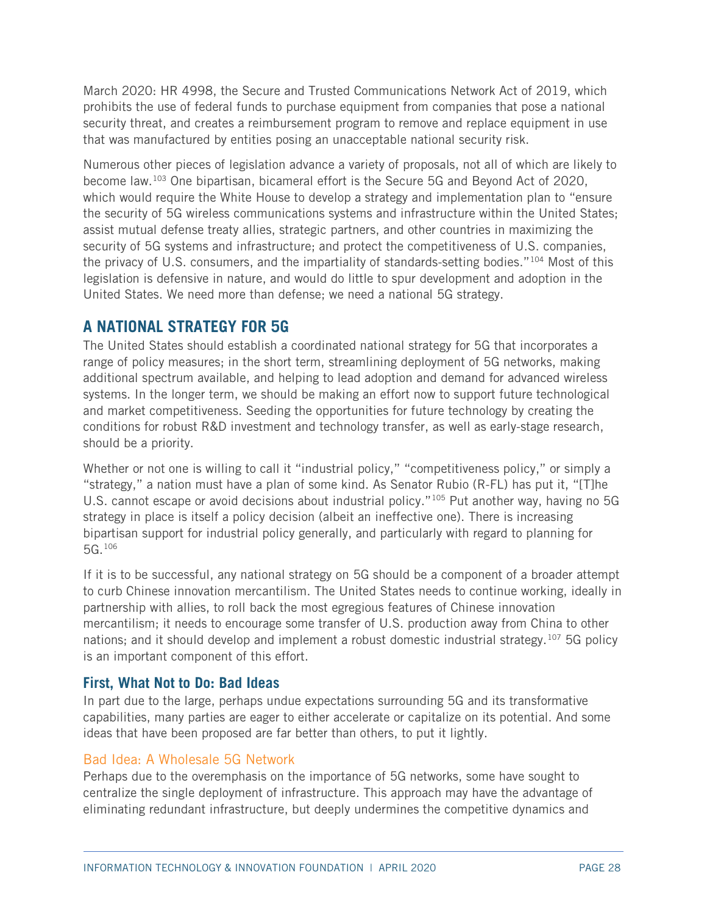March 2020: HR 4998, the Secure and Trusted Communications Network Act of 2019, which prohibits the use of federal funds to purchase equipment from companies that pose a national security threat, and creates a reimbursement program to remove and replace equipment in use that was manufactured by entities posing an unacceptable national security risk.

Numerous other pieces of legislation advance a variety of proposals, not all of which are likely to become law[.103](#page-51-2) One bipartisan, bicameral effort is the Secure 5G and Beyond Act of 2020, which would require the White House to develop a strategy and implementation plan to "ensure the security of 5G wireless communications systems and infrastructure within the United States; assist mutual defense treaty allies, strategic partners, and other countries in maximizing the security of 5G systems and infrastructure; and protect the competitiveness of U.S. companies, the privacy of U.S. consumers, and the impartiality of standards-setting bodies."[104](#page-51-3) Most of this legislation is defensive in nature, and would do little to spur development and adoption in the United States. We need more than defense; we need a national 5G strategy.

# **A NATIONAL STRATEGY FOR 5G**

The United States should establish a coordinated national strategy for 5G that incorporates a range of policy measures; in the short term, streamlining deployment of 5G networks, making additional spectrum available, and helping to lead adoption and demand for advanced wireless systems. In the longer term, we should be making an effort now to support future technological and market competitiveness. Seeding the opportunities for future technology by creating the conditions for robust R&D investment and technology transfer, as well as early-stage research, should be a priority.

Whether or not one is willing to call it "industrial policy," "competitiveness policy," or simply a "strategy," a nation must have a plan of some kind. As Senator Rubio (R-FL) has put it, "[T]he U.S. cannot escape or avoid decisions about industrial policy."<sup>[105](#page-51-4)</sup> Put another way, having no 5G strategy in place is itself a policy decision (albeit an ineffective one). There is increasing bipartisan support for industrial policy generally, and particularly with regard to planning for 5G.[106](#page-51-5)

If it is to be successful, any national strategy on 5G should be a component of a broader attempt to curb Chinese innovation mercantilism. The United States needs to continue working, ideally in partnership with allies, to roll back the most egregious features of Chinese innovation mercantilism; it needs to encourage some transfer of U.S. production away from China to other nations; and it should develop and implement a robust domestic industrial strategy.[107](#page-51-6) 5G policy is an important component of this effort.

## **First, What Not to Do: Bad Ideas**

In part due to the large, perhaps undue expectations surrounding 5G and its transformative capabilities, many parties are eager to either accelerate or capitalize on its potential. And some ideas that have been proposed are far better than others, to put it lightly.

#### Bad Idea: A Wholesale 5G Network

Perhaps due to the overemphasis on the importance of 5G networks, some have sought to centralize the single deployment of infrastructure. This approach may have the advantage of eliminating redundant infrastructure, but deeply undermines the competitive dynamics and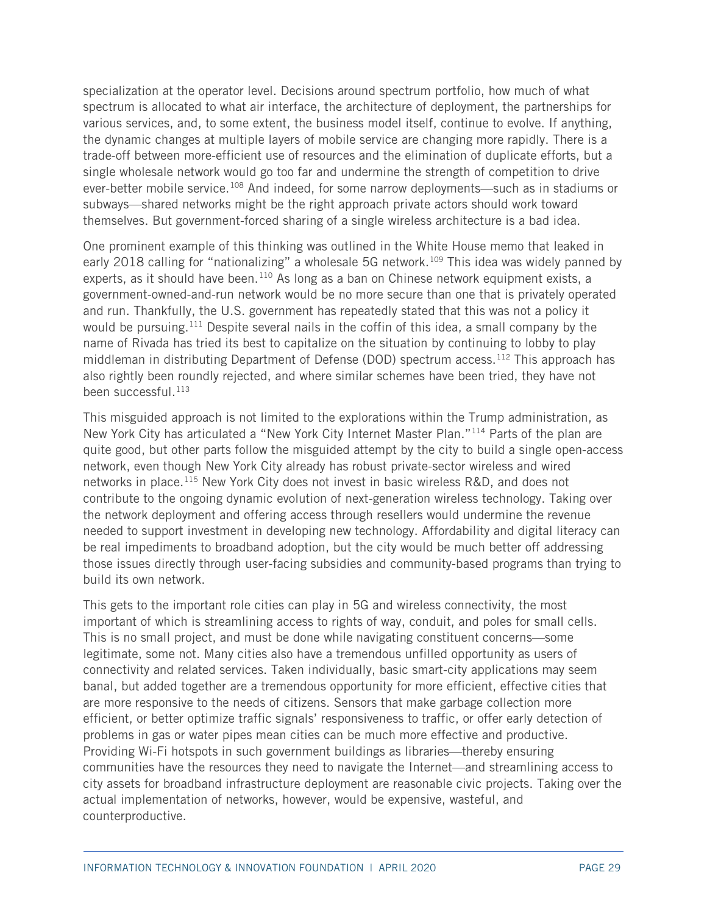specialization at the operator level. Decisions around spectrum portfolio, how much of what spectrum is allocated to what air interface, the architecture of deployment, the partnerships for various services, and, to some extent, the business model itself, continue to evolve. If anything, the dynamic changes at multiple layers of mobile service are changing more rapidly. There is a trade-off between more-efficient use of resources and the elimination of duplicate efforts, but a single wholesale network would go too far and undermine the strength of competition to drive ever-better mobile service.<sup>[108](#page-51-7)</sup> And indeed, for some narrow deployments—such as in stadiums or subways—shared networks might be the right approach private actors should work toward themselves. But government-forced sharing of a single wireless architecture is a bad idea.

One prominent example of this thinking was outlined in the White House memo that leaked in early 2018 calling for "nationalizing" a wholesale 5G network.<sup>[109](#page-51-8)</sup> This idea was widely panned by experts, as it should have been.<sup>[110](#page-51-9)</sup> As long as a ban on Chinese network equipment exists, a government-owned-and-run network would be no more secure than one that is privately operated and run. Thankfully, the U.S. government has repeatedly stated that this was not a policy it would be pursuing.<sup>[111](#page-51-10)</sup> Despite several nails in the coffin of this idea, a small company by the name of Rivada has tried its best to capitalize on the situation by continuing to lobby to play middleman in distributing Department of Defense (DOD) spectrum access.<sup>[112](#page-51-11)</sup> This approach has also rightly been roundly rejected, and where similar schemes have been tried, they have not been successful.<sup>[113](#page-51-12)</sup>

This misguided approach is not limited to the explorations within the Trump administration, as New York City has articulated a "New York City Internet Master Plan."[114](#page-51-13) Parts of the plan are quite good, but other parts follow the misguided attempt by the city to build a single open-access network, even though New York City already has robust private-sector wireless and wired networks in place.<sup>[115](#page-51-14)</sup> New York City does not invest in basic wireless R&D, and does not contribute to the ongoing dynamic evolution of next-generation wireless technology. Taking over the network deployment and offering access through resellers would undermine the revenue needed to support investment in developing new technology. Affordability and digital literacy can be real impediments to broadband adoption, but the city would be much better off addressing those issues directly through user-facing subsidies and community-based programs than trying to build its own network.

This gets to the important role cities can play in 5G and wireless connectivity, the most important of which is streamlining access to rights of way, conduit, and poles for small cells. This is no small project, and must be done while navigating constituent concerns—some legitimate, some not. Many cities also have a tremendous unfilled opportunity as users of connectivity and related services. Taken individually, basic smart-city applications may seem banal, but added together are a tremendous opportunity for more efficient, effective cities that are more responsive to the needs of citizens. Sensors that make garbage collection more efficient, or better optimize traffic signals' responsiveness to traffic, or offer early detection of problems in gas or water pipes mean cities can be much more effective and productive. Providing Wi-Fi hotspots in such government buildings as libraries—thereby ensuring communities have the resources they need to navigate the Internet—and streamlining access to city assets for broadband infrastructure deployment are reasonable civic projects. Taking over the actual implementation of networks, however, would be expensive, wasteful, and counterproductive.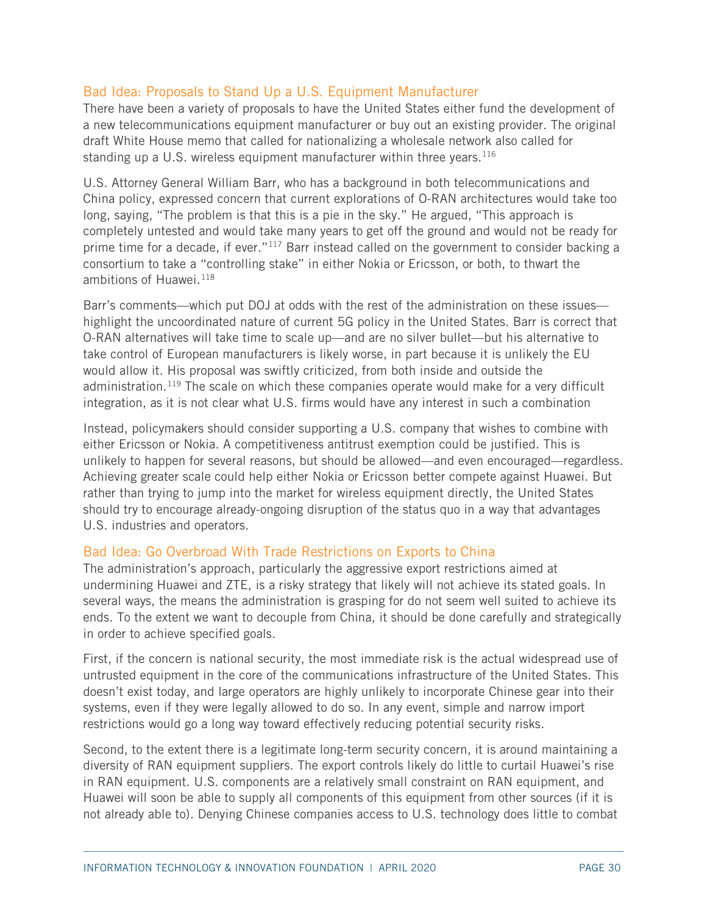#### Bad Idea: Proposals to Stand Up a U.S. Equipment Manufacturer

There have been a variety of proposals to have the United States either fund the development of a new telecommunications equipment manufacturer or buy out an existing provider. The original draft White House memo that called for nationalizing a wholesale network also called for standing up a U.S. wireless equipment manufacturer within three years.<sup>[116](#page-52-0)</sup>

U.S. Attorney General William Barr, who has a background in both telecommunications and China policy, expressed concern that current explorations of O-RAN architectures would take too long, saying, "The problem is that this is a pie in the sky." He argued, "This approach is completely untested and would take many years to get off the ground and would not be ready for prime time for a decade, if ever."<sup>[117](#page-52-1)</sup> Barr instead called on the government to consider backing a consortium to take a "controlling stake" in either Nokia or Ericsson, or both, to thwart the ambitions of Huawei.<sup>[118](#page-52-2)</sup>

Barr's comments—which put DOJ at odds with the rest of the administration on these issues highlight the uncoordinated nature of current 5G policy in the United States. Barr is correct that O-RAN alternatives will take time to scale up—and are no silver bullet—but his alternative to take control of European manufacturers is likely worse, in part because it is unlikely the EU would allow it. His proposal was swiftly criticized, from both inside and outside the administration.<sup>[119](#page-52-3)</sup> The scale on which these companies operate would make for a very difficult integration, as it is not clear what U.S. firms would have any interest in such a combination

Instead, policymakers should consider supporting a U.S. company that wishes to combine with either Ericsson or Nokia. A competitiveness antitrust exemption could be justified. This is unlikely to happen for several reasons, but should be allowed—and even encouraged—regardless. Achieving greater scale could help either Nokia or Ericsson better compete against Huawei. But rather than trying to jump into the market for wireless equipment directly, the United States should try to encourage already-ongoing disruption of the status quo in a way that advantages U.S. industries and operators.

#### Bad Idea: Go Overbroad With Trade Restrictions on Exports to China

The administration's approach, particularly the aggressive export restrictions aimed at undermining Huawei and ZTE, is a risky strategy that likely will not achieve its stated goals. In several ways, the means the administration is grasping for do not seem well suited to achieve its ends. To the extent we want to decouple from China, it should be done carefully and strategically in order to achieve specified goals.

First, if the concern is national security, the most immediate risk is the actual widespread use of untrusted equipment in the core of the communications infrastructure of the United States. This doesn't exist today, and large operators are highly unlikely to incorporate Chinese gear into their systems, even if they were legally allowed to do so. In any event, simple and narrow import restrictions would go a long way toward effectively reducing potential security risks.

Second, to the extent there is a legitimate long-term security concern, it is around maintaining a diversity of RAN equipment suppliers. The export controls likely do little to curtail Huawei's rise in RAN equipment. U.S. components are a relatively small constraint on RAN equipment, and Huawei will soon be able to supply all components of this equipment from other sources (if it is not already able to). Denying Chinese companies access to U.S. technology does little to combat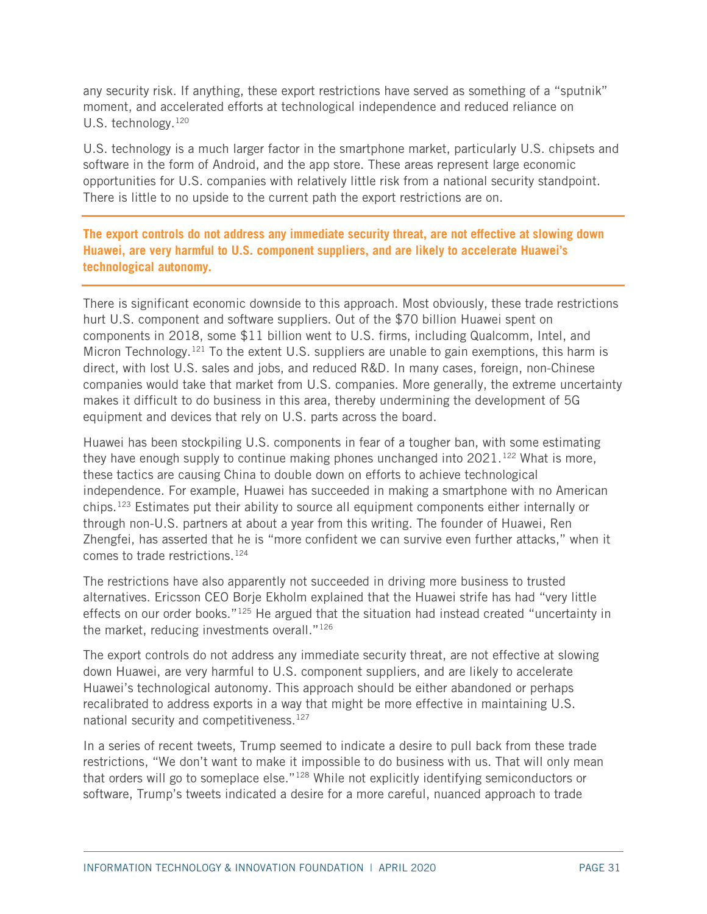any security risk. If anything, these export restrictions have served as something of a "sputnik" moment, and accelerated efforts at technological independence and reduced reliance on U.S. technology.<sup>[120](#page-52-4)</sup>

U.S. technology is a much larger factor in the smartphone market, particularly U.S. chipsets and software in the form of Android, and the app store. These areas represent large economic opportunities for U.S. companies with relatively little risk from a national security standpoint. There is little to no upside to the current path the export restrictions are on.

**The export controls do not address any immediate security threat, are not effective at slowing down Huawei, are very harmful to U.S. component suppliers, and are likely to accelerate Huawei's technological autonomy.**

There is significant economic downside to this approach. Most obviously, these trade restrictions hurt U.S. component and software suppliers. Out of the \$70 billion Huawei spent on components in 2018, some \$11 billion went to U.S. firms, including Qualcomm, Intel, and Micron Technology.<sup>121</sup> To the extent U.S. suppliers are unable to gain exemptions, this harm is direct, with lost U.S. sales and jobs, and reduced R&D. In many cases, foreign, non-Chinese companies would take that market from U.S. companies. More generally, the extreme uncertainty makes it difficult to do business in this area, thereby undermining the development of 5G equipment and devices that rely on U.S. parts across the board.

Huawei has been stockpiling U.S. components in fear of a tougher ban, with some estimating they have enough supply to continue making phones unchanged into  $2021$ .<sup>[122](#page-52-6)</sup> What is more, these tactics are causing China to double down on efforts to achieve technological independence. For example, Huawei has succeeded in making a smartphone with no American chips.[123](#page-52-7) Estimates put their ability to source all equipment components either internally or through non-U.S. partners at about a year from this writing. The founder of Huawei, Ren Zhengfei, has asserted that he is "more confident we can survive even further attacks," when it comes to trade restrictions.[124](#page-52-8)

The restrictions have also apparently not succeeded in driving more business to trusted alternatives. Ericsson CEO Borje Ekholm explained that the Huawei strife has had "very little effects on our order books."<sup>[125](#page-52-9)</sup> He argued that the situation had instead created "uncertainty in the market, reducing investments overall."<sup>[126](#page-52-10)</sup>

The export controls do not address any immediate security threat, are not effective at slowing down Huawei, are very harmful to U.S. component suppliers, and are likely to accelerate Huawei's technological autonomy. This approach should be either abandoned or perhaps recalibrated to address exports in a way that might be more effective in maintaining U.S. national security and competitiveness.<sup>127</sup>

In a series of recent tweets, Trump seemed to indicate a desire to pull back from these trade restrictions, "We don't want to make it impossible to do business with us. That will only mean that orders will go to someplace else."<sup>[128](#page-52-12)</sup> While not explicitly identifying semiconductors or software, Trump's tweets indicated a desire for a more careful, nuanced approach to trade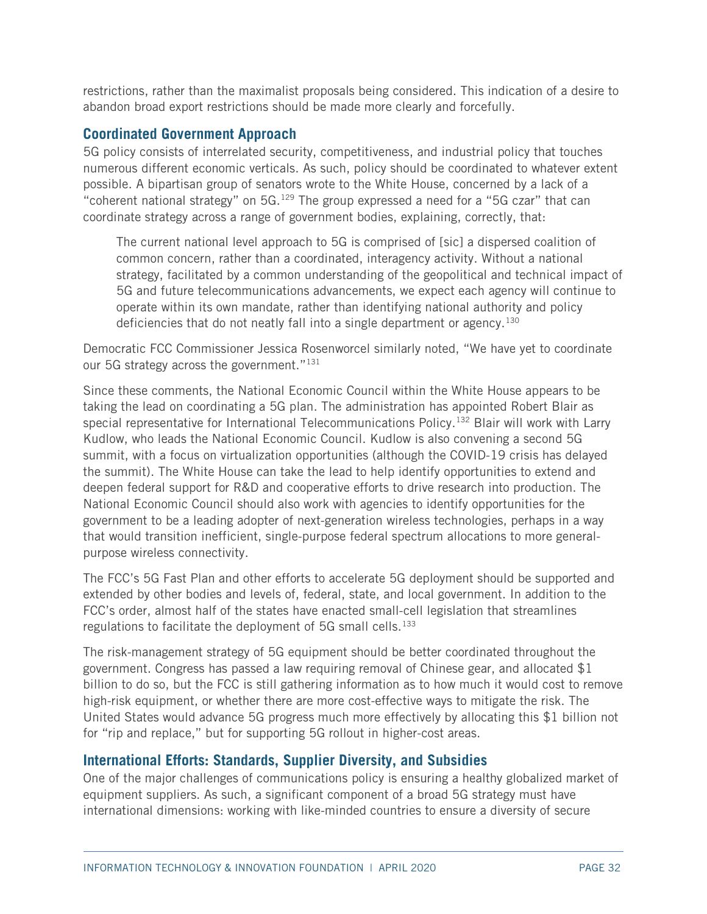restrictions, rather than the maximalist proposals being considered. This indication of a desire to abandon broad export restrictions should be made more clearly and forcefully.

#### **Coordinated Government Approach**

5G policy consists of interrelated security, competitiveness, and industrial policy that touches numerous different economic verticals. As such, policy should be coordinated to whatever extent possible. A bipartisan group of senators wrote to the White House, concerned by a lack of a "coherent national strategy" on  $5G.129$  $5G.129$  The group expressed a need for a "5G czar" that can coordinate strategy across a range of government bodies, explaining, correctly, that:

The current national level approach to 5G is comprised of [sic] a dispersed coalition of common concern, rather than a coordinated, interagency activity. Without a national strategy, facilitated by a common understanding of the geopolitical and technical impact of 5G and future telecommunications advancements, we expect each agency will continue to operate within its own mandate, rather than identifying national authority and policy deficiencies that do not neatly fall into a single department or agency.<sup>[130](#page-52-14)</sup>

Democratic FCC Commissioner Jessica Rosenworcel similarly noted, "We have yet to coordinate our 5G strategy across the government."<sup>[131](#page-52-15)</sup>

Since these comments, the National Economic Council within the White House appears to be taking the lead on coordinating a 5G plan. The administration has appointed Robert Blair as special representative for International Telecommunications Policy. [132](#page-52-16) Blair will work with Larry Kudlow, who leads the National Economic Council. Kudlow is also convening a second 5G summit, with a focus on virtualization opportunities (although the COVID-19 crisis has delayed the summit). The White House can take the lead to help identify opportunities to extend and deepen federal support for R&D and cooperative efforts to drive research into production. The National Economic Council should also work with agencies to identify opportunities for the government to be a leading adopter of next-generation wireless technologies, perhaps in a way that would transition inefficient, single-purpose federal spectrum allocations to more generalpurpose wireless connectivity.

The FCC's 5G Fast Plan and other efforts to accelerate 5G deployment should be supported and extended by other bodies and levels of, federal, state, and local government. In addition to the FCC's order, almost half of the states have enacted small-cell legislation that streamlines regulations to facilitate the deployment of 5G small cells.<sup>[133](#page-52-17)</sup>

The risk-management strategy of 5G equipment should be better coordinated throughout the government. Congress has passed a law requiring removal of Chinese gear, and allocated \$1 billion to do so, but the FCC is still gathering information as to how much it would cost to remove high-risk equipment, or whether there are more cost-effective ways to mitigate the risk. The United States would advance 5G progress much more effectively by allocating this \$1 billion not for "rip and replace," but for supporting 5G rollout in higher-cost areas.

## **International Efforts: Standards, Supplier Diversity, and Subsidies**

One of the major challenges of communications policy is ensuring a healthy globalized market of equipment suppliers. As such, a significant component of a broad 5G strategy must have international dimensions: working with like-minded countries to ensure a diversity of secure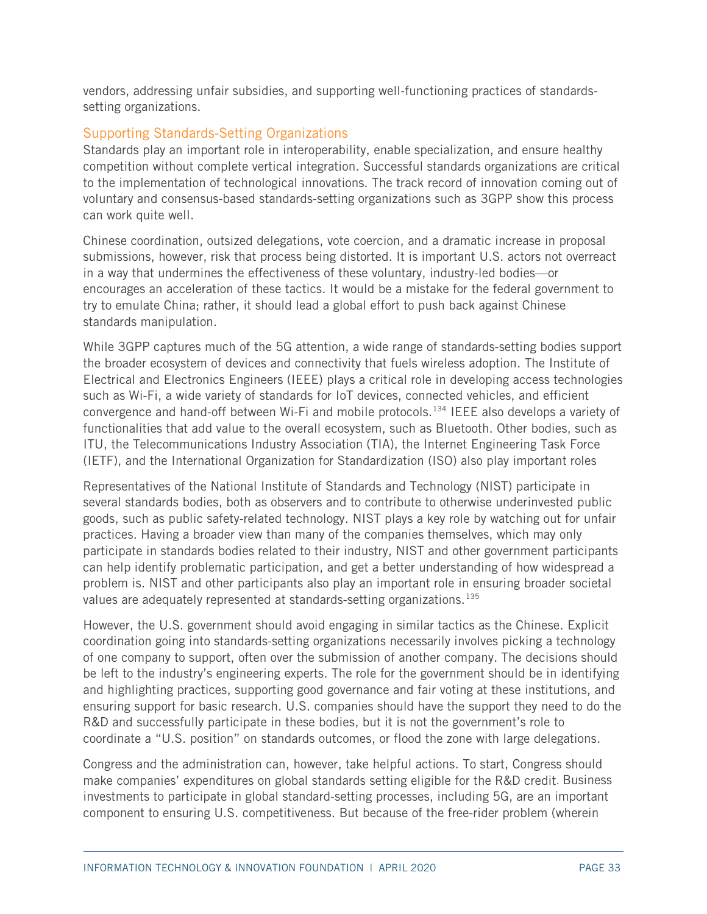vendors, addressing unfair subsidies, and supporting well-functioning practices of standardssetting organizations.

#### Supporting Standards-Setting Organizations

Standards play an important role in interoperability, enable specialization, and ensure healthy competition without complete vertical integration. Successful standards organizations are critical to the implementation of technological innovations. The track record of innovation coming out of voluntary and consensus-based standards-setting organizations such as 3GPP show this process can work quite well.

Chinese coordination, outsized delegations, vote coercion, and a dramatic increase in proposal submissions, however, risk that process being distorted. It is important U.S. actors not overreact in a way that undermines the effectiveness of these voluntary, industry-led bodies—or encourages an acceleration of these tactics. It would be a mistake for the federal government to try to emulate China; rather, it should lead a global effort to push back against Chinese standards manipulation.

While 3GPP captures much of the 5G attention, a wide range of standards-setting bodies support the broader ecosystem of devices and connectivity that fuels wireless adoption. The Institute of Electrical and Electronics Engineers (IEEE) plays a critical role in developing access technologies such as Wi-Fi, a wide variety of standards for IoT devices, connected vehicles, and efficient convergence and hand-off between Wi-Fi and mobile protocols.<sup>[134](#page-52-18)</sup> IEEE also develops a variety of functionalities that add value to the overall ecosystem, such as Bluetooth. Other bodies, such as ITU, the Telecommunications Industry Association (TIA), the Internet Engineering Task Force (IETF), and the International Organization for Standardization (ISO) also play important roles

Representatives of the National Institute of Standards and Technology (NIST) participate in several standards bodies, both as observers and to contribute to otherwise underinvested public goods, such as public safety-related technology. NIST plays a key role by watching out for unfair practices. Having a broader view than many of the companies themselves, which may only participate in standards bodies related to their industry, NIST and other government participants can help identify problematic participation, and get a better understanding of how widespread a problem is. NIST and other participants also play an important role in ensuring broader societal values are adequately represented at standards-setting organizations.<sup>[135](#page-53-0)</sup>

However, the U.S. government should avoid engaging in similar tactics as the Chinese. Explicit coordination going into standards-setting organizations necessarily involves picking a technology of one company to support, often over the submission of another company. The decisions should be left to the industry's engineering experts. The role for the government should be in identifying and highlighting practices, supporting good governance and fair voting at these institutions, and ensuring support for basic research. U.S. companies should have the support they need to do the R&D and successfully participate in these bodies, but it is not the government's role to coordinate a "U.S. position" on standards outcomes, or flood the zone with large delegations.

Congress and the administration can, however, take helpful actions. To start, Congress should make companies' expenditures on global standards setting eligible for the R&D credit. Business investments to participate in global standard-setting processes, including 5G, are an important component to ensuring U.S. competitiveness. But because of the free-rider problem (wherein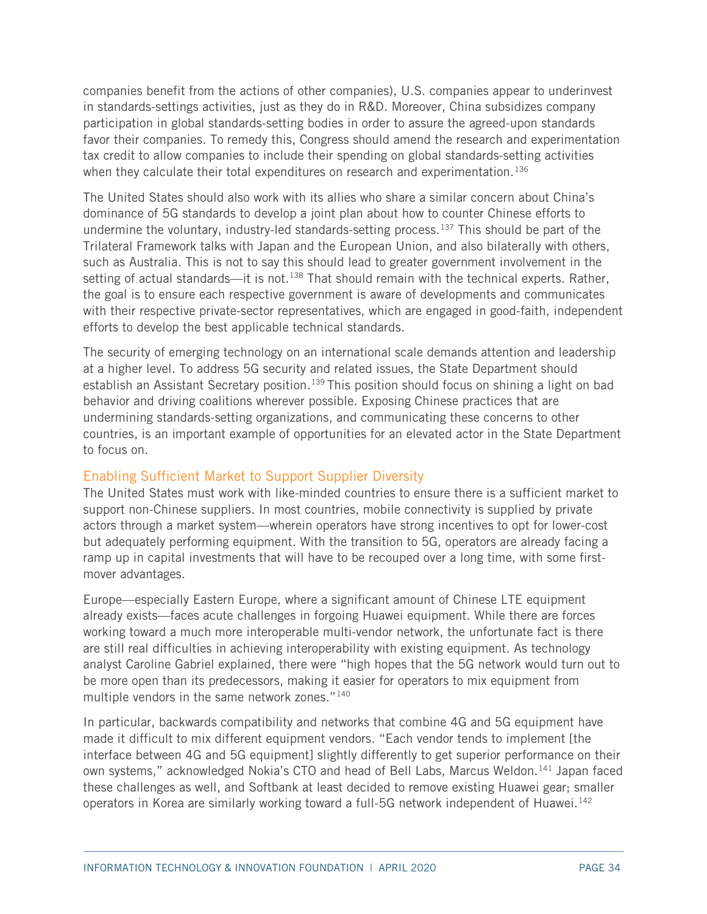companies benefit from the actions of other companies), U.S. companies appear to underinvest in standards-settings activities, just as they do in R&D. Moreover, China subsidizes company participation in global standards-setting bodies in order to assure the agreed-upon standards favor their companies. To remedy this, Congress should amend the research and experimentation tax credit to allow companies to include their spending on global standards-setting activities when they calculate their total expenditures on research and experimentation.<sup>[136](#page-53-1)</sup>

The United States should also work with its allies who share a similar concern about China's dominance of 5G standards to develop a joint plan about how to counter Chinese efforts to undermine the voluntary, industry-led standards-setting process.<sup>137</sup> This should be part of the Trilateral Framework talks with Japan and the European Union, and also bilaterally with others, such as Australia. This is not to say this should lead to greater government involvement in the setting of actual standards—it is not. $138$  That should remain with the technical experts. Rather, the goal is to ensure each respective government is aware of developments and communicates with their respective private-sector representatives, which are engaged in good-faith, independent efforts to develop the best applicable technical standards.

The security of emerging technology on an international scale demands attention and leadership at a higher level. To address 5G security and related issues, the State Department should establish an Assistant Secretary position.<sup>[139](#page-53-4)</sup> This position should focus on shining a light on bad behavior and driving coalitions wherever possible. Exposing Chinese practices that are undermining standards-setting organizations, and communicating these concerns to other countries, is an important example of opportunities for an elevated actor in the State Department to focus on.

## Enabling Sufficient Market to Support Supplier Diversity

The United States must work with like-minded countries to ensure there is a sufficient market to support non-Chinese suppliers. In most countries, mobile connectivity is supplied by private actors through a market system—wherein operators have strong incentives to opt for lower-cost but adequately performing equipment. With the transition to 5G, operators are already facing a ramp up in capital investments that will have to be recouped over a long time, with some firstmover advantages.

Europe—especially Eastern Europe, where a significant amount of Chinese LTE equipment already exists—faces acute challenges in forgoing Huawei equipment. While there are forces working toward a much more interoperable multi-vendor network, the unfortunate fact is there are still real difficulties in achieving interoperability with existing equipment. As technology analyst Caroline Gabriel explained, there were "high hopes that the 5G network would turn out to be more open than its predecessors, making it easier for operators to mix equipment from multiple vendors in the same network zones."[140](#page-53-5)

In particular, backwards compatibility and networks that combine 4G and 5G equipment have made it difficult to mix different equipment vendors. "Each vendor tends to implement [the interface between 4G and 5G equipment] slightly differently to get superior performance on their own systems," acknowledged Nokia's CTO and head of Bell Labs, Marcus Weldon.<sup>[141](#page-53-6)</sup> Japan faced these challenges as well, and Softbank at least decided to remove existing Huawei gear; smaller operators in Korea are similarly working toward a full-5G network independent of Huawei.<sup>[142](#page-53-7)</sup>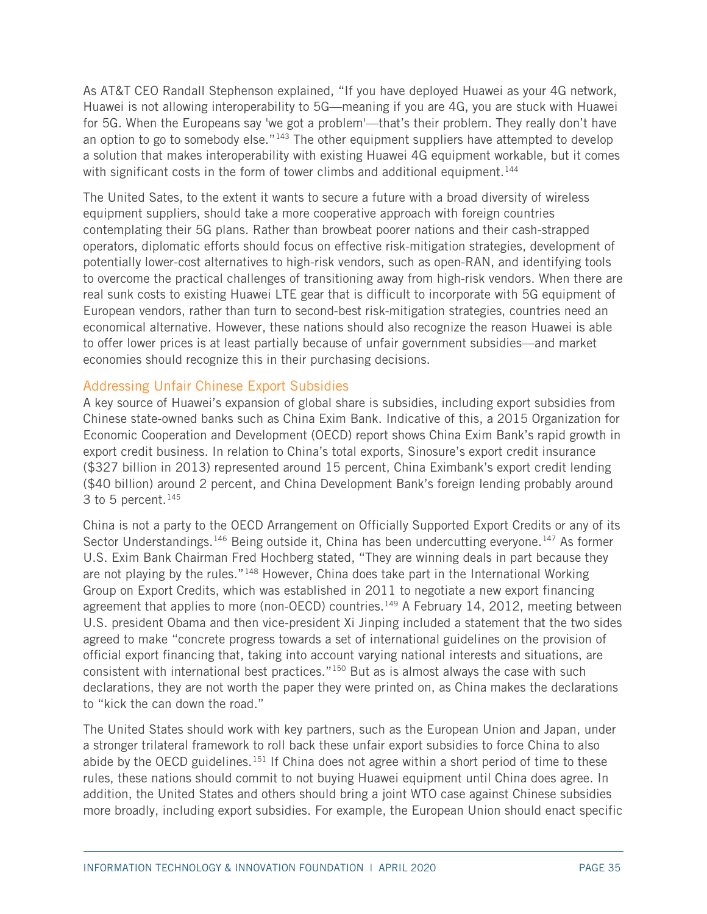As AT&T CEO Randall Stephenson explained, "If you have deployed Huawei as your 4G network, Huawei is not allowing interoperability to 5G—meaning if you are 4G, you are stuck with Huawei for 5G. When the Europeans say 'we got a problem'—that's their problem. They really don't have an option to go to somebody else."<sup>[143](#page-53-8)</sup> The other equipment suppliers have attempted to develop a solution that makes interoperability with existing Huawei 4G equipment workable, but it comes with significant costs in the form of tower climbs and additional equipment.<sup>[144](#page-53-9)</sup>

The United Sates, to the extent it wants to secure a future with a broad diversity of wireless equipment suppliers, should take a more cooperative approach with foreign countries contemplating their 5G plans. Rather than browbeat poorer nations and their cash-strapped operators, diplomatic efforts should focus on effective risk-mitigation strategies, development of potentially lower-cost alternatives to high-risk vendors, such as open-RAN, and identifying tools to overcome the practical challenges of transitioning away from high-risk vendors. When there are real sunk costs to existing Huawei LTE gear that is difficult to incorporate with 5G equipment of European vendors, rather than turn to second-best risk-mitigation strategies, countries need an economical alternative. However, these nations should also recognize the reason Huawei is able to offer lower prices is at least partially because of unfair government subsidies—and market economies should recognize this in their purchasing decisions.

#### Addressing Unfair Chinese Export Subsidies

A key source of Huawei's expansion of global share is subsidies, including export subsidies from Chinese state-owned banks such as China Exim Bank. Indicative of this, a 2015 Organization for Economic Cooperation and Development (OECD) report shows China Exim Bank's rapid growth in export credit business. In relation to China's total exports, Sinosure's export credit insurance (\$327 billion in 2013) represented around 15 percent, China Eximbank's export credit lending (\$40 billion) around 2 percent, and China Development Bank's foreign lending probably around 3 to 5 percent. $145$ 

China is not a party to the OECD Arrangement on Officially Supported Export Credits or any of its Sector Understandings.<sup>[146](#page-53-11)</sup> Being outside it, China has been undercutting everyone.<sup>[147](#page-53-12)</sup> As former U.S. Exim Bank Chairman Fred Hochberg stated, "They are winning deals in part because they are not playing by the rules."<sup>[148](#page-53-13)</sup> However, China does take part in the International Working Group on Export Credits, which was established in 2011 to negotiate a new export financing agreement that applies to more (non-OECD) countries.<sup>[149](#page-53-14)</sup> A February 14, 2012, meeting between U.S. president Obama and then vice-president Xi Jinping included a statement that the two sides agreed to make "concrete progress towards a set of international guidelines on the provision of official export financing that, taking into account varying national interests and situations, are consistent with international best practices."[150](#page-53-15) But as is almost always the case with such declarations, they are not worth the paper they were printed on, as China makes the declarations to "kick the can down the road."

The United States should work with key partners, such as the European Union and Japan, under a stronger trilateral framework to roll back these unfair export subsidies to force China to also abide by the OECD guidelines.<sup>[151](#page-53-16)</sup> If China does not agree within a short period of time to these rules, these nations should commit to not buying Huawei equipment until China does agree. In addition, the United States and others should bring a joint WTO case against Chinese subsidies more broadly, including export subsidies. For example, the European Union should enact specific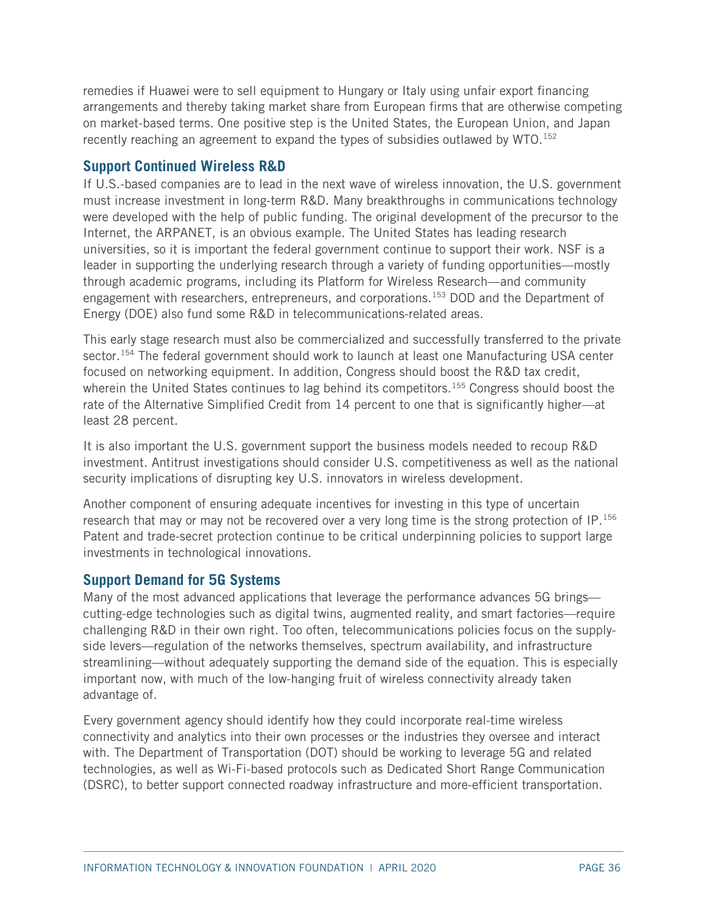remedies if Huawei were to sell equipment to Hungary or Italy using unfair export financing arrangements and thereby taking market share from European firms that are otherwise competing on market-based terms. One positive step is the United States, the European Union, and Japan recently reaching an agreement to expand the types of subsidies outlawed by WTO.<sup>[152](#page-53-17)</sup>

## **Support Continued Wireless R&D**

If U.S.-based companies are to lead in the next wave of wireless innovation, the U.S. government must increase investment in long-term R&D. Many breakthroughs in communications technology were developed with the help of public funding. The original development of the precursor to the Internet, the ARPANET, is an obvious example. The United States has leading research universities, so it is important the federal government continue to support their work. NSF is a leader in supporting the underlying research through a variety of funding opportunities—mostly through academic programs, including its Platform for Wireless Research—and community engagement with researchers, entrepreneurs, and corporations.<sup>153</sup> DOD and the Department of Energy (DOE) also fund some R&D in telecommunications-related areas.

This early stage research must also be commercialized and successfully transferred to the private sector.<sup>[154](#page-54-1)</sup> The federal government should work to launch at least one Manufacturing USA center focused on networking equipment. In addition, Congress should boost the R&D tax credit, wherein the United States continues to lag behind its competitors.<sup>[155](#page-54-2)</sup> Congress should boost the rate of the Alternative Simplified Credit from 14 percent to one that is significantly higher—at least 28 percent.

It is also important the U.S. government support the business models needed to recoup R&D investment. Antitrust investigations should consider U.S. competitiveness as well as the national security implications of disrupting key U.S. innovators in wireless development.

Another component of ensuring adequate incentives for investing in this type of uncertain research that may or may not be recovered over a very long time is the strong protection of IP.<sup>[156](#page-54-3)</sup> Patent and trade-secret protection continue to be critical underpinning policies to support large investments in technological innovations.

## **Support Demand for 5G Systems**

Many of the most advanced applications that leverage the performance advances 5G brings cutting-edge technologies such as digital twins, augmented reality, and smart factories—require challenging R&D in their own right. Too often, telecommunications policies focus on the supplyside levers—regulation of the networks themselves, spectrum availability, and infrastructure streamlining—without adequately supporting the demand side of the equation. This is especially important now, with much of the low-hanging fruit of wireless connectivity already taken advantage of.

Every government agency should identify how they could incorporate real-time wireless connectivity and analytics into their own processes or the industries they oversee and interact with. The Department of Transportation (DOT) should be working to leverage 5G and related technologies, as well as Wi-Fi-based protocols such as Dedicated Short Range Communication (DSRC), to better support connected roadway infrastructure and more-efficient transportation.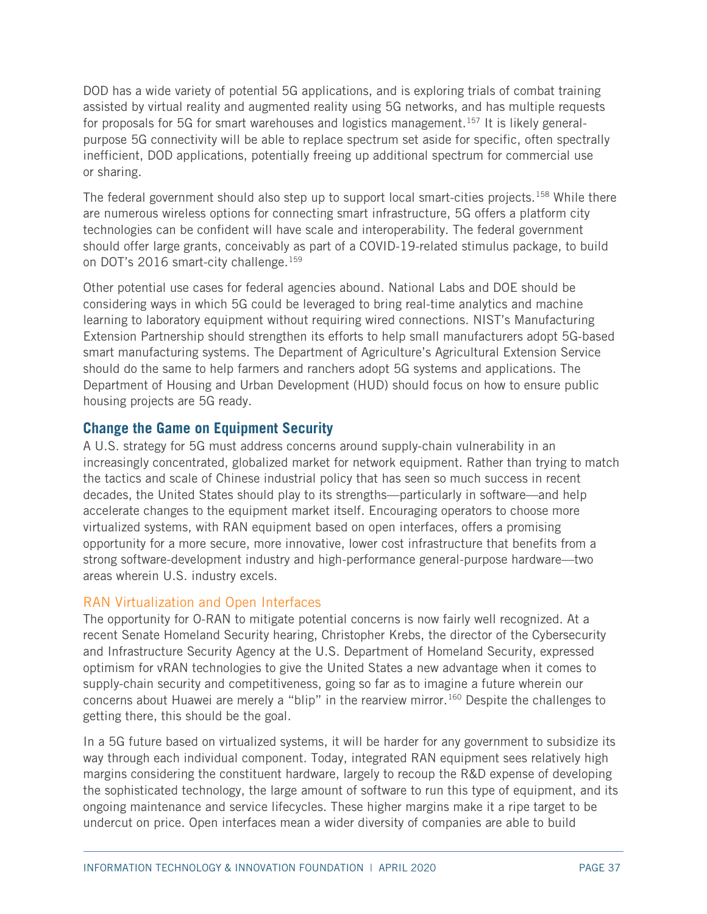DOD has a wide variety of potential 5G applications, and is exploring trials of combat training assisted by virtual reality and augmented reality using 5G networks, and has multiple requests for proposals for 5G for smart warehouses and logistics management.<sup>[157](#page-54-4)</sup> It is likely generalpurpose 5G connectivity will be able to replace spectrum set aside for specific, often spectrally inefficient, DOD applications, potentially freeing up additional spectrum for commercial use or sharing.

The federal government should also step up to support local smart-cities projects.<sup>[158](#page-54-5)</sup> While there are numerous wireless options for connecting smart infrastructure, 5G offers a platform city technologies can be confident will have scale and interoperability. The federal government should offer large grants, conceivably as part of a COVID-19-related stimulus package, to build on DOT's 2016 smart-city challenge.<sup>159</sup>

Other potential use cases for federal agencies abound. National Labs and DOE should be considering ways in which 5G could be leveraged to bring real-time analytics and machine learning to laboratory equipment without requiring wired connections. NIST's Manufacturing Extension Partnership should strengthen its efforts to help small manufacturers adopt 5G-based smart manufacturing systems. The Department of Agriculture's Agricultural Extension Service should do the same to help farmers and ranchers adopt 5G systems and applications. The Department of Housing and Urban Development (HUD) should focus on how to ensure public housing projects are 5G ready.

## **Change the Game on Equipment Security**

A U.S. strategy for 5G must address concerns around supply-chain vulnerability in an increasingly concentrated, globalized market for network equipment. Rather than trying to match the tactics and scale of Chinese industrial policy that has seen so much success in recent decades, the United States should play to its strengths—particularly in software—and help accelerate changes to the equipment market itself. Encouraging operators to choose more virtualized systems, with RAN equipment based on open interfaces, offers a promising opportunity for a more secure, more innovative, lower cost infrastructure that benefits from a strong software-development industry and high-performance general-purpose hardware—two areas wherein U.S. industry excels.

## RAN Virtualization and Open Interfaces

The opportunity for O-RAN to mitigate potential concerns is now fairly well recognized. At a recent Senate Homeland Security hearing, Christopher Krebs, the director of the Cybersecurity and Infrastructure Security Agency at the U.S. Department of Homeland Security, expressed optimism for vRAN technologies to give the United States a new advantage when it comes to supply-chain security and competitiveness, going so far as to imagine a future wherein our concerns about Huawei are merely a "blip" in the rearview mirror.<sup>[160](#page-54-7)</sup> Despite the challenges to getting there, this should be the goal.

In a 5G future based on virtualized systems, it will be harder for any government to subsidize its way through each individual component. Today, integrated RAN equipment sees relatively high margins considering the constituent hardware, largely to recoup the R&D expense of developing the sophisticated technology, the large amount of software to run this type of equipment, and its ongoing maintenance and service lifecycles. These higher margins make it a ripe target to be undercut on price. Open interfaces mean a wider diversity of companies are able to build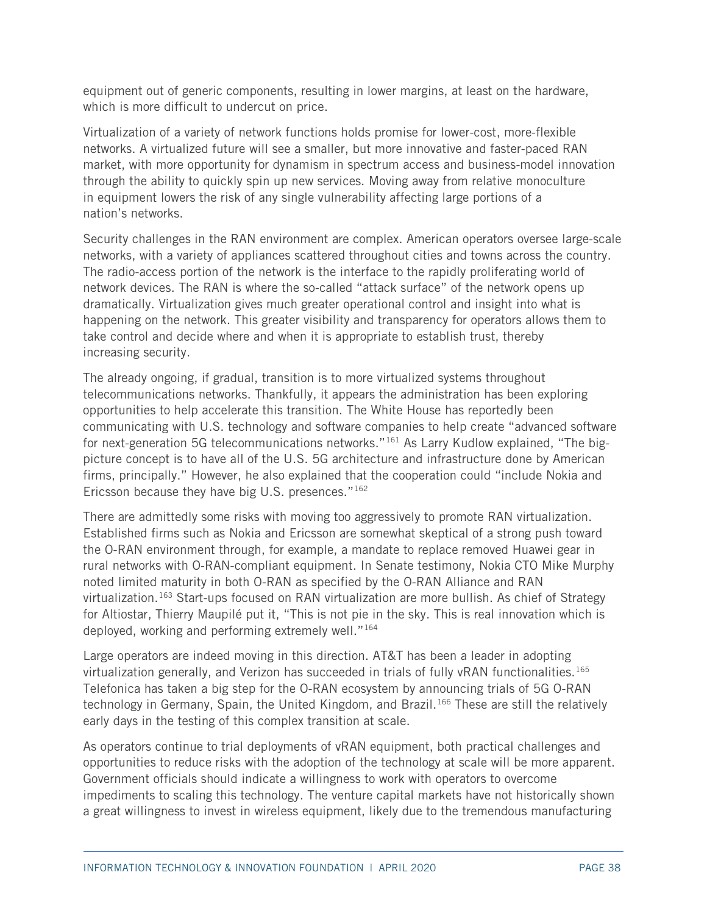equipment out of generic components, resulting in lower margins, at least on the hardware, which is more difficult to undercut on price.

Virtualization of a variety of network functions holds promise for lower-cost, more-flexible networks. A virtualized future will see a smaller, but more innovative and faster-paced RAN market, with more opportunity for dynamism in spectrum access and business-model innovation through the ability to quickly spin up new services. Moving away from relative monoculture in equipment lowers the risk of any single vulnerability affecting large portions of a nation's networks.

Security challenges in the RAN environment are complex. American operators oversee large-scale networks, with a variety of appliances scattered throughout cities and towns across the country. The radio-access portion of the network is the interface to the rapidly proliferating world of network devices. The RAN is where the so-called "attack surface" of the network opens up dramatically. Virtualization gives much greater operational control and insight into what is happening on the network. This greater visibility and transparency for operators allows them to take control and decide where and when it is appropriate to establish trust, thereby increasing security.

The already ongoing, if gradual, transition is to more virtualized systems throughout telecommunications networks. Thankfully, it appears the administration has been exploring opportunities to help accelerate this transition. The White House has reportedly been communicating with U.S. technology and software companies to help create "advanced software for next-generation 5G telecommunications networks."<sup>[161](#page-54-8)</sup> As Larry Kudlow explained, "The bigpicture concept is to have all of the U.S. 5G architecture and infrastructure done by American firms, principally." However, he also explained that the cooperation could "include Nokia and Ericsson because they have big U.S. presences."[162](#page-54-9)

There are admittedly some risks with moving too aggressively to promote RAN virtualization. Established firms such as Nokia and Ericsson are somewhat skeptical of a strong push toward the O-RAN environment through, for example, a mandate to replace removed Huawei gear in rural networks with O-RAN-compliant equipment. In Senate testimony, Nokia CTO Mike Murphy noted limited maturity in both O-RAN as specified by the O-RAN Alliance and RAN virtualization.<sup>[163](#page-54-10)</sup> Start-ups focused on RAN virtualization are more bullish. As chief of Strategy for Altiostar, Thierry Maupilé put it, "This is not pie in the sky. This is real innovation which is deployed, working and performing extremely well."<sup>164</sup>

Large operators are indeed moving in this direction. AT&T has been a leader in adopting virtualization generally, and Verizon has succeeded in trials of fully vRAN functionalities.<sup>[165](#page-54-12)</sup> Telefonica has taken a big step for the O-RAN ecosystem by announcing trials of 5G O-RAN technology in Germany, Spain, the United Kingdom, and Brazil. [166](#page-54-13) These are still the relatively early days in the testing of this complex transition at scale.

As operators continue to trial deployments of vRAN equipment, both practical challenges and opportunities to reduce risks with the adoption of the technology at scale will be more apparent. Government officials should indicate a willingness to work with operators to overcome impediments to scaling this technology. The venture capital markets have not historically shown a great willingness to invest in wireless equipment, likely due to the tremendous manufacturing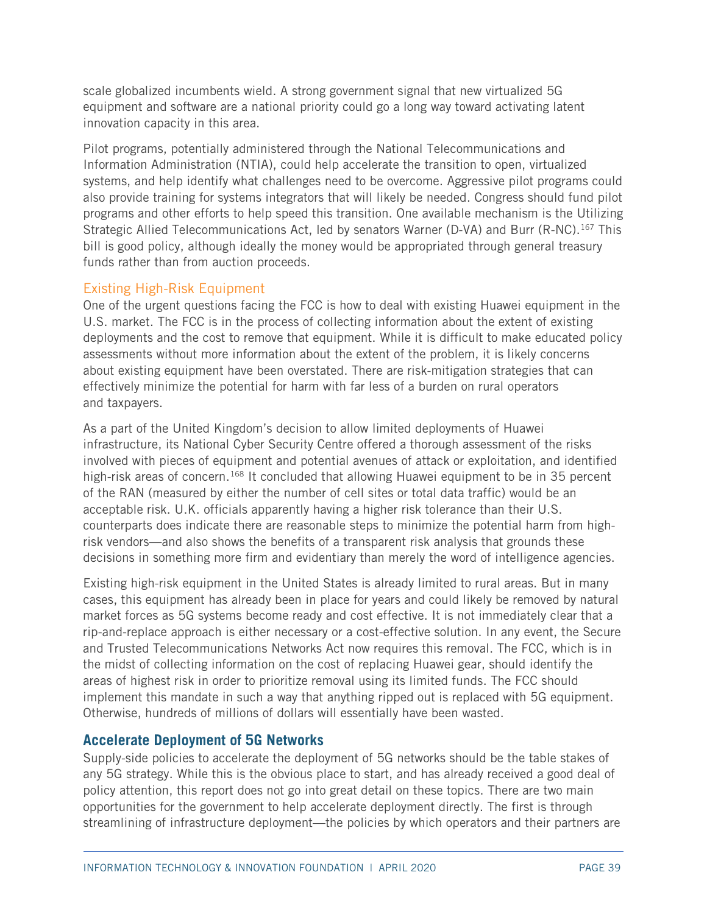scale globalized incumbents wield. A strong government signal that new virtualized 5G equipment and software are a national priority could go a long way toward activating latent innovation capacity in this area.

Pilot programs, potentially administered through the National Telecommunications and Information Administration (NTIA), could help accelerate the transition to open, virtualized systems, and help identify what challenges need to be overcome. Aggressive pilot programs could also provide training for systems integrators that will likely be needed. Congress should fund pilot programs and other efforts to help speed this transition. One available mechanism is the Utilizing Strategic Allied Telecommunications Act, led by senators Warner (D-VA) and Burr (R-NC).<sup>[167](#page-54-14)</sup> This bill is good policy, although ideally the money would be appropriated through general treasury funds rather than from auction proceeds.

#### Existing High-Risk Equipment

One of the urgent questions facing the FCC is how to deal with existing Huawei equipment in the U.S. market. The FCC is in the process of collecting information about the extent of existing deployments and the cost to remove that equipment. While it is difficult to make educated policy assessments without more information about the extent of the problem, it is likely concerns about existing equipment have been overstated. There are risk-mitigation strategies that can effectively minimize the potential for harm with far less of a burden on rural operators and taxpayers.

As a part of the United Kingdom's decision to allow limited deployments of Huawei infrastructure, its National Cyber Security Centre offered a thorough assessment of the risks involved with pieces of equipment and potential avenues of attack or exploitation, and identified high-risk areas of concern.<sup>[168](#page-54-15)</sup> It concluded that allowing Huawei equipment to be in 35 percent of the RAN (measured by either the number of cell sites or total data traffic) would be an acceptable risk. U.K. officials apparently having a higher risk tolerance than their U.S. counterparts does indicate there are reasonable steps to minimize the potential harm from highrisk vendors—and also shows the benefits of a transparent risk analysis that grounds these decisions in something more firm and evidentiary than merely the word of intelligence agencies.

Existing high-risk equipment in the United States is already limited to rural areas. But in many cases, this equipment has already been in place for years and could likely be removed by natural market forces as 5G systems become ready and cost effective. It is not immediately clear that a rip-and-replace approach is either necessary or a cost-effective solution. In any event, the Secure and Trusted Telecommunications Networks Act now requires this removal. The FCC, which is in the midst of collecting information on the cost of replacing Huawei gear, should identify the areas of highest risk in order to prioritize removal using its limited funds. The FCC should implement this mandate in such a way that anything ripped out is replaced with 5G equipment. Otherwise, hundreds of millions of dollars will essentially have been wasted.

## **Accelerate Deployment of 5G Networks**

Supply-side policies to accelerate the deployment of 5G networks should be the table stakes of any 5G strategy. While this is the obvious place to start, and has already received a good deal of policy attention, this report does not go into great detail on these topics. There are two main opportunities for the government to help accelerate deployment directly. The first is through streamlining of infrastructure deployment—the policies by which operators and their partners are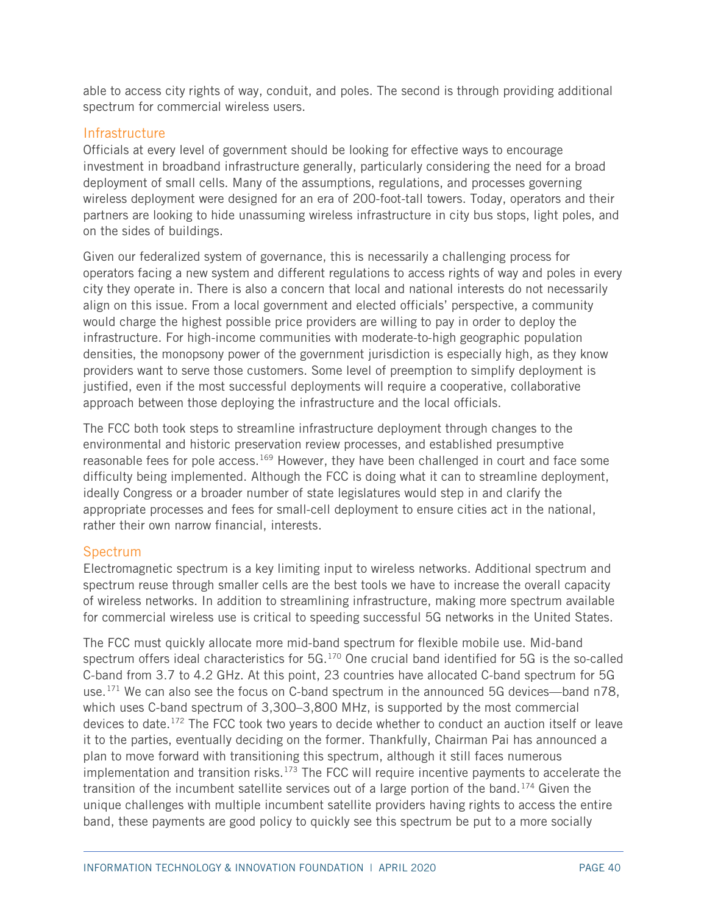able to access city rights of way, conduit, and poles. The second is through providing additional spectrum for commercial wireless users.

#### **Infrastructure**

Officials at every level of government should be looking for effective ways to encourage investment in broadband infrastructure generally, particularly considering the need for a broad deployment of small cells. Many of the assumptions, regulations, and processes governing wireless deployment were designed for an era of 200-foot-tall towers. Today, operators and their partners are looking to hide unassuming wireless infrastructure in city bus stops, light poles, and on the sides of buildings.

Given our federalized system of governance, this is necessarily a challenging process for operators facing a new system and different regulations to access rights of way and poles in every city they operate in. There is also a concern that local and national interests do not necessarily align on this issue. From a local government and elected officials' perspective, a community would charge the highest possible price providers are willing to pay in order to deploy the infrastructure. For high-income communities with moderate-to-high geographic population densities, the monopsony power of the government jurisdiction is especially high, as they know providers want to serve those customers. Some level of preemption to simplify deployment is justified, even if the most successful deployments will require a cooperative, collaborative approach between those deploying the infrastructure and the local officials.

The FCC both took steps to streamline infrastructure deployment through changes to the environmental and historic preservation review processes, and established presumptive reasonable fees for pole access.<sup>[169](#page-54-16)</sup> However, they have been challenged in court and face some difficulty being implemented. Although the FCC is doing what it can to streamline deployment, ideally Congress or a broader number of state legislatures would step in and clarify the appropriate processes and fees for small-cell deployment to ensure cities act in the national, rather their own narrow financial, interests.

#### **Spectrum**

Electromagnetic spectrum is a key limiting input to wireless networks. Additional spectrum and spectrum reuse through smaller cells are the best tools we have to increase the overall capacity of wireless networks. In addition to streamlining infrastructure, making more spectrum available for commercial wireless use is critical to speeding successful 5G networks in the United States.

The FCC must quickly allocate more mid-band spectrum for flexible mobile use. Mid-band spectrum offers ideal characteristics for 5G.[170](#page-55-0) One crucial band identified for 5G is the so-called C-band from 3.7 to 4.2 GHz. At this point, 23 countries have allocated C-band spectrum for 5G use.<sup>[171](#page-55-1)</sup> We can also see the focus on C-band spectrum in the announced 5G devices—band n78, which uses C-band spectrum of 3,300–3,800 MHz, is supported by the most commercial devices to date.<sup>[172](#page-55-2)</sup> The FCC took two years to decide whether to conduct an auction itself or leave it to the parties, eventually deciding on the former. Thankfully, Chairman Pai has announced a plan to move forward with transitioning this spectrum, although it still faces numerous implementation and transition risks.<sup>[173](#page-55-3)</sup> The FCC will require incentive payments to accelerate the transition of the incumbent satellite services out of a large portion of the band.<sup>[174](#page-55-4)</sup> Given the unique challenges with multiple incumbent satellite providers having rights to access the entire band, these payments are good policy to quickly see this spectrum be put to a more socially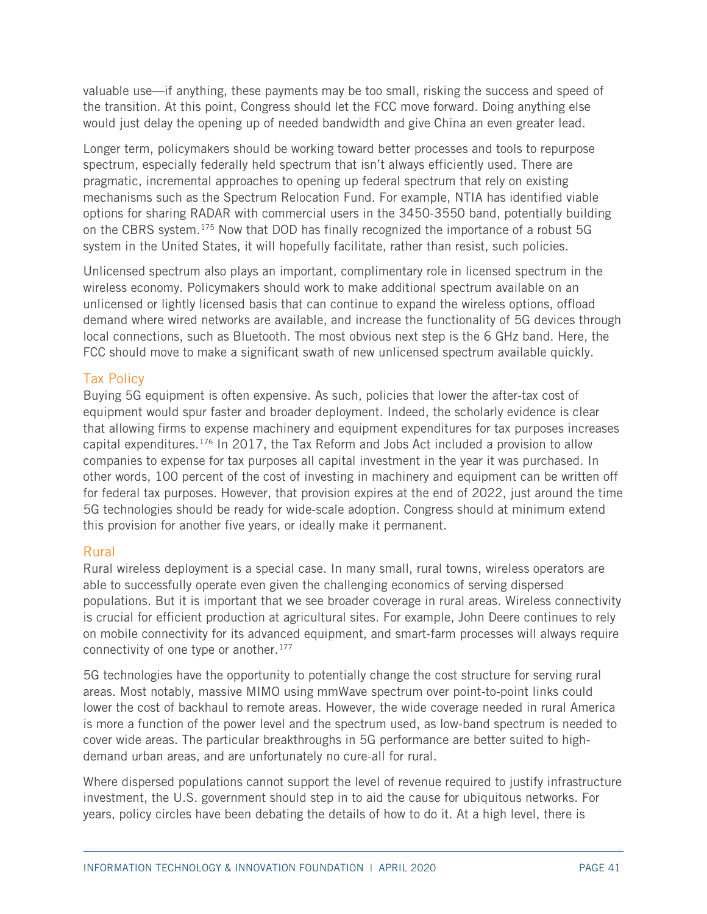valuable use—if anything, these payments may be too small, risking the success and speed of the transition. At this point, Congress should let the FCC move forward. Doing anything else would just delay the opening up of needed bandwidth and give China an even greater lead.

Longer term, policymakers should be working toward better processes and tools to repurpose spectrum, especially federally held spectrum that isn't always efficiently used. There are pragmatic, incremental approaches to opening up federal spectrum that rely on existing mechanisms such as the Spectrum Relocation Fund. For example, NTIA has identified viable options for sharing RADAR with commercial users in the 3450-3550 band, potentially building on the CBRS system.[175](#page-55-5) Now that DOD has finally recognized the importance of a robust 5G system in the United States, it will hopefully facilitate, rather than resist, such policies.

Unlicensed spectrum also plays an important, complimentary role in licensed spectrum in the wireless economy. Policymakers should work to make additional spectrum available on an unlicensed or lightly licensed basis that can continue to expand the wireless options, offload demand where wired networks are available, and increase the functionality of 5G devices through local connections, such as Bluetooth. The most obvious next step is the 6 GHz band. Here, the FCC should move to make a significant swath of new unlicensed spectrum available quickly.

#### Tax Policy

Buying 5G equipment is often expensive. As such, policies that lower the after-tax cost of equipment would spur faster and broader deployment. Indeed, the scholarly evidence is clear that allowing firms to expense machinery and equipment expenditures for tax purposes increases capital expenditures.[176](#page-55-6) In 2017, the Tax Reform and Jobs Act included a provision to allow companies to expense for tax purposes all capital investment in the year it was purchased. In other words, 100 percent of the cost of investing in machinery and equipment can be written off for federal tax purposes. However, that provision expires at the end of 2022, just around the time 5G technologies should be ready for wide-scale adoption. Congress should at minimum extend this provision for another five years, or ideally make it permanent.

#### Rural

Rural wireless deployment is a special case. In many small, rural towns, wireless operators are able to successfully operate even given the challenging economics of serving dispersed populations. But it is important that we see broader coverage in rural areas. Wireless connectivity is crucial for efficient production at agricultural sites. For example, John Deere continues to rely on mobile connectivity for its advanced equipment, and smart-farm processes will always require connectivity of one type or another.<sup>[177](#page-55-7)</sup>

5G technologies have the opportunity to potentially change the cost structure for serving rural areas. Most notably, massive MIMO using mmWave spectrum over point-to-point links could lower the cost of backhaul to remote areas. However, the wide coverage needed in rural America is more a function of the power level and the spectrum used, as low-band spectrum is needed to cover wide areas. The particular breakthroughs in 5G performance are better suited to highdemand urban areas, and are unfortunately no cure-all for rural.

Where dispersed populations cannot support the level of revenue required to justify infrastructure investment, the U.S. government should step in to aid the cause for ubiquitous networks. For years, policy circles have been debating the details of how to do it. At a high level, there is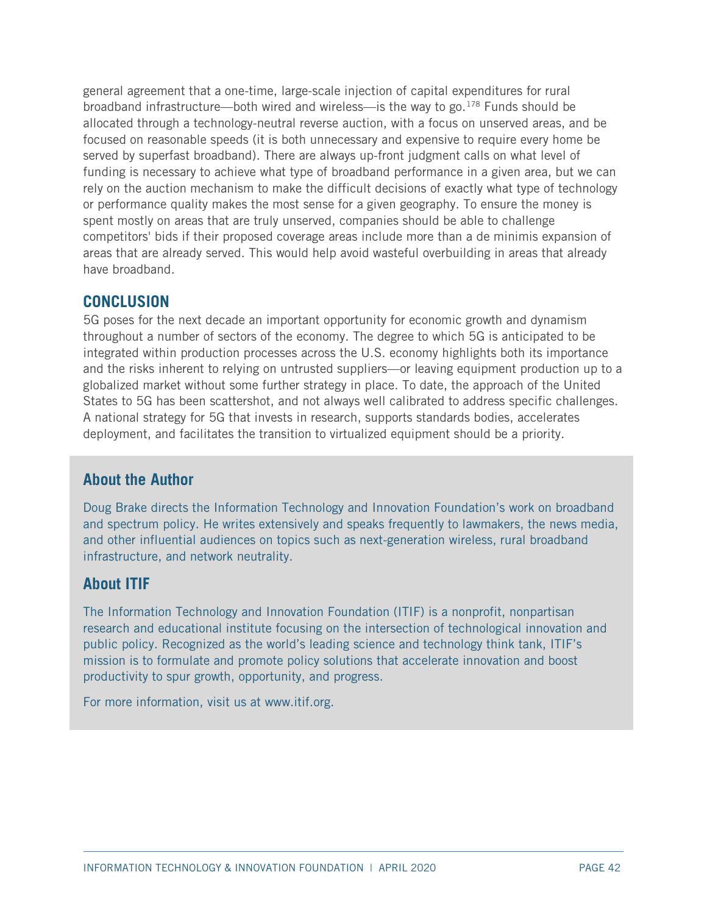general agreement that a one-time, large-scale injection of capital expenditures for rural broadband infrastructure—both wired and wireless—is the way to go.<sup>[178](#page-55-8)</sup> Funds should be allocated through a technology-neutral reverse auction, with a focus on unserved areas, and be focused on reasonable speeds (it is both unnecessary and expensive to require every home be served by superfast broadband). There are always up-front judgment calls on what level of funding is necessary to achieve what type of broadband performance in a given area, but we can rely on the auction mechanism to make the difficult decisions of exactly what type of technology or performance quality makes the most sense for a given geography. To ensure the money is spent mostly on areas that are truly unserved, companies should be able to challenge competitors' bids if their proposed coverage areas include more than a de minimis expansion of areas that are already served. This would help avoid wasteful overbuilding in areas that already have broadband.

## **CONCLUSION**

5G poses for the next decade an important opportunity for economic growth and dynamism throughout a number of sectors of the economy. The degree to which 5G is anticipated to be integrated within production processes across the U.S. economy highlights both its importance and the risks inherent to relying on untrusted suppliers—or leaving equipment production up to a globalized market without some further strategy in place. To date, the approach of the United States to 5G has been scattershot, and not always well calibrated to address specific challenges. A national strategy for 5G that invests in research, supports standards bodies, accelerates deployment, and facilitates the transition to virtualized equipment should be a priority.

# **About the Author**

Doug Brake directs the Information Technology and Innovation Foundation's work on broadband and spectrum policy. He writes extensively and speaks frequently to lawmakers, the news media, and other influential audiences on topics such as next-generation wireless, rural broadband infrastructure, and network neutrality.

## **About ITIF**

The Information Technology and Innovation Foundation (ITIF) is a nonprofit, nonpartisan research and educational institute focusing on the intersection of technological innovation and public policy. Recognized as the world's leading science and technology think tank, ITIF's mission is to formulate and promote policy solutions that accelerate innovation and boost productivity to spur growth, opp[ortunity, and](http://www.itif.org/) progress.

For more information, visit us at www.itif.org.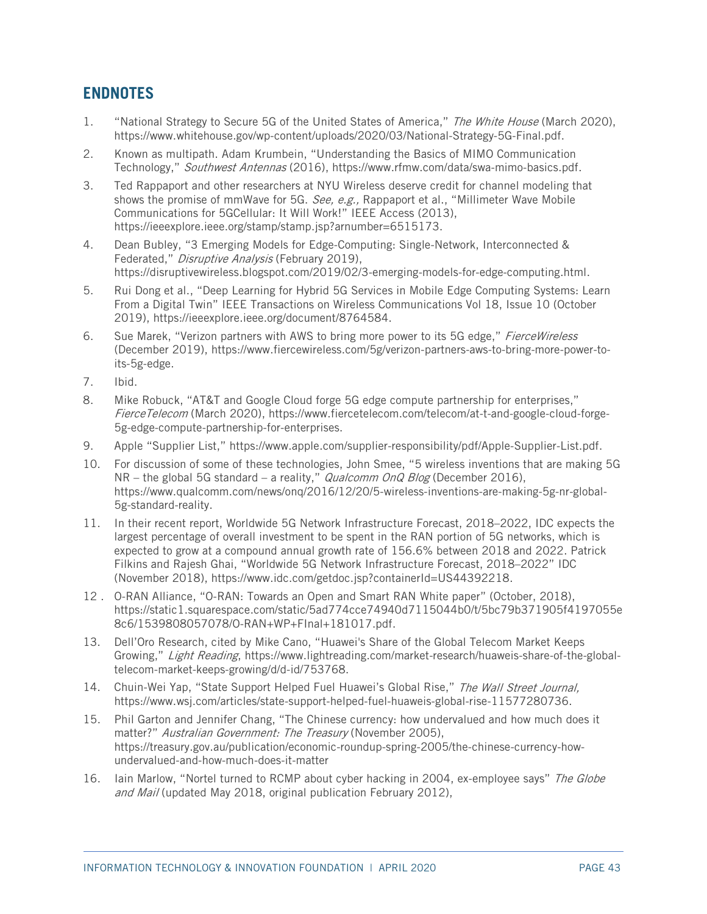# **ENDNOTES**

- <span id="page-45-0"></span>1. "National Strategy to Secure 5G of the United States of America," The White House (March 2020), [https://www.whitehouse.gov/wp-content/uploads/2020/03/National-Strategy-5G-Final.pdf.](https://www.whitehouse.gov/wp-content/uploads/2020/03/National-Strategy-5G-Final.pdf)
- <span id="page-45-1"></span>2. Known as multipath. Adam Krumbein, "Understanding the Basics of MIMO Communication Technology," Southwest Antennas (2016), [https://www.rfmw.com/data/swa-mimo-basics.pdf.](https://www.rfmw.com/data/swa-mimo-basics.pdf)
- <span id="page-45-2"></span>3. Ted Rappaport and other researchers at NYU Wireless deserve credit for channel modeling that shows the promise of mmWave for 5G. See, e.g., Rappaport et al., "Millimeter Wave Mobile Communications for 5GCellular: It Will Work!" IEEE Access (2013), [https://ieeexplore.ieee.org/stamp/stamp.jsp?arnumber=6515173.](https://ieeexplore.ieee.org/stamp/stamp.jsp?arnumber=6515173)
- <span id="page-45-3"></span>4. Dean Bubley, "3 Emerging Models for Edge-Computing: Single-Network, Interconnected & Federated," Disruptive Analysis (February 2019), [https://disruptivewireless.blogspot.com/2019/02/3-emerging-models-for-edge-computing.html.](https://disruptivewireless.blogspot.com/2019/02/3-emerging-models-for-edge-computing.html)
- <span id="page-45-4"></span>5. Rui Dong et al., "Deep Learning for Hybrid 5G Services in Mobile Edge Computing Systems: Learn From a Digital Twin" IEEE Transactions on Wireless Communications Vol 18, Issue 10 (October 2019), [https://ieeexplore.ieee.org/document/8764584.](https://ieeexplore.ieee.org/document/8764584)
- <span id="page-45-5"></span>6. Sue Marek, "Verizon partners with AWS to bring more power to its 5G edge," FierceWireless (December 2019), [https://www.fiercewireless.com/5g/verizon-partners-aws-to-bring-more-power-to](https://www.fiercewireless.com/5g/verizon-partners-aws-to-bring-more-power-to-its-5g-edge)[its-5g-edge.](https://www.fiercewireless.com/5g/verizon-partners-aws-to-bring-more-power-to-its-5g-edge)
- <span id="page-45-6"></span>7. Ibid.
- <span id="page-45-7"></span>8. Mike Robuck, "AT&T and Google Cloud forge 5G edge compute partnership for enterprises," FierceTelecom (March 2020), [https://www.fiercetelecom.com/telecom/at-t-and-google-cloud-forge-](https://www.fiercetelecom.com/telecom/at-t-and-google-cloud-forge-5g-edge-compute-partnership-for-enterprises)[5g-edge-compute-partnership-for-enterprises.](https://www.fiercetelecom.com/telecom/at-t-and-google-cloud-forge-5g-edge-compute-partnership-for-enterprises)
- <span id="page-45-8"></span>9. Apple "Supplier List," [https://www.apple.com/supplier-responsibility/pdf/Apple-Supplier-List.pdf.](https://www.apple.com/supplier-responsibility/pdf/Apple-Supplier-List.pdf)
- <span id="page-45-9"></span>10. For discussion of some of these technologies, John Smee, "5 wireless inventions that are making 5G  $NR -$  the global 5G standard – a reality," *Qualcomm OnQ Blog* (December 2016), [https://www.qualcomm.com/news/onq/2016/12/20/5-wireless-inventions-are-making-5g-nr-global-](https://www.qualcomm.com/news/onq/2016/12/20/5-wireless-inventions-are-making-5g-nr-global-5g-standard-reality)[5g-standard-reality.](https://www.qualcomm.com/news/onq/2016/12/20/5-wireless-inventions-are-making-5g-nr-global-5g-standard-reality)
- <span id="page-45-10"></span>11. In their recent report, Worldwide 5G Network Infrastructure Forecast, 2018–2022, IDC expects the largest percentage of overall investment to be spent in the RAN portion of 5G networks, which is expected to grow at a compound annual growth rate of 156.6% between 2018 and 2022. Patrick Filkins and Rajesh Ghai, "Worldwide 5G Network Infrastructure Forecast, 2018–2022" IDC (November 2018), https://www.idc.com/getdoc.jsp?containerId=US44392218.
- <span id="page-45-11"></span>12 . O-RAN Alliance, "O-RAN: Towards an Open and Smart RAN White paper" (October, 2018), [https://static1.squarespace.com/static/5ad774cce74940d7115044b0/t/5bc79b371905f4197055e](https://static1.squarespace.com/static/5ad774cce74940d7115044b0/t/5bc79b371905f4197055e8c6/1539808057078/O-RAN+WP+FInal+181017.pdf) [8c6/1539808057078/O-RAN+WP+FInal+181017.pdf.](https://static1.squarespace.com/static/5ad774cce74940d7115044b0/t/5bc79b371905f4197055e8c6/1539808057078/O-RAN+WP+FInal+181017.pdf)
- <span id="page-45-12"></span>13. Dell'Oro Research, cited by Mike Cano, "Huawei's Share of the Global Telecom Market Keeps Growing," Light Reading, [https://www.lightreading.com/market-research/huaweis-share-of-the-global](https://www.lightreading.com/market-research/huaweis-share-of-the-global-telecom-market-keeps-growing/d/d-id/753768)[telecom-market-keeps-growing/d/d-id/753768.](https://www.lightreading.com/market-research/huaweis-share-of-the-global-telecom-market-keeps-growing/d/d-id/753768)
- <span id="page-45-13"></span>14. Chuin-Wei Yap, "State Support Helped Fuel Huawei's Global Rise," The Wall Street Journal, [https://www.wsj.com/articles/state-support-helped-fuel-huaweis-global-rise-11577280736.](https://www.wsj.com/articles/state-support-helped-fuel-huaweis-global-rise-11577280736)
- <span id="page-45-14"></span>15. Phil Garton and Jennifer Chang, "The Chinese currency: how undervalued and how much does it matter?" Australian Government: The Treasury (November 2005), [https://treasury.gov.au/publication/economic-roundup-spring-2005/the-chinese-currency-how](https://treasury.gov.au/publication/economic-roundup-spring-2005/the-chinese-currency-how-undervalued-and-how-much-does-it-matter)[undervalued-and-how-much-does-it-matter](https://treasury.gov.au/publication/economic-roundup-spring-2005/the-chinese-currency-how-undervalued-and-how-much-does-it-matter)
- <span id="page-45-15"></span>16. Iain Marlow, "Nortel turned to RCMP about cyber hacking in 2004, ex-employee says" The Globe and Mail (updated May 2018, original publication February 2012),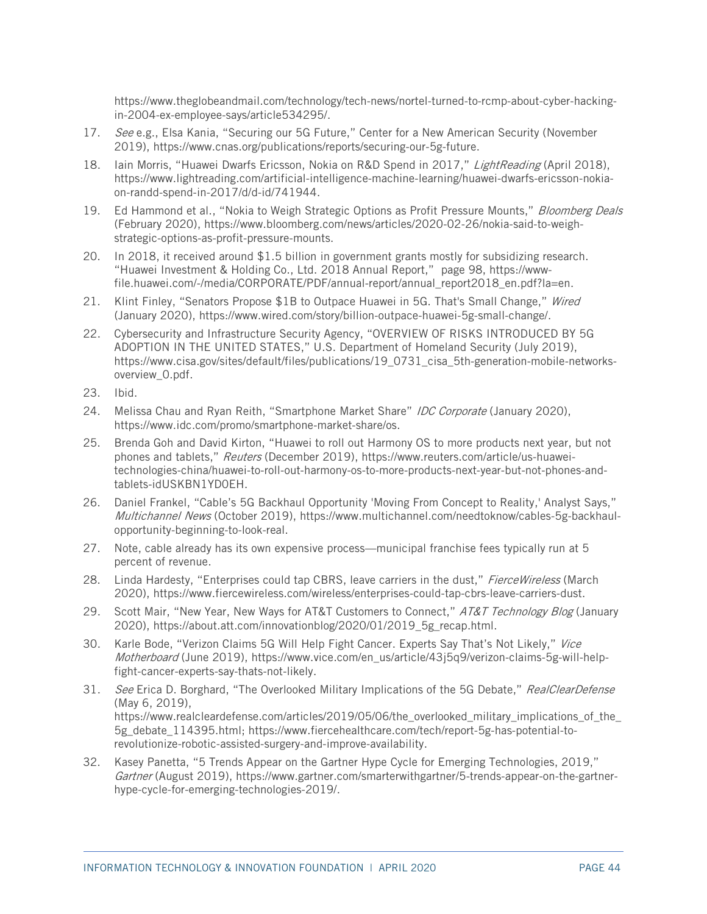[https://www.theglobeandmail.com/technology/tech-news/nortel-turned-to-rcmp-about-cyber-hacking](https://www.theglobeandmail.com/technology/tech-news/nortel-turned-to-rcmp-about-cyber-hacking-in-2004-ex-employee-says/article534295/)[in-2004-ex-employee-says/article534295/.](https://www.theglobeandmail.com/technology/tech-news/nortel-turned-to-rcmp-about-cyber-hacking-in-2004-ex-employee-says/article534295/)

- <span id="page-46-0"></span>17. See e.g., Elsa Kania, "Securing our 5G Future," Center for a New American Security (November 2019), [https://www.cnas.org/publications/reports/securing-our-5g-future.](https://www.cnas.org/publications/reports/securing-our-5g-future)
- <span id="page-46-1"></span>18. Iain Morris, "Huawei Dwarfs Ericsson, Nokia on R&D Spend in 2017," LightReading (April 2018), [https://www.lightreading.com/artificial-intelligence-machine-learning/huawei-dwarfs-ericsson-nokia](https://www.lightreading.com/artificial-intelligence-machine-learning/huawei-dwarfs-ericsson-nokia-on-randd-spend-in-2017/d/d-id/741944)[on-randd-spend-in-2017/d/d-id/741944.](https://www.lightreading.com/artificial-intelligence-machine-learning/huawei-dwarfs-ericsson-nokia-on-randd-spend-in-2017/d/d-id/741944)
- <span id="page-46-2"></span>19. Ed Hammond et al., "Nokia to Weigh Strategic Options as Profit Pressure Mounts," Bloomberg Deals (February 2020), [https://www.bloomberg.com/news/articles/2020-02-26/nokia-said-to-weigh](https://www.bloomberg.com/news/articles/2020-02-26/nokia-said-to-weigh-strategic-options-as-profit-pressure-mounts)[strategic-options-as-profit-pressure-mounts.](https://www.bloomberg.com/news/articles/2020-02-26/nokia-said-to-weigh-strategic-options-as-profit-pressure-mounts)
- <span id="page-46-3"></span>20. In 2018, it received around \$1.5 billion in government grants mostly for subsidizing research. "Huawei Investment & Holding Co., Ltd. 2018 Annual Report," page 98, [https://www](https://www-file.huawei.com/-/media/CORPORATE/PDF/annual-report/annual_report2018_en.pdf?la=en)[file.huawei.com/-/media/CORPORATE/PDF/annual-report/annual\\_report2018\\_en.pdf?la=en.](https://www-file.huawei.com/-/media/CORPORATE/PDF/annual-report/annual_report2018_en.pdf?la=en)
- <span id="page-46-4"></span>21. Klint Finley, "Senators Propose \$1B to Outpace Huawei in 5G. That's Small Change," Wired (January 2020), [https://www.wired.com/story/billion-outpace-huawei-5g-small-change/.](https://www.wired.com/story/billion-outpace-huawei-5g-small-change/)
- <span id="page-46-5"></span>22. Cybersecurity and Infrastructure Security Agency, "OVERVIEW OF RISKS INTRODUCED BY 5G ADOPTION IN THE UNITED STATES," U.S. Department of Homeland Security (July 2019), [https://www.cisa.gov/sites/default/files/publications/19\\_0731\\_cisa\\_5th-generation-mobile-networks](https://www.cisa.gov/sites/default/files/publications/19_0731_cisa_5th-generation-mobile-networks-overview_0.pdf)[overview\\_0.pdf.](https://www.cisa.gov/sites/default/files/publications/19_0731_cisa_5th-generation-mobile-networks-overview_0.pdf)
- <span id="page-46-6"></span>23. Ibid.
- <span id="page-46-7"></span>24. Melissa Chau and Ryan Reith, "Smartphone Market Share" *IDC Corporate* (January 2020), [https://www.idc.com/promo/smartphone-market-share/os.](https://www.idc.com/promo/smartphone-market-share/os)
- <span id="page-46-8"></span>25. Brenda Goh and David Kirton, "Huawei to roll out Harmony OS to more products next year, but not phones and tablets," Reuters (December 2019), [https://www.reuters.com/article/us-huawei](https://www.reuters.com/article/us-huawei-technologies-china/huawei-to-roll-out-harmony-os-to-more-products-next-year-but-not-phones-and-tablets-idUSKBN1YD0EH)[technologies-china/huawei-to-roll-out-harmony-os-to-more-products-next-year-but-not-phones-and](https://www.reuters.com/article/us-huawei-technologies-china/huawei-to-roll-out-harmony-os-to-more-products-next-year-but-not-phones-and-tablets-idUSKBN1YD0EH)[tablets-idUSKBN1YD0EH.](https://www.reuters.com/article/us-huawei-technologies-china/huawei-to-roll-out-harmony-os-to-more-products-next-year-but-not-phones-and-tablets-idUSKBN1YD0EH)
- <span id="page-46-9"></span>26. Daniel Frankel, "Cable's 5G Backhaul Opportunity 'Moving From Concept to Reality,' Analyst Says," Multichannel News (October 2019), [https://www.multichannel.com/needtoknow/cables-5g-backhaul](https://www.multichannel.com/needtoknow/cables-5g-backhaul-opportunity-beginning-to-look-real)[opportunity-beginning-to-look-real.](https://www.multichannel.com/needtoknow/cables-5g-backhaul-opportunity-beginning-to-look-real)
- <span id="page-46-10"></span>27. Note, cable already has its own expensive process—municipal franchise fees typically run at 5 percent of revenue.
- <span id="page-46-11"></span>28. Linda Hardesty, "Enterprises could tap CBRS, leave carriers in the dust," FierceWireless (March 2020), [https://www.fiercewireless.com/wireless/enterprises-could-tap-cbrs-leave-carriers-dust.](https://www.fiercewireless.com/wireless/enterprises-could-tap-cbrs-leave-carriers-dust)
- <span id="page-46-12"></span>29. Scott Mair, "New Year, New Ways for AT&T Customers to Connect," AT&T Technology Blog (January 2020), [https://about.att.com/innovationblog/2020/01/2019\\_5g\\_recap.html.](https://about.att.com/innovationblog/2020/01/2019_5g_recap.html)
- <span id="page-46-13"></span>30. Karle Bode, "Verizon Claims 5G Will Help Fight Cancer. Experts Say That's Not Likely," Vice Motherboard (June 2019), [https://www.vice.com/en\\_us/article/43j5q9/verizon-claims-5g-will-help](https://www.vice.com/en_us/article/43j5q9/verizon-claims-5g-will-help-fight-cancer-experts-say-thats-not-likely)[fight-cancer-experts-say-thats-not-likely.](https://www.vice.com/en_us/article/43j5q9/verizon-claims-5g-will-help-fight-cancer-experts-say-thats-not-likely)
- <span id="page-46-14"></span>31. See Erica D. Borghard, "The Overlooked Military Implications of the 5G Debate," RealClearDefense (May 6, 2019), [https://www.realcleardefense.com/articles/2019/05/06/the\\_overlooked\\_military\\_implications\\_of\\_the\\_](https://www.realcleardefense.com/articles/2019/05/06/the_overlooked_military_implications_of_the_5g_debate_114395.html) [5g\\_debate\\_114395.html;](https://www.realcleardefense.com/articles/2019/05/06/the_overlooked_military_implications_of_the_5g_debate_114395.html) [https://www.fiercehealthcare.com/tech/report-5g-has-potential-to](https://www.fiercehealthcare.com/tech/report-5g-has-potential-to-revolutionize-robotic-assisted-surgery-and-improve-availability)[revolutionize-robotic-assisted-surgery-and-improve-availability.](https://www.fiercehealthcare.com/tech/report-5g-has-potential-to-revolutionize-robotic-assisted-surgery-and-improve-availability)
- <span id="page-46-15"></span>32. Kasey Panetta, "5 Trends Appear on the Gartner Hype Cycle for Emerging Technologies, 2019," Gartner (August 2019), [https://www.gartner.com/smarterwithgartner/5-trends-appear-on-the-gartner](https://www.gartner.com/smarterwithgartner/5-trends-appear-on-the-gartner-hype-cycle-for-emerging-technologies-2019/)[hype-cycle-for-emerging-technologies-2019/.](https://www.gartner.com/smarterwithgartner/5-trends-appear-on-the-gartner-hype-cycle-for-emerging-technologies-2019/)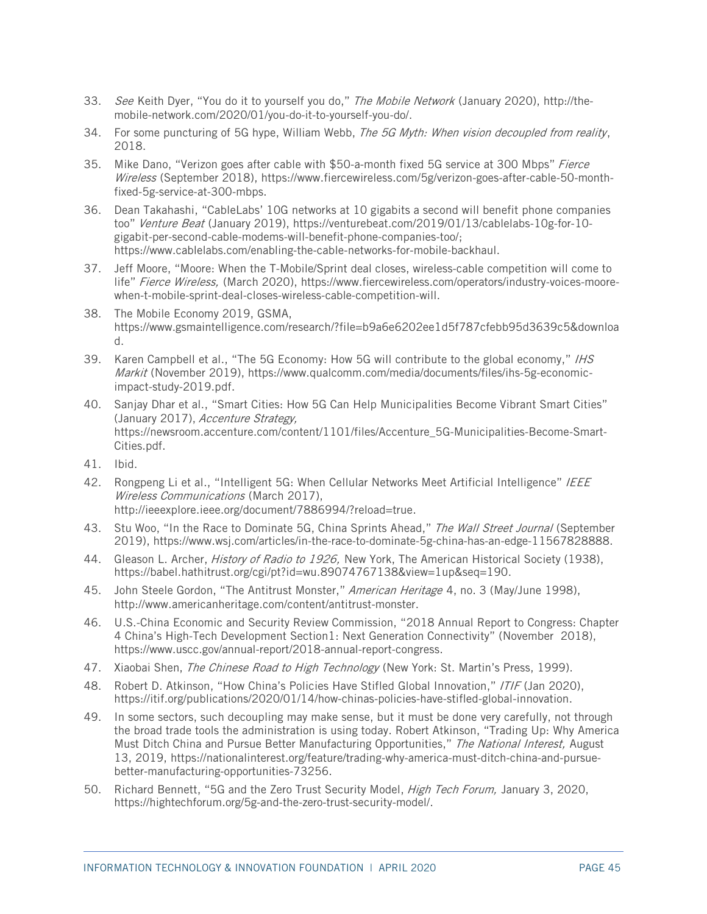- <span id="page-47-0"></span>33. See Keith Dyer, "You do it to yourself you do," The Mobile Network (January 2020), [http://the](http://the-mobile-network.com/2020/01/you-do-it-to-yourself-you-do/)[mobile-network.com/2020/01/you-do-it-to-yourself-you-do/.](http://the-mobile-network.com/2020/01/you-do-it-to-yourself-you-do/)
- <span id="page-47-1"></span>34. For some puncturing of 5G hype, William Webb, The 5G Myth: When vision decoupled from reality, 2018.
- <span id="page-47-2"></span>35. Mike Dano, "Verizon goes after cable with \$50-a-month fixed 5G service at 300 Mbps" Fierce Wireless (September 2018), [https://www.fiercewireless.com/5g/verizon-goes-after-cable-50-month](https://www.fiercewireless.com/5g/verizon-goes-after-cable-50-month-fixed-5g-service-at-300-mbps)[fixed-5g-service-at-300-mbps.](https://www.fiercewireless.com/5g/verizon-goes-after-cable-50-month-fixed-5g-service-at-300-mbps)
- <span id="page-47-3"></span>36. Dean Takahashi, "CableLabs' 10G networks at 10 gigabits a second will benefit phone companies too" Venture Beat (January 2019), [https://venturebeat.com/2019/01/13/cablelabs-10g-for-10](https://venturebeat.com/2019/01/13/cablelabs-10g-for-10-gigabit-per-second-cable-modems-will-benefit-phone-companies-too/) [gigabit-per-second-cable-modems-will-benefit-phone-companies-too/;](https://venturebeat.com/2019/01/13/cablelabs-10g-for-10-gigabit-per-second-cable-modems-will-benefit-phone-companies-too/) [https://www.cablelabs.com/enabling-the-cable-networks-for-mobile-backhaul.](https://www.cablelabs.com/enabling-the-cable-networks-for-mobile-backhaul)
- <span id="page-47-4"></span>37. Jeff Moore, "Moore: When the T-Mobile/Sprint deal closes, wireless-cable competition will come to life" Fierce Wireless, (March 2020), [https://www.fiercewireless.com/operators/industry-voices-moore](https://www.fiercewireless.com/operators/industry-voices-moore-when-t-mobile-sprint-deal-closes-wireless-cable-competition-will)[when-t-mobile-sprint-deal-closes-wireless-cable-competition-will.](https://www.fiercewireless.com/operators/industry-voices-moore-when-t-mobile-sprint-deal-closes-wireless-cable-competition-will)
- <span id="page-47-5"></span>38. The Mobile Economy 2019, GSMA, [https://www.gsmaintelligence.com/research/?file=b9a6e6202ee1d5f787cfebb95d3639c5&downloa](https://www.gsmaintelligence.com/research/?file=b9a6e6202ee1d5f787cfebb95d3639c5&download) [d.](https://www.gsmaintelligence.com/research/?file=b9a6e6202ee1d5f787cfebb95d3639c5&download)
- <span id="page-47-6"></span>39. Karen Campbell et al., "The 5G Economy: How 5G will contribute to the global economy," IHS Markit (November 2019), [https://www.qualcomm.com/media/documents/files/ihs-5g-economic](https://www.qualcomm.com/media/documents/files/ihs-5g-economic-impact-study-2019.pdf)[impact-study-2019.pdf.](https://www.qualcomm.com/media/documents/files/ihs-5g-economic-impact-study-2019.pdf)
- <span id="page-47-7"></span>40. Sanjay Dhar et al., "Smart Cities: How 5G Can Help Municipalities Become Vibrant Smart Cities" (January 2017), Accenture Strategy, [https://newsroom.accenture.com/content/1101/files/Accenture\\_5G-Municipalities-Become-Smart-](https://newsroom.accenture.com/content/1101/files/Accenture_5G-Municipalities-Become-Smart-Cities.pdf)[Cities.pdf.](https://newsroom.accenture.com/content/1101/files/Accenture_5G-Municipalities-Become-Smart-Cities.pdf)
- <span id="page-47-8"></span>41. Ibid.
- <span id="page-47-9"></span>42. Rongpeng Li et al., "Intelligent 5G: When Cellular Networks Meet Artificial Intelligence" IEEE Wireless Communications (March 2017), [http://ieeexplore.ieee.org/document/7886994/?reload=true.](http://ieeexplore.ieee.org/document/7886994/?reload=true)
- <span id="page-47-10"></span>43. Stu Woo, "In the Race to Dominate 5G, China Sprints Ahead," The Wall Street Journal (September 2019), [https://www.wsj.com/articles/in-the-race-to-dominate-5g-china-has-an-edge-11567828888.](https://www.wsj.com/articles/in-the-race-to-dominate-5g-china-has-an-edge-11567828888)
- <span id="page-47-11"></span>44. Gleason L. Archer, History of Radio to 1926, New York, The American Historical Society (1938), https://babel.hathitrust.org/cgi/pt?id=wu.89074767138&view=1up&seq=190.
- <span id="page-47-12"></span>45. John Steele Gordon, "The Antitrust Monster," American Heritage 4, no. 3 (May/June 1998), http://www.americanheritage.com/content/antitrust-monster.
- <span id="page-47-13"></span>46. U.S.-China Economic and Security Review Commission, "2018 Annual Report to Congress: Chapter 4 China's High-Tech Development Section1: Next Generation Connectivity" (November 2018), [https://www.uscc.gov/annual-report/2018-annual-report-congress.](https://www.uscc.gov/annual-report/2018-annual-report-congress)
- <span id="page-47-14"></span>47. Xiaobai Shen, The Chinese Road to High Technology (New York: St. Martin's Press, 1999).
- <span id="page-47-15"></span>48. Robert D. Atkinson, "How China's Policies Have Stifled Global Innovation," /T/F (Jan 2020), [https://itif.org/publications/2020/01/14/how-chinas-policies-have-stifled-global-innovation.](https://itif.org/publications/2020/01/14/how-chinas-policies-have-stifled-global-innovation)
- <span id="page-47-16"></span>49. In some sectors, such decoupling may make sense, but it must be done very carefully, not through the broad trade tools the administration is using today. Robert Atkinson, "Trading Up: Why America Must Ditch China and Pursue Better Manufacturing Opportunities," The National Interest, August 13, 2019, https://nationalinterest.org/feature/trading-why-america-must-ditch-china-and-pursuebetter-manufacturing-opportunities-73256.
- <span id="page-47-17"></span>50. Richard Bennett, "5G and the Zero Trust Security Model, High Tech Forum, January 3, 2020, https://hightechforum.org/5g-and-the-zero-trust-security-model/.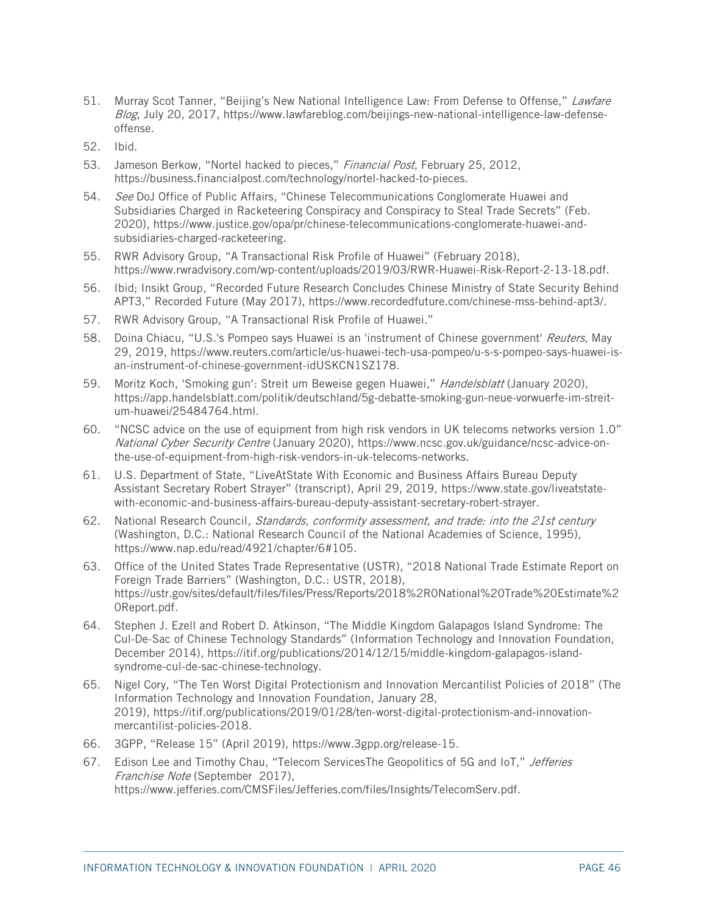- <span id="page-48-0"></span>51. Murray Scot Tanner, "Beijing's New National Intelligence Law: From Defense to Offense," Lawfare Blog, July 20, 2017, https://www.lawfareblog.com/beijings-new-national-intelligence-law-defenseoffense.
- <span id="page-48-1"></span>52. Ibid.
- <span id="page-48-2"></span>53. Jameson Berkow, "Nortel hacked to pieces," Financial Post, February 25, 2012, [https://business.financialpost.com/technology/nortel-hacked-to-pieces.](https://business.financialpost.com/technology/nortel-hacked-to-pieces)
- <span id="page-48-3"></span>54. See DoJ Office of Public Affairs, "Chinese Telecommunications Conglomerate Huawei and Subsidiaries Charged in Racketeering Conspiracy and Conspiracy to Steal Trade Secrets" (Feb. 2020), [https://www.justice.gov/opa/pr/chinese-telecommunications-conglomerate-huawei-and](https://www.justice.gov/opa/pr/chinese-telecommunications-conglomerate-huawei-and-subsidiaries-charged-racketeering)[subsidiaries-charged-racketeering.](https://www.justice.gov/opa/pr/chinese-telecommunications-conglomerate-huawei-and-subsidiaries-charged-racketeering)
- <span id="page-48-4"></span>55. RWR Advisory Group, "A Transactional Risk Profile of Huawei" (February 2018), [https://www.rwradvisory.com/wp-content/uploads/2019/03/RWR-Huawei-Risk-Report-2-13-18.pdf.](https://www.rwradvisory.com/wp-content/uploads/2019/03/RWR-Huawei-Risk-Report-2-13-18.pdf)
- <span id="page-48-5"></span>56. Ibid; Insikt Group, "Recorded Future Research Concludes Chinese Ministry of State Security Behind APT3," Recorded Future (May 2017), [https://www.recordedfuture.com/chinese-mss-behind-apt3/.](https://www.recordedfuture.com/chinese-mss-behind-apt3/)
- <span id="page-48-6"></span>57. RWR Advisory Group, "A Transactional Risk Profile of Huawei."
- <span id="page-48-7"></span>58. Doina Chiacu, "U.S.'s Pompeo says Huawei is an 'instrument of Chinese government' Reuters, May 29, 2019, https://www.reuters.com/article/us-huawei-tech-usa-pompeo/u-s-s-pompeo-says-huawei-isan-instrument-of-chinese-government-idUSKCN1SZ178.
- <span id="page-48-8"></span>59. Moritz Koch, 'Smoking gun': Streit um Beweise gegen Huawei," Handelsblatt (January 2020), [https://app.handelsblatt.com/politik/deutschland/5g-debatte-smoking-gun-neue-vorwuerfe-im-streit](https://app.handelsblatt.com/politik/deutschland/5g-debatte-smoking-gun-neue-vorwuerfe-im-streit-um-huawei/25484764.html)[um-huawei/25484764.html.](https://app.handelsblatt.com/politik/deutschland/5g-debatte-smoking-gun-neue-vorwuerfe-im-streit-um-huawei/25484764.html)
- <span id="page-48-9"></span>60. "NCSC advice on the use of equipment from high risk vendors in UK telecoms networks version 1.0" National Cyber Security Centre (January 2020), [https://www.ncsc.gov.uk/guidance/ncsc-advice-on](https://www.ncsc.gov.uk/guidance/ncsc-advice-on-the-use-of-equipment-from-high-risk-vendors-in-uk-telecoms-networks)[the-use-of-equipment-from-high-risk-vendors-in-uk-telecoms-networks.](https://www.ncsc.gov.uk/guidance/ncsc-advice-on-the-use-of-equipment-from-high-risk-vendors-in-uk-telecoms-networks)
- <span id="page-48-10"></span>61. U.S. Department of State, "LiveAtState With Economic and Business Affairs Bureau Deputy Assistant Secretary Robert Strayer" (transcript), April 29, 2019, [https://www.state.gov/liveatstate](https://www.state.gov/liveatstate-with-economic-and-business-affairs-bureau-deputy-assistant-secretary-robert-strayer)[with-economic-and-business-affairs-bureau-deputy-assistant-secretary-robert-strayer.](https://www.state.gov/liveatstate-with-economic-and-business-affairs-bureau-deputy-assistant-secretary-robert-strayer)
- <span id="page-48-11"></span>62. National Research Council, Standards, conformity assessment, and trade: into the 21st century (Washington, D.C.: National Research Council of the National Academies of Science, 1995), [https://www.nap.edu/read/4921/chapter/6#105.](https://www.nap.edu/read/4921/chapter/6#105)
- <span id="page-48-12"></span>63. Office of the United States Trade Representative (USTR), "2018 National Trade Estimate Report on Foreign Trade Barriers" (Washington, D.C.: USTR, 2018), [https://ustr.gov/sites/default/files/files/Press/Reports/2018%2R0National%20Trade%20Estimate%2](https://ustr.gov/sites/default/files/files/Press/Reports/2018%252R0National%20Trade%20Estimate%20Report.pdf) [0Report.pdf.](https://ustr.gov/sites/default/files/files/Press/Reports/2018%252R0National%20Trade%20Estimate%20Report.pdf)
- <span id="page-48-13"></span>64. Stephen J. Ezell and Robert D. Atkinson, "The Middle Kingdom Galapagos Island Syndrome: The Cul-De-Sac of Chinese Technology Standards" (Information Technology and Innovation Foundation, December 2014), [https://itif.org/publications/2014/12/15/middle-kingdom-galapagos-island](https://itif.org/publications/2014/12/15/middle-kingdom-galapagos-island-syndrome-cul-de-sac-chinese-technology)[syndrome-cul-de-sac-chinese-technology.](https://itif.org/publications/2014/12/15/middle-kingdom-galapagos-island-syndrome-cul-de-sac-chinese-technology)
- <span id="page-48-14"></span>65. Nigel Cory, "The Ten Worst Digital Protectionism and Innovation Mercantilist Policies of 2018" (The Information Technology and Innovation Foundation, January 28, 2019), [https://itif.org/publications/2019/01/28/ten-worst-digital-protectionism-and-innovation](https://itif.org/publications/2019/01/28/ten-worst-digital-protectionism-and-innovation-mercantilist-policies-2018)[mercantilist-policies-2018.](https://itif.org/publications/2019/01/28/ten-worst-digital-protectionism-and-innovation-mercantilist-policies-2018)
- <span id="page-48-15"></span>66. 3GPP, "Release 15" (April 2019), [https://www.3gpp.org/release-15.](https://www.3gpp.org/release-15)
- <span id="page-48-16"></span>67. Edison Lee and Timothy Chau, "Telecom ServicesThe Geopolitics of 5G and IoT," Jefferies Franchise Note (September 2017), [https://www.jefferies.com/CMSFiles/Jefferies.com/files/Insights/TelecomServ.pdf.](https://www.jefferies.com/CMSFiles/Jefferies.com/files/Insights/TelecomServ.pdf)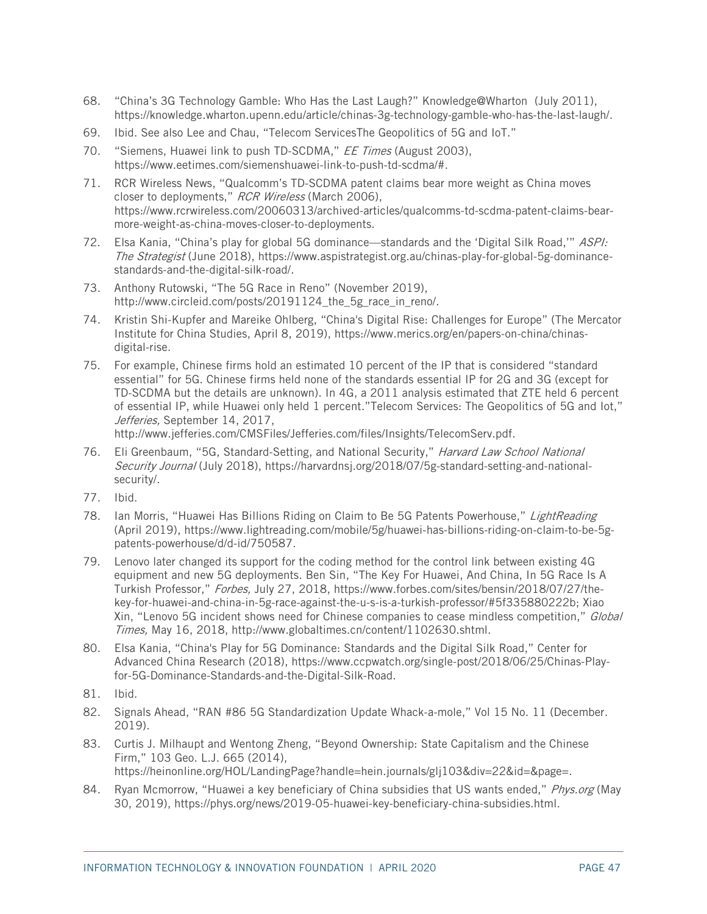- <span id="page-49-0"></span>68. "China's 3G Technology Gamble: Who Has the Last Laugh?" Knowledge@Wharton (July 2011), [https://knowledge.wharton.upenn.edu/article/chinas-3g-technology-gamble-who-has-the-last-laugh/.](https://knowledge.wharton.upenn.edu/article/chinas-3g-technology-gamble-who-has-the-last-laugh/)
- <span id="page-49-1"></span>69. Ibid. See also Lee and Chau, "Telecom ServicesThe Geopolitics of 5G and IoT."
- <span id="page-49-2"></span>70. "Siemens, Huawei link to push TD-SCDMA," EE Times (August 2003), [https://www.eetimes.com/siemenshuawei-link-to-push-td-scdma/#.](https://www.eetimes.com/siemenshuawei-link-to-push-td-scdma/)
- <span id="page-49-3"></span>71. RCR Wireless News, "Qualcomm's TD-SCDMA patent claims bear more weight as China moves closer to deployments," RCR Wireless (March 2006), [https://www.rcrwireless.com/20060313/archived-articles/qualcomms-td-scdma-patent-claims-bear](https://www.rcrwireless.com/20060313/archived-articles/qualcomms-td-scdma-patent-claims-bear-more-weight-as-china-moves-closer-to-deployments)[more-weight-as-china-moves-closer-to-deployments.](https://www.rcrwireless.com/20060313/archived-articles/qualcomms-td-scdma-patent-claims-bear-more-weight-as-china-moves-closer-to-deployments)
- <span id="page-49-4"></span>72. Elsa Kania, "China's play for global 5G dominance—standards and the 'Digital Silk Road,'" ASPI: The Strategist (June 2018), [https://www.aspistrategist.org.au/chinas-play-for-global-5g-dominance](https://www.aspistrategist.org.au/chinas-play-for-global-5g-dominance-standards-and-the-digital-silk-road/)[standards-and-the-digital-silk-road/.](https://www.aspistrategist.org.au/chinas-play-for-global-5g-dominance-standards-and-the-digital-silk-road/)
- <span id="page-49-5"></span>73. Anthony Rutowski, "The 5G Race in Reno" (November 2019), http://www.circleid.com/posts/20191124 the 5g race in reno/.
- <span id="page-49-6"></span>74. Kristin Shi-Kupfer and Mareike Ohlberg, "China's Digital Rise: Challenges for Europe" (The Mercator Institute for China Studies, April 8, 2019), [https://www.merics.org/en/papers-on-china/chinas](https://www.merics.org/en/papers-on-china/chinas-digital-rise)[digital-rise.](https://www.merics.org/en/papers-on-china/chinas-digital-rise)
- <span id="page-49-7"></span>75. For example, Chinese firms hold an estimated 10 percent of the IP that is considered "standard essential" for 5G. Chinese firms held none of the standards essential IP for 2G and 3G (except for TD-SCDMA but the details are unknown). In 4G, a 2011 analysis estimated that ZTE held 6 percent of essential IP, while Huawei only held 1 percent."Telecom Services: The Geopolitics of 5G and Iot," Jefferies, September 14, 2017,

http://www.jefferies.com/CMSFiles/Jefferies.com/files/Insights/TelecomServ.pdf.

- <span id="page-49-8"></span>76. Eli Greenbaum, "5G, Standard-Setting, and National Security," Harvard Law School National Security Journal (July 2018), https://harvardnsi.org/2018/07/5g-standard-setting-and-national[security/.](https://harvardnsj.org/2018/07/5g-standard-setting-and-national-security/)
- <span id="page-49-9"></span>77. Ibid.
- <span id="page-49-10"></span>78. Ian Morris, "Huawei Has Billions Riding on Claim to Be 5G Patents Powerhouse," LightReading (April 2019), [https://www.lightreading.com/mobile/5g/huawei-has-billions-riding-on-claim-to-be-5g](https://www.lightreading.com/mobile/5g/huawei-has-billions-riding-on-claim-to-be-5g-patents-powerhouse/d/d-id/750587)[patents-powerhouse/d/d-id/750587.](https://www.lightreading.com/mobile/5g/huawei-has-billions-riding-on-claim-to-be-5g-patents-powerhouse/d/d-id/750587)
- <span id="page-49-11"></span>79. Lenovo later changed its support for the coding method for the control link between existing 4G equipment and new 5G deployments. Ben Sin, "The Key For Huawei, And China, In 5G Race Is A Turkish Professor," Forbes, July 27, 2018, [https://www.forbes.com/sites/bensin/2018/07/27/the](https://www.forbes.com/sites/bensin/2018/07/27/the-key-for-huawei-and-china-in-5g-race-against-the-u-s-is-a-turkish-professor/#5f335880222b)[key-for-huawei-and-china-in-5g-race-against-the-u-s-is-a-turkish-professor/#5f335880222b;](https://www.forbes.com/sites/bensin/2018/07/27/the-key-for-huawei-and-china-in-5g-race-against-the-u-s-is-a-turkish-professor/#5f335880222b) Xiao Xin, "Lenovo 5G incident shows need for Chinese companies to cease mindless competition," Global Times, May 16, 2018, [http://www.globaltimes.cn/content/1102630.shtml.](http://www.globaltimes.cn/content/1102630.shtml)
- <span id="page-49-12"></span>80. Elsa Kania, "China's Play for 5G Dominance: Standards and the Digital Silk Road," Center for Advanced China Research (2018), [https://www.ccpwatch.org/single-post/2018/06/25/Chinas-Play](https://www.ccpwatch.org/single-post/2018/06/25/Chinas-Play-for-5G-Dominance-Standards-and-the-Digital-Silk-Road)[for-5G-Dominance-Standards-and-the-Digital-Silk-Road.](https://www.ccpwatch.org/single-post/2018/06/25/Chinas-Play-for-5G-Dominance-Standards-and-the-Digital-Silk-Road)
- <span id="page-49-13"></span>81. Ibid.
- <span id="page-49-14"></span>82. Signals Ahead, "RAN #86 5G Standardization Update Whack-a-mole," Vol 15 No. 11 (December. 2019).
- <span id="page-49-15"></span>83. Curtis J. Milhaupt and Wentong Zheng, "Beyond Ownership: State Capitalism and the Chinese Firm," 103 Geo. L.J. 665 (2014), [https://heinonline.org/HOL/LandingPage?handle=hein.journals/glj103&div=22&id=&page=.](https://heinonline.org/HOL/LandingPage?handle=hein.journals/glj103&div=22&id=&page=)
- <span id="page-49-16"></span>84. Ryan Mcmorrow, "Huawei a key beneficiary of China subsidies that US wants ended," Phys.org (May 30, 2019), [https://phys.org/news/2019-05-huawei-key-beneficiary-china-subsidies.html.](https://www.ntia.doc.gov/speechtestimony/2018/remarks-assistant-secretary-redl-white-house-5g-summit)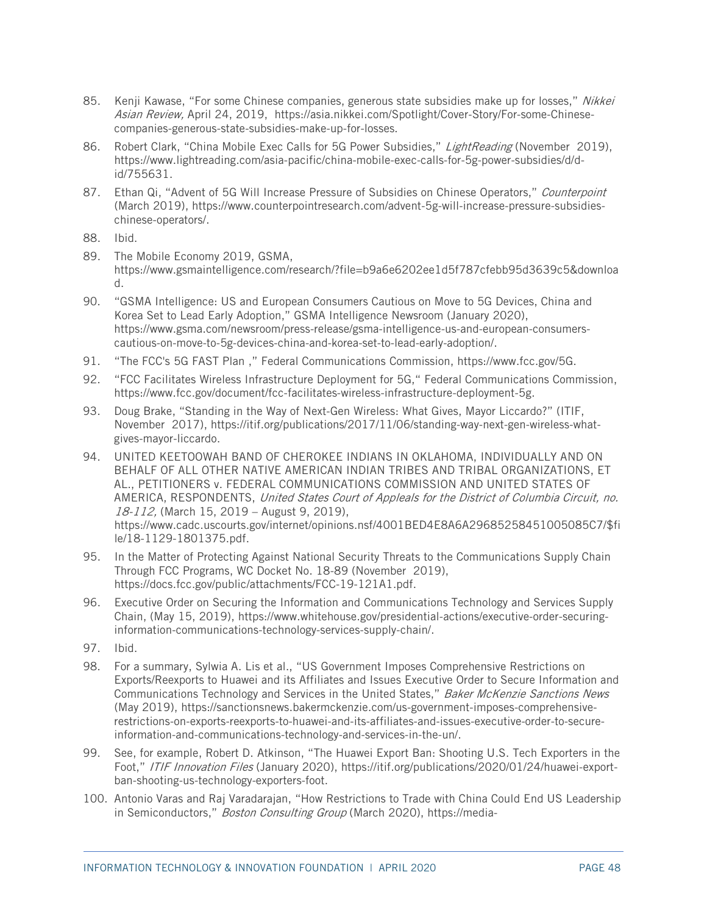- <span id="page-50-0"></span>85. Kenji Kawase, "For some Chinese companies, generous state subsidies make up for losses," Nikkei Asian Review, April 24, 2019, [https://asia.nikkei.com/Spotlight/Cover-Story/For-some-Chinese](https://asia.nikkei.com/Spotlight/Cover-Story/For-some-Chinese-companies-generous-state-subsidies-make-up-for-losses)[companies-generous-state-subsidies-make-up-for-losses.](https://asia.nikkei.com/Spotlight/Cover-Story/For-some-Chinese-companies-generous-state-subsidies-make-up-for-losses)
- <span id="page-50-1"></span>86. Robert Clark, "China Mobile Exec Calls for 5G Power Subsidies," LightReading (November 2019), [https://www.lightreading.com/asia-pacific/china-mobile-exec-calls-for-5g-power-subsidies/d/d](https://www.lightreading.com/asia-pacific/china-mobile-exec-calls-for-5g-power-subsidies/d/d-id/755631)[id/755631.](https://www.lightreading.com/asia-pacific/china-mobile-exec-calls-for-5g-power-subsidies/d/d-id/755631)
- <span id="page-50-2"></span>87. Ethan Qi, "Advent of 5G Will Increase Pressure of Subsidies on Chinese Operators," Counterpoint (March 2019), [https://www.counterpointresearch.com/advent-5g-will-increase-pressure-subsidies](https://www.counterpointresearch.com/advent-5g-will-increase-pressure-subsidies-chinese-operators/)[chinese-operators/.](https://www.counterpointresearch.com/advent-5g-will-increase-pressure-subsidies-chinese-operators/)
- <span id="page-50-3"></span>88. Ibid.
- <span id="page-50-4"></span>89. The Mobile Economy 2019, GSMA, [https://www.gsmaintelligence.com/research/?file=b9a6e6202ee1d5f787cfebb95d3639c5&downloa](https://www.gsmaintelligence.com/research/?file=b9a6e6202ee1d5f787cfebb95d3639c5&download) [d.](https://www.gsmaintelligence.com/research/?file=b9a6e6202ee1d5f787cfebb95d3639c5&download)
- <span id="page-50-5"></span>90. "GSMA Intelligence: US and European Consumers Cautious on Move to 5G Devices, China and Korea Set to Lead Early Adoption," GSMA Intelligence Newsroom (January 2020), https://www.gsma.com/newsroom/press-release/gsma-intelligence-us-and-european-consumerscautious-on-move-to-5g-devices-china-and-korea-set-to-lead-early-adoption/.
- <span id="page-50-6"></span>91. "The FCC's 5G FAST Plan ," Federal Communications Commission, https://www.fcc.gov/5G.
- <span id="page-50-7"></span>92. "FCC Facilitates Wireless Infrastructure Deployment for 5G," Federal Communications Commission, https://www.fcc.gov/document/fcc-facilitates-wireless-infrastructure-deployment-5g.
- <span id="page-50-8"></span>93. Doug Brake, "Standing in the Way of Next-Gen Wireless: What Gives, Mayor Liccardo?" (ITIF, November 2017), [https://itif.org/publications/2017/11/06/standing-way-next-gen-wireless-what](https://itif.org/publications/2017/11/06/standing-way-next-gen-wireless-what-gives-mayor-liccardo)[gives-mayor-liccardo.](https://itif.org/publications/2017/11/06/standing-way-next-gen-wireless-what-gives-mayor-liccardo)
- <span id="page-50-9"></span>94. UNITED KEETOOWAH BAND OF CHEROKEE INDIANS IN OKLAHOMA, INDIVIDUALLY AND ON BEHALF OF ALL OTHER NATIVE AMERICAN INDIAN TRIBES AND TRIBAL ORGANIZATIONS, ET AL., PETITIONERS v. FEDERAL COMMUNICATIONS COMMISSION AND UNITED STATES OF AMERICA, RESPONDENTS, United States Court of Appleals for the District of Columbia Circuit, no. 18-112, (March 15, 2019 – August 9, 2019), https://www.cadc.uscourts.gov/internet/opinions.nsf/4001BED4E8A6A29685258451005085C7/\$fi le/18-1129-1801375.pdf.
- <span id="page-50-10"></span>95. In the Matter of Protecting Against National Security Threats to the Communications Supply Chain Through FCC Programs, WC Docket No. 18-89 (November 2019), [https://docs.fcc.gov/public/attachments/FCC-19-121A1.pdf.](https://docs.fcc.gov/public/attachments/FCC-19-121A1.pdf)
- <span id="page-50-11"></span>96. Executive Order on Securing the Information and Communications Technology and Services Supply Chain, (May 15, 2019), [https://www.whitehouse.gov/presidential-actions/executive-order-securing](https://www.whitehouse.gov/presidential-actions/executive-order-securing-information-communications-technology-services-supply-chain/)[information-communications-technology-services-supply-chain/.](https://www.whitehouse.gov/presidential-actions/executive-order-securing-information-communications-technology-services-supply-chain/)
- <span id="page-50-12"></span>97. Ibid.
- <span id="page-50-13"></span>98. For a summary, Sylwia A. Lis et al., "US Government Imposes Comprehensive Restrictions on Exports/Reexports to Huawei and its Affiliates and Issues Executive Order to Secure Information and Communications Technology and Services in the United States," Baker McKenzie Sanctions News (May 2019), [https://sanctionsnews.bakermckenzie.com/us-government-imposes-comprehensive](https://sanctionsnews.bakermckenzie.com/us-government-imposes-comprehensive-restrictions-on-exports-reexports-to-huawei-and-its-affiliates-and-issues-executive-order-to-secure-information-and-communications-technology-and-services-in-the-un/)[restrictions-on-exports-reexports-to-huawei-and-its-affiliates-and-issues-executive-order-to-secure](https://sanctionsnews.bakermckenzie.com/us-government-imposes-comprehensive-restrictions-on-exports-reexports-to-huawei-and-its-affiliates-and-issues-executive-order-to-secure-information-and-communications-technology-and-services-in-the-un/)[information-and-communications-technology-and-services-in-the-un/.](https://sanctionsnews.bakermckenzie.com/us-government-imposes-comprehensive-restrictions-on-exports-reexports-to-huawei-and-its-affiliates-and-issues-executive-order-to-secure-information-and-communications-technology-and-services-in-the-un/)
- <span id="page-50-14"></span>99. See, for example, Robert D. Atkinson, "The Huawei Export Ban: Shooting U.S. Tech Exporters in the Foot," ITIF Innovation Files (January 2020), [https://itif.org/publications/2020/01/24/huawei-export](https://itif.org/publications/2020/01/24/huawei-export-ban-shooting-us-technology-exporters-foot)[ban-shooting-us-technology-exporters-foot.](https://itif.org/publications/2020/01/24/huawei-export-ban-shooting-us-technology-exporters-foot)
- <span id="page-50-15"></span>100. Antonio Varas and Raj Varadarajan, "How Restrictions to Trade with China Could End US Leadership in Semiconductors," Boston Consulting Group (March 2020), [https://media-](https://media-publications.bcg.com/flash/2020-03-07-How-Restrictions-to-Trade-with-China-Could-End-US-Semiconductor-Leadership.pdf)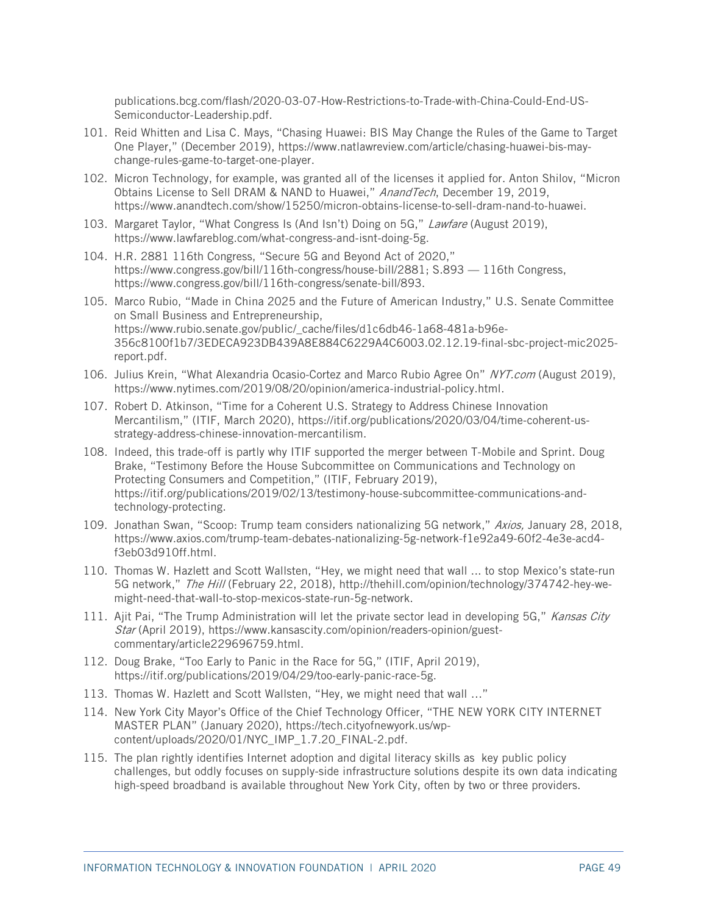[publications.bcg.com/flash/2020-03-07-How-Restrictions-to-Trade-with-China-Could-End-US-](https://media-publications.bcg.com/flash/2020-03-07-How-Restrictions-to-Trade-with-China-Could-End-US-Semiconductor-Leadership.pdf)[Semiconductor-Leadership.pdf.](https://media-publications.bcg.com/flash/2020-03-07-How-Restrictions-to-Trade-with-China-Could-End-US-Semiconductor-Leadership.pdf)

- <span id="page-51-0"></span>101. Reid Whitten and Lisa C. Mays, "Chasing Huawei: BIS May Change the Rules of the Game to Target One Player," (December 2019), [https://www.natlawreview.com/article/chasing-huawei-bis-may](https://www.natlawreview.com/article/chasing-huawei-bis-may-change-rules-game-to-target-one-player)[change-rules-game-to-target-one-player.](https://www.natlawreview.com/article/chasing-huawei-bis-may-change-rules-game-to-target-one-player)
- <span id="page-51-1"></span>102. Micron Technology, for example, was granted all of the licenses it applied for. Anton Shilov, "Micron Obtains License to Sell DRAM & NAND to Huawei," AnandTech, December 19, 2019, https://www.anandtech.com/show/15250/micron-obtains-license-to-sell-dram-nand-to-huawei.
- <span id="page-51-2"></span>103. Margaret Taylor, "What Congress Is (And Isn't) Doing on 5G," Lawfare (August 2019), [https://www.lawfareblog.com/what-congress-and-isnt-doing-5g.](https://www.lawfareblog.com/what-congress-and-isnt-doing-5g)
- <span id="page-51-3"></span>104. H.R. 2881 116th Congress, "Secure 5G and Beyond Act of 2020," [https://www.congress.gov/bill/116th-congress/house-bill/2881;](https://www.congress.gov/bill/116th-congress/house-bill/2881) S.893 — 116th Congress, [https://www.congress.gov/bill/116th-congress/senate-bill/893.](https://www.congress.gov/bill/116th-congress/senate-bill/893)
- <span id="page-51-4"></span>105. Marco Rubio, "Made in China 2025 and the Future of American Industry," U.S. Senate Committee on Small Business and Entrepreneurship, [https://www.rubio.senate.gov/public/\\_cache/files/d1c6db46-1a68-481a-b96e-](https://www.rubio.senate.gov/public/_cache/files/d1c6db46-1a68-481a-b96e-356c8100f1b7/3EDECA923DB439A8E884C6229A4C6003.02.12.19-final-sbc-project-mic2025-report.pdf)[356c8100f1b7/3EDECA923DB439A8E884C6229A4C6003.02.12.19-final-sbc-project-mic2025](https://www.rubio.senate.gov/public/_cache/files/d1c6db46-1a68-481a-b96e-356c8100f1b7/3EDECA923DB439A8E884C6229A4C6003.02.12.19-final-sbc-project-mic2025-report.pdf) [report.pdf.](https://www.rubio.senate.gov/public/_cache/files/d1c6db46-1a68-481a-b96e-356c8100f1b7/3EDECA923DB439A8E884C6229A4C6003.02.12.19-final-sbc-project-mic2025-report.pdf)
- <span id="page-51-5"></span>106. Julius Krein, "What Alexandria Ocasio-Cortez and Marco Rubio Agree On" NYT.com (August 2019), [https://www.nytimes.com/2019/08/20/opinion/america-industrial-policy.html.](https://www.nytimes.com/2019/08/20/opinion/america-industrial-policy.html)
- <span id="page-51-6"></span>107. Robert D. Atkinson, "Time for a Coherent U.S. Strategy to Address Chinese Innovation Mercantilism," (ITIF, March 2020), [https://itif.org/publications/2020/03/04/time-coherent-us](https://itif.org/publications/2020/03/04/time-coherent-us-strategy-address-chinese-innovation-mercantilism)[strategy-address-chinese-innovation-mercantilism.](https://itif.org/publications/2020/03/04/time-coherent-us-strategy-address-chinese-innovation-mercantilism)
- <span id="page-51-7"></span>108. Indeed, this trade-off is partly why ITIF supported the merger between T-Mobile and Sprint. Doug Brake, "Testimony Before the House Subcommittee on Communications and Technology on Protecting Consumers and Competition," (ITIF, February 2019), [https://itif.org/publications/2019/02/13/testimony-house-subcommittee-communications-and](https://itif.org/publications/2019/02/13/testimony-house-subcommittee-communications-and-technology-protecting)[technology-protecting.](https://itif.org/publications/2019/02/13/testimony-house-subcommittee-communications-and-technology-protecting)
- <span id="page-51-8"></span>109. Jonathan Swan, "Scoop: Trump team considers nationalizing 5G network," Axios, January 28, 2018, https://www.axios.com/trump-team-debates-nationalizing-5g-network-f1e92a49-60f2-4e3e-acd4 f3eb03d910ff.html.
- <span id="page-51-9"></span>110. Thomas W. Hazlett and Scott Wallsten, "Hey, we might need that wall ... to stop Mexico's state-run 5G network," The Hill (February 22, 2018), http://thehill.com/opinion/technology/374742-hey-wemight-need-that-wall-to-stop-mexicos-state-run-5g-network.
- <span id="page-51-10"></span>111. Ajit Pai, "The Trump Administration will let the private sector lead in developing 5G," Kansas City Star (April 2019), [https://www.kansascity.com/opinion/readers-opinion/guest](https://www.kansascity.com/opinion/readers-opinion/guest-commentary/article229696759.html)[commentary/article229696759.html.](https://www.kansascity.com/opinion/readers-opinion/guest-commentary/article229696759.html)
- <span id="page-51-11"></span>112. Doug Brake, "Too Early to Panic in the Race for 5G," (ITIF, April 2019), [https://itif.org/publications/2019/04/29/too-early-panic-race-5g.](https://itif.org/publications/2019/04/29/too-early-panic-race-5g)
- <span id="page-51-12"></span>113. Thomas W. Hazlett and Scott Wallsten, "Hey, we might need that wall …"
- <span id="page-51-13"></span>114. New York City Mayor's Office of the Chief Technology Officer, "THE NEW YORK CITY INTERNET MASTER PLAN" (January 2020), [https://tech.cityofnewyork.us/wp](https://tech.cityofnewyork.us/wp-content/uploads/2020/01/NYC_IMP_1.7.20_FINAL-2.pdf)[content/uploads/2020/01/NYC\\_IMP\\_1.7.20\\_FINAL-2.pdf.](https://tech.cityofnewyork.us/wp-content/uploads/2020/01/NYC_IMP_1.7.20_FINAL-2.pdf)
- <span id="page-51-14"></span>115. The plan rightly identifies Internet adoption and digital literacy skills as key public policy challenges, but oddly focuses on supply-side infrastructure solutions despite its own data indicating high-speed broadband is available throughout New York City, often by two or three providers.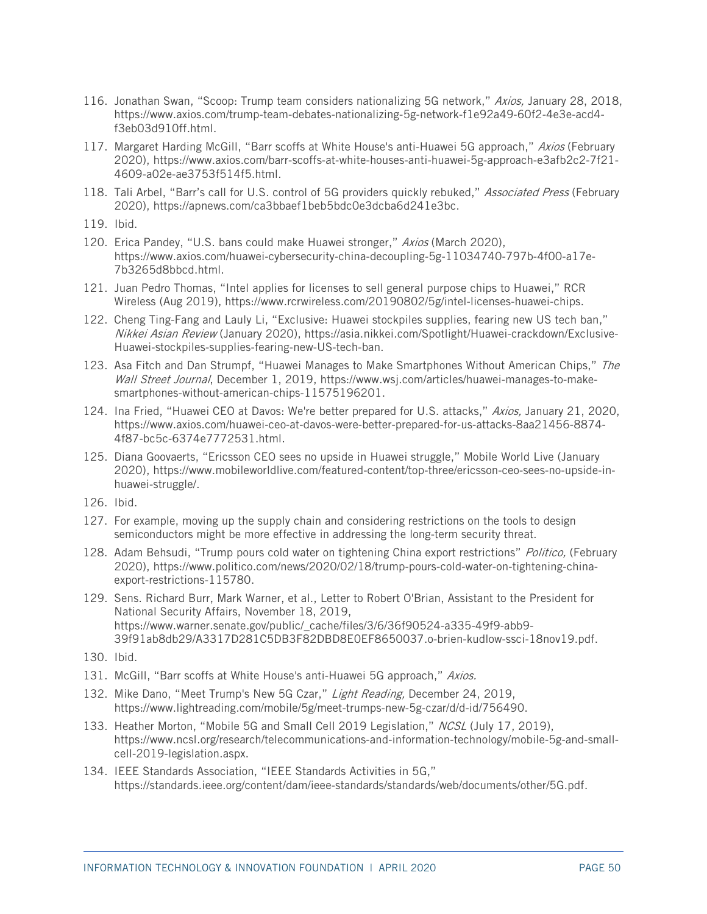- <span id="page-52-0"></span>116. Jonathan Swan, "Scoop: Trump team considers nationalizing 5G network," Axios, January 28, 2018, https://www.axios.com/trump-team-debates-nationalizing-5g-network-f1e92a49-60f2-4e3e-acd4 f3eb03d910ff.html.
- <span id="page-52-1"></span>117. Margaret Harding McGill, "Barr scoffs at White House's anti-Huawei 5G approach," Axios (February 2020), [https://www.axios.com/barr-scoffs-at-white-houses-anti-huawei-5g-approach-e3afb2c2-7f21-](https://www.axios.com/barr-scoffs-at-white-houses-anti-huawei-5g-approach-e3afb2c2-7f21-4609-a02e-ae3753f514f5.html) [4609-a02e-ae3753f514f5.html.](https://www.axios.com/barr-scoffs-at-white-houses-anti-huawei-5g-approach-e3afb2c2-7f21-4609-a02e-ae3753f514f5.html)
- <span id="page-52-2"></span>118. Tali Arbel, "Barr's call for U.S. control of 5G providers quickly rebuked," Associated Press (February 2020), [https://apnews.com/ca3bbaef1beb5bdc0e3dcba6d241e3bc.](https://apnews.com/ca3bbaef1beb5bdc0e3dcba6d241e3bc)
- <span id="page-52-3"></span>119. Ibid.
- <span id="page-52-4"></span>120. Erica Pandey, "U.S. bans could make Huawei stronger," Axios (March 2020), [https://www.axios.com/huawei-cybersecurity-china-decoupling-5g-11034740-797b-4f00-a17e-](https://www.axios.com/huawei-cybersecurity-china-decoupling-5g-11034740-797b-4f00-a17e-7b3265d8bbcd.html)[7b3265d8bbcd.html.](https://www.axios.com/huawei-cybersecurity-china-decoupling-5g-11034740-797b-4f00-a17e-7b3265d8bbcd.html)
- <span id="page-52-5"></span>121. Juan Pedro Thomas, "Intel applies for licenses to sell general purpose chips to Huawei," RCR Wireless (Aug 2019), [https://www.rcrwireless.com/20190802/5g/intel-licenses-huawei-chips.](https://www.rcrwireless.com/20190802/5g/intel-licenses-huawei-chips)
- <span id="page-52-6"></span>122. Cheng Ting-Fang and Lauly Li, "Exclusive: Huawei stockpiles supplies, fearing new US tech ban," Nikkei Asian Review (January 2020), [https://asia.nikkei.com/Spotlight/Huawei-crackdown/Exclusive-](https://asia.nikkei.com/Spotlight/Huawei-crackdown/Exclusive-Huawei-stockpiles-supplies-fearing-new-US-tech-ban)[Huawei-stockpiles-supplies-fearing-new-US-tech-ban.](https://asia.nikkei.com/Spotlight/Huawei-crackdown/Exclusive-Huawei-stockpiles-supplies-fearing-new-US-tech-ban)
- <span id="page-52-7"></span>123. Asa Fitch and Dan Strumpf, "Huawei Manages to Make Smartphones Without American Chips," The Wall Street Journal, December 1, 2019, https://www.wsj.com/articles/huawei-manages-to-makesmartphones-without-american-chips-11575196201.
- <span id="page-52-8"></span>124. Ina Fried, "Huawei CEO at Davos: We're better prepared for U.S. attacks," Axios, January 21, 2020, [https://www.axios.com/huawei-ceo-at-davos-were-better-prepared-for-us-attacks-8aa21456-8874-](https://www.axios.com/huawei-ceo-at-davos-were-better-prepared-for-us-attacks-8aa21456-8874-4f87-bc5c-6374e7772531.html) [4f87-bc5c-6374e7772531.html.](https://www.axios.com/huawei-ceo-at-davos-were-better-prepared-for-us-attacks-8aa21456-8874-4f87-bc5c-6374e7772531.html)
- <span id="page-52-9"></span>125. Diana Goovaerts, "Ericsson CEO sees no upside in Huawei struggle," Mobile World Live (January 2020), [https://www.mobileworldlive.com/featured-content/top-three/ericsson-ceo-sees-no-upside-in](https://www.mobileworldlive.com/featured-content/top-three/ericsson-ceo-sees-no-upside-in-huawei-struggle/)[huawei-struggle/.](https://www.mobileworldlive.com/featured-content/top-three/ericsson-ceo-sees-no-upside-in-huawei-struggle/)
- <span id="page-52-10"></span>126. Ibid.
- <span id="page-52-11"></span>127. For example, moving up the supply chain and considering restrictions on the tools to design semiconductors might be more effective in addressing the long-term security threat.
- <span id="page-52-12"></span>128. Adam Behsudi, "Trump pours cold water on tightening China export restrictions" Politico, (February 2020), [https://www.politico.com/news/2020/02/18/trump-pours-cold-water-on-tightening-china](https://www.politico.com/news/2020/02/18/trump-pours-cold-water-on-tightening-china-export-restrictions-115780)[export-restrictions-115780.](https://www.politico.com/news/2020/02/18/trump-pours-cold-water-on-tightening-china-export-restrictions-115780)
- <span id="page-52-13"></span>129. Sens. Richard Burr, Mark Warner, et al., Letter to Robert O'Brian, Assistant to the President for National Security Affairs, November 18, 2019, https://www.warner.senate.gov/public/\_cache/files/3/6/36f90524-a335-49f9-abb9- 39f91ab8db29/A3317D281C5DB3F82DBD8E0EF8650037.o-brien-kudlow-ssci-18nov19.pdf.
- <span id="page-52-14"></span>130. Ibid.
- <span id="page-52-15"></span>131. McGill, "Barr scoffs at White House's anti-Huawei 5G approach," Axios.
- <span id="page-52-16"></span>132. Mike Dano, "Meet Trump's New 5G Czar," Light Reading, December 24, 2019, https://www.lightreading.com/mobile/5g/meet-trumps-new-5g-czar/d/d-id/756490.
- <span id="page-52-17"></span>133. Heather Morton, "Mobile 5G and Small Cell 2019 Legislation," NCSL (July 17, 2019), [https://www.ncsl.org/research/telecommunications-and-information-technology/mobile-5g-and-small](https://www.ncsl.org/research/telecommunications-and-information-technology/mobile-5g-and-small-cell-2019-legislation.aspx)[cell-2019-legislation.aspx.](https://www.ncsl.org/research/telecommunications-and-information-technology/mobile-5g-and-small-cell-2019-legislation.aspx)
- <span id="page-52-18"></span>134. IEEE Standards Association, "IEEE Standards Activities in 5G," [https://standards.ieee.org/content/dam/ieee-standards/standards/web/documents/other/5G.pdf.](https://standards.ieee.org/content/dam/ieee-standards/standards/web/documents/other/5G.pdf)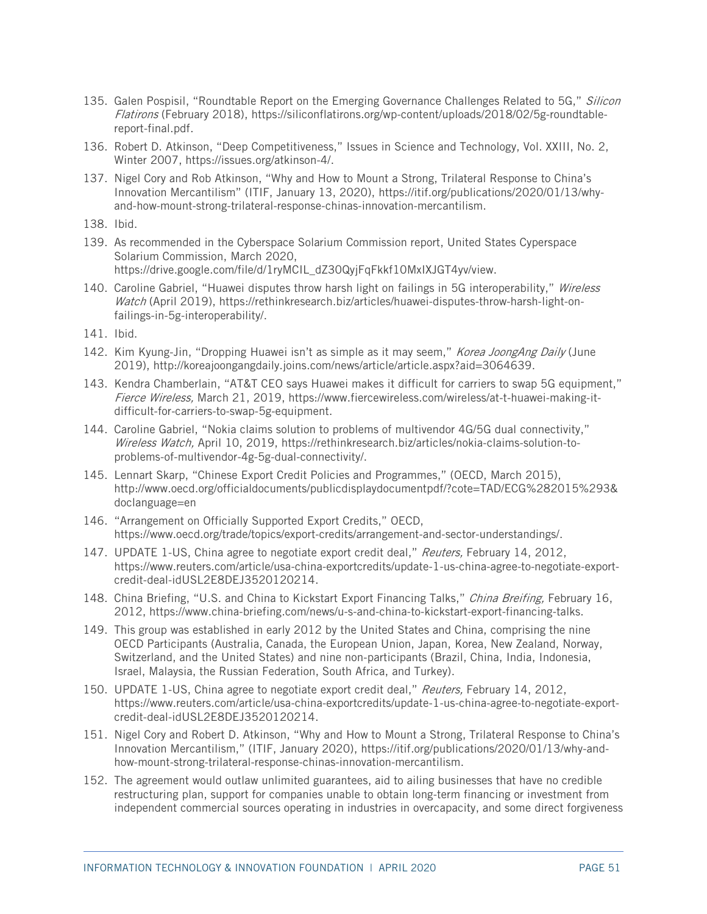- <span id="page-53-0"></span>135. Galen Pospisil, "Roundtable Report on the Emerging Governance Challenges Related to 5G," Silicon Flatirons (February 2018), [https://siliconflatirons.org/wp-content/uploads/2018/02/5g-roundtable](https://siliconflatirons.org/wp-content/uploads/2018/02/5g-roundtable-report-final.pdf)[report-final.pdf.](https://siliconflatirons.org/wp-content/uploads/2018/02/5g-roundtable-report-final.pdf)
- <span id="page-53-1"></span>136. Robert D. Atkinson, "Deep Competitiveness," Issues in Science and Technology, Vol. XXIII, No. 2, Winter 2007, [https://issues.org/atkinson-4/.](https://issues.org/atkinson-4/)
- <span id="page-53-2"></span>137. Nigel Cory and Rob Atkinson, "Why and How to Mount a Strong, Trilateral Response to China's Innovation Mercantilism" (ITIF, January 13, 2020), [https://itif.org/publications/2020/01/13/why](https://itif.org/publications/2020/01/13/why-and-how-mount-strong-trilateral-response-chinas-innovation-mercantilism)[and-how-mount-strong-trilateral-response-chinas-innovation-mercantilism.](https://itif.org/publications/2020/01/13/why-and-how-mount-strong-trilateral-response-chinas-innovation-mercantilism)
- <span id="page-53-3"></span>138. Ibid.
- <span id="page-53-4"></span>139. As recommended in the Cyberspace Solarium Commission report, United States Cyperspace Solarium Commission, March 2020, [https://drive.google.com/file/d/1ryMCIL\\_dZ30QyjFqFkkf10MxIXJGT4yv/view.](https://drive.google.com/file/d/1ryMCIL_dZ30QyjFqFkkf10MxIXJGT4yv/view)
- <span id="page-53-5"></span>140. Caroline Gabriel, "Huawei disputes throw harsh light on failings in 5G interoperability," Wireless Watch (April 2019), [https://rethinkresearch.biz/articles/huawei-disputes-throw-harsh-light-on](https://rethinkresearch.biz/articles/huawei-disputes-throw-harsh-light-on-failings-in-5g-interoperability/)[failings-in-5g-interoperability/.](https://rethinkresearch.biz/articles/huawei-disputes-throw-harsh-light-on-failings-in-5g-interoperability/)
- <span id="page-53-6"></span>141. Ibid.
- <span id="page-53-7"></span>142. Kim Kyung-Jin, "Dropping Huawei isn't as simple as it may seem," Korea JoongAng Daily (June 2019), [http://koreajoongangdaily.joins.com/news/article/article.aspx?aid=3064639.](http://koreajoongangdaily.joins.com/news/article/article.aspx?aid=3064639)
- <span id="page-53-8"></span>143. Kendra Chamberlain, "AT&T CEO says Huawei makes it difficult for carriers to swap 5G equipment," Fierce Wireless, March 21, 2019, https://www.fiercewireless.com/wireless/at-t-huawei-making-itdifficult-for-carriers-to-swap-5g-equipment.
- <span id="page-53-9"></span>144. Caroline Gabriel, "Nokia claims solution to problems of multivendor 4G/5G dual connectivity," Wireless Watch, April 10, 2019, [https://rethinkresearch.biz/articles/nokia-claims-solution-to](https://rethinkresearch.biz/articles/nokia-claims-solution-to-problems-of-multivendor-4g-5g-dual-connectivity/)[problems-of-multivendor-4g-5g-dual-connectivity/.](https://rethinkresearch.biz/articles/nokia-claims-solution-to-problems-of-multivendor-4g-5g-dual-connectivity/)
- <span id="page-53-10"></span>145. Lennart Skarp, "Chinese Export Credit Policies and Programmes," (OECD, March 2015), [http://www.oecd.org/officialdocuments/publicdisplaydocumentpdf/?cote=TAD/ECG%282015%293&](http://www.oecd.org/officialdocuments/publicdisplaydocumentpdf/?cote=TAD/ECG%282015%293&doclanguage=en) [doclanguage=en](http://www.oecd.org/officialdocuments/publicdisplaydocumentpdf/?cote=TAD/ECG%282015%293&doclanguage=en)
- <span id="page-53-11"></span>146. "Arrangement on Officially Supported Export Credits," OECD, [https://www.oecd.org/trade/topics/export-credits/arrangement-and-sector-understandings/.](https://www.oecd.org/trade/topics/export-credits/arrangement-and-sector-understandings/)
- <span id="page-53-12"></span>147. UPDATE 1-US, China agree to negotiate export credit deal," Reuters, February 14, 2012, [https://www.reuters.com/article/usa-china-exportcredits/update-1-us-china-agree-to-negotiate-export](https://www.reuters.com/article/usa-china-exportcredits/update-1-us-china-agree-to-negotiate-export-credit-deal-idUSL2E8DEJ3520120214)[credit-deal-idUSL2E8DEJ3520120214.](https://www.reuters.com/article/usa-china-exportcredits/update-1-us-china-agree-to-negotiate-export-credit-deal-idUSL2E8DEJ3520120214)
- <span id="page-53-13"></span>148. China Briefing, "U.S. and China to Kickstart Export Financing Talks," China Breifing, February 16, 2012, https://www.china-briefing.com/news/u-s-and-china-to-kickstart-export-financing-talks.
- <span id="page-53-14"></span>149. This group was established in early 2012 by the United States and China, comprising the nine OECD Participants (Australia, Canada, the European Union, Japan, Korea, New Zealand, Norway, Switzerland, and the United States) and nine non-participants (Brazil, China, India, Indonesia, Israel, Malaysia, the Russian Federation, South Africa, and Turkey).
- <span id="page-53-15"></span>150. UPDATE 1-US, China agree to negotiate export credit deal," Reuters, February 14, 2012, [https://www.reuters.com/article/usa-china-exportcredits/update-1-us-china-agree-to-negotiate-export](https://www.reuters.com/article/usa-china-exportcredits/update-1-us-china-agree-to-negotiate-export-credit-deal-idUSL2E8DEJ3520120214)[credit-deal-idUSL2E8DEJ3520120214.](https://www.reuters.com/article/usa-china-exportcredits/update-1-us-china-agree-to-negotiate-export-credit-deal-idUSL2E8DEJ3520120214)
- <span id="page-53-16"></span>151. Nigel Cory and Robert D. Atkinson, "Why and How to Mount a Strong, Trilateral Response to China's Innovation Mercantilism," (ITIF, January 2020), [https://itif.org/publications/2020/01/13/why-and](https://itif.org/publications/2020/01/13/why-and-how-mount-strong-trilateral-response-chinas-innovation-mercantilism)[how-mount-strong-trilateral-response-chinas-innovation-mercantilism.](https://itif.org/publications/2020/01/13/why-and-how-mount-strong-trilateral-response-chinas-innovation-mercantilism)
- <span id="page-53-17"></span>152. The agreement would outlaw unlimited guarantees, aid to ailing businesses that have no credible restructuring plan, support for companies unable to obtain long-term financing or investment from independent commercial sources operating in industries in overcapacity, and some direct forgiveness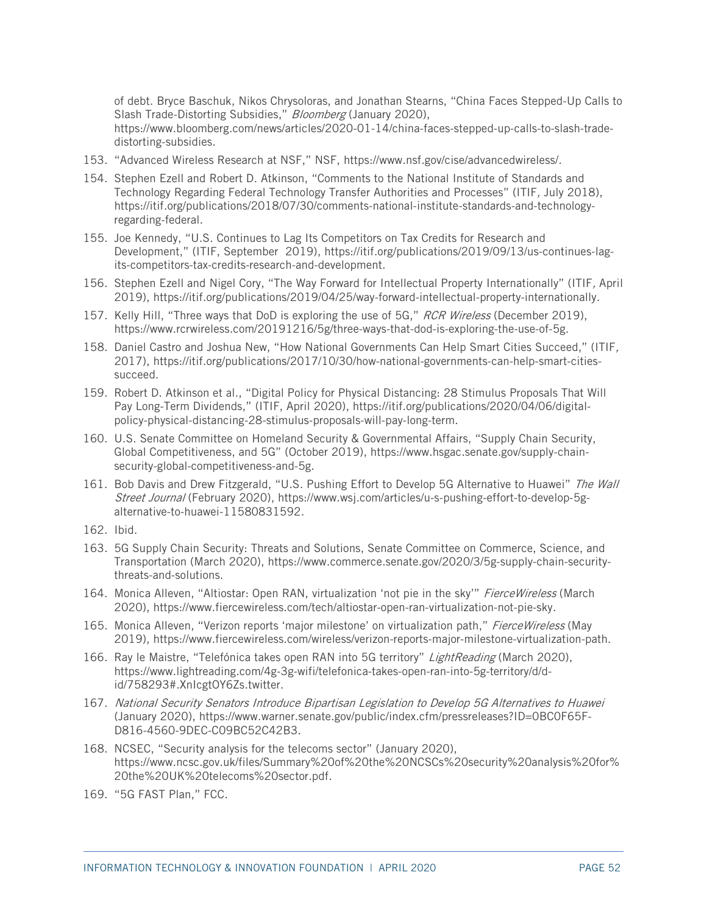of debt. Bryce Baschuk, Nikos Chrysoloras, and Jonathan Stearns, "China Faces Stepped-Up Calls to Slash Trade-Distorting Subsidies," Bloomberg (January 2020), [https://www.bloomberg.com/news/articles/2020-01-14/china-faces-stepped-up-calls-to-slash-trade](https://www.bloomberg.com/news/articles/2020-01-14/china-faces-stepped-up-calls-to-slash-trade-distorting-subsidies)[distorting-subsidies.](https://www.bloomberg.com/news/articles/2020-01-14/china-faces-stepped-up-calls-to-slash-trade-distorting-subsidies)

- <span id="page-54-0"></span>153. "Advanced Wireless Research at NSF," NSF, [https://www.nsf.gov/cise/advancedwireless/.](https://www.nsf.gov/cise/advancedwireless/)
- <span id="page-54-1"></span>154. Stephen Ezell and Robert D. Atkinson, "Comments to the National Institute of Standards and Technology Regarding Federal Technology Transfer Authorities and Processes" (ITIF, July 2018), [https://itif.org/publications/2018/07/30/comments-national-institute-standards-and-technology](https://itif.org/publications/2018/07/30/comments-national-institute-standards-and-technology-regarding-federal)[regarding-federal.](https://itif.org/publications/2018/07/30/comments-national-institute-standards-and-technology-regarding-federal)
- <span id="page-54-2"></span>155. Joe Kennedy, "U.S. Continues to Lag Its Competitors on Tax Credits for Research and Development," (ITIF, September 2019), [https://itif.org/publications/2019/09/13/us-continues-lag](https://itif.org/publications/2019/09/13/us-continues-lag-its-competitors-tax-credits-research-and-development)[its-competitors-tax-credits-research-and-development.](https://itif.org/publications/2019/09/13/us-continues-lag-its-competitors-tax-credits-research-and-development)
- <span id="page-54-3"></span>156. Stephen Ezell and Nigel Cory, "The Way Forward for Intellectual Property Internationally" (ITIF, April 2019), [https://itif.org/publications/2019/04/25/way-forward-intellectual-property-internationally.](https://itif.org/publications/2019/04/25/way-forward-intellectual-property-internationally)
- <span id="page-54-4"></span>157. Kelly Hill, "Three ways that DoD is exploring the use of 5G," RCR Wireless (December 2019), https://www.rcrwireless.com/20191216/5g/three-ways-that-dod-is-exploring-the-use-of-5g.
- <span id="page-54-5"></span>158. Daniel Castro and Joshua New, "How National Governments Can Help Smart Cities Succeed," (ITIF, 2017), [https://itif.org/publications/2017/10/30/how-national-governments-can-help-smart-cities](https://itif.org/publications/2017/10/30/how-national-governments-can-help-smart-cities-succeed)[succeed.](https://itif.org/publications/2017/10/30/how-national-governments-can-help-smart-cities-succeed)
- <span id="page-54-6"></span>159. Robert D. Atkinson et al., "Digital Policy for Physical Distancing: 28 Stimulus Proposals That Will Pay Long-Term Dividends," (ITIF, April 2020), [https://itif.org/publications/2020/04/06/digital](https://itif.org/publications/2020/04/06/digital-policy-physical-distancing-28-stimulus-proposals-will-pay-long-term)[policy-physical-distancing-28-stimulus-proposals-will-pay-long-term.](https://itif.org/publications/2020/04/06/digital-policy-physical-distancing-28-stimulus-proposals-will-pay-long-term)
- <span id="page-54-7"></span>160. U.S. Senate Committee on Homeland Security & Governmental Affairs, "Supply Chain Security, Global Competitiveness, and 5G" (October 2019), [https://www.hsgac.senate.gov/supply-chain](https://www.hsgac.senate.gov/supply-chain-security-global-competitiveness-and-5g)[security-global-competitiveness-and-5g.](https://www.hsgac.senate.gov/supply-chain-security-global-competitiveness-and-5g)
- <span id="page-54-8"></span>161. Bob Davis and Drew Fitzgerald, "U.S. Pushing Effort to Develop 5G Alternative to Huawei" The Wall Street Journal (February 2020), [https://www.wsj.com/articles/u-s-pushing-effort-to-develop-5g](https://www.wsj.com/articles/u-s-pushing-effort-to-develop-5g-alternative-to-huawei-11580831592)[alternative-to-huawei-11580831592.](https://www.wsj.com/articles/u-s-pushing-effort-to-develop-5g-alternative-to-huawei-11580831592)
- <span id="page-54-9"></span>162. Ibid.
- <span id="page-54-10"></span>163. 5G Supply Chain Security: Threats and Solutions, Senate Committee on Commerce, Science, and Transportation (March 2020), [https://www.commerce.senate.gov/2020/3/5g-supply-chain-security](https://www.commerce.senate.gov/2020/3/5g-supply-chain-security-threats-and-solutions)[threats-and-solutions.](https://www.commerce.senate.gov/2020/3/5g-supply-chain-security-threats-and-solutions)
- <span id="page-54-11"></span>164. Monica Alleven, "Altiostar: Open RAN, virtualization 'not pie in the sky'" FierceWireless (March 2020), [https://www.fiercewireless.com/tech/altiostar-open-ran-virtualization-not-pie-sky.](https://www.fiercewireless.com/tech/altiostar-open-ran-virtualization-not-pie-sky)
- <span id="page-54-12"></span>165. Monica Alleven, "Verizon reports 'major milestone' on virtualization path," FierceWireless (May 2019), [https://www.fiercewireless.com/wireless/verizon-reports-major-milestone-virtualization-path.](https://www.fiercewireless.com/wireless/verizon-reports-major-milestone-virtualization-path)
- <span id="page-54-13"></span>166. Ray le Maistre, "Telefónica takes open RAN into 5G territory" LightReading (March 2020), [https://www.lightreading.com/4g-3g-wifi/telefonica-takes-open-ran-into-5g-territory/d/d](https://www.lightreading.com/4g-3g-wifi/telefonica-takes-open-ran-into-5g-territory/d/d-id/758293#.XnIcgtOY6Zs.twitter)[id/758293#.XnIcgtOY6Zs.twitter.](https://www.lightreading.com/4g-3g-wifi/telefonica-takes-open-ran-into-5g-territory/d/d-id/758293#.XnIcgtOY6Zs.twitter)
- <span id="page-54-14"></span>167. National Security Senators Introduce Bipartisan Legislation to Develop 5G Alternatives to Huawei (January 2020), [https://www.warner.senate.gov/public/index.cfm/pressreleases?ID=0BC0F65F-](https://www.warner.senate.gov/public/index.cfm/pressreleases?ID=0BC0F65F-D816-4560-9DEC-C09BC52C42B3)[D816-4560-9DEC-C09BC52C42B3.](https://www.warner.senate.gov/public/index.cfm/pressreleases?ID=0BC0F65F-D816-4560-9DEC-C09BC52C42B3)
- <span id="page-54-15"></span>168. NCSEC, "Security analysis for the telecoms sector" (January 2020), [https://www.ncsc.gov.uk/files/Summary%20of%20the%20NCSCs%20security%20analysis%20for%](https://www.ncsc.gov.uk/files/Summary%20of%20the%20NCSCs%20security%20analysis%20for%20the%20UK%20telecoms%20sector.pdf) [20the%20UK%20telecoms%20sector.pdf.](https://www.ncsc.gov.uk/files/Summary%20of%20the%20NCSCs%20security%20analysis%20for%20the%20UK%20telecoms%20sector.pdf)
- <span id="page-54-16"></span>169. "5G FAST Plan," FCC.